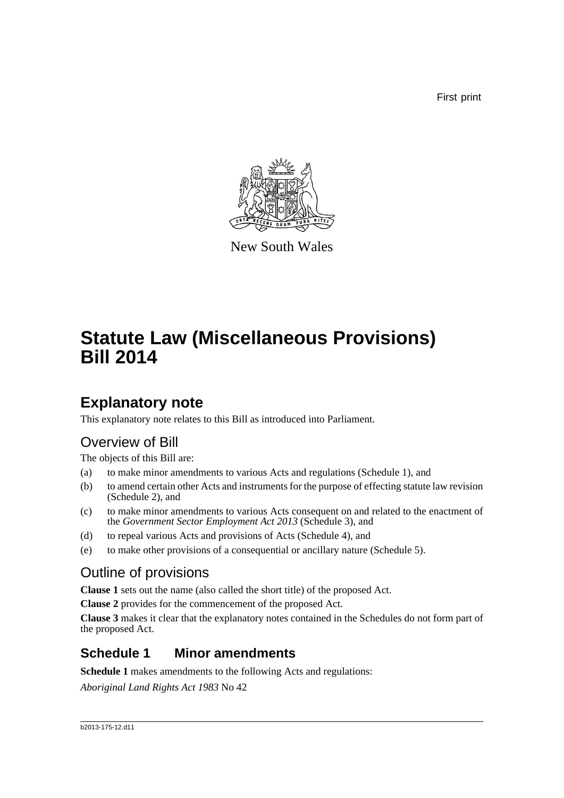First print



New South Wales

# **Statute Law (Miscellaneous Provisions) Bill 2014**

## **Explanatory note**

This explanatory note relates to this Bill as introduced into Parliament.

## Overview of Bill

The objects of this Bill are:

- (a) to make minor amendments to various Acts and regulations (Schedule 1), and
- (b) to amend certain other Acts and instruments for the purpose of effecting statute law revision (Schedule 2), and
- (c) to make minor amendments to various Acts consequent on and related to the enactment of the *Government Sector Employment Act 2013* (Schedule 3), and
- (d) to repeal various Acts and provisions of Acts (Schedule 4), and
- (e) to make other provisions of a consequential or ancillary nature (Schedule 5).

## Outline of provisions

**Clause 1** sets out the name (also called the short title) of the proposed Act.

**Clause 2** provides for the commencement of the proposed Act.

**Clause 3** makes it clear that the explanatory notes contained in the Schedules do not form part of the proposed Act.

## **Schedule 1 Minor amendments**

**Schedule 1** makes amendments to the following Acts and regulations:

*Aboriginal Land Rights Act 1983* No 42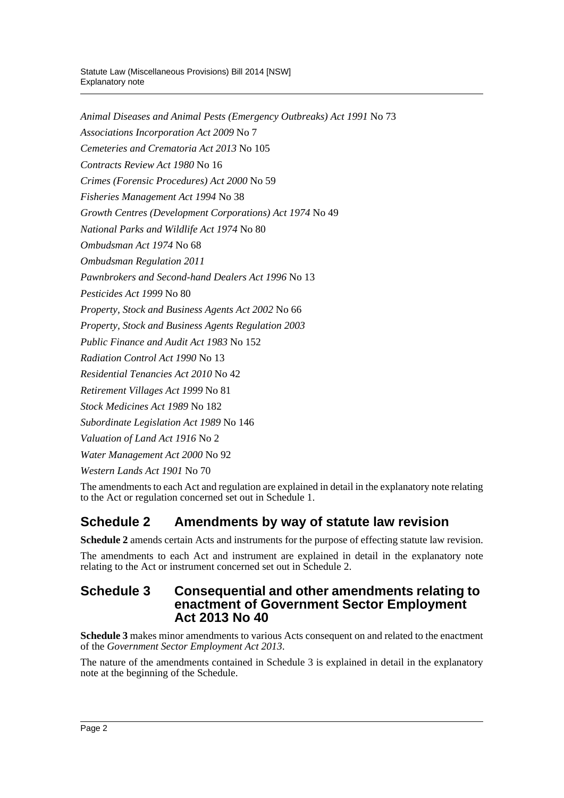*Animal Diseases and Animal Pests (Emergency Outbreaks) Act 1991* No 73 *Associations Incorporation Act 2009* No 7 *Cemeteries and Crematoria Act 2013* No 105 *Contracts Review Act 1980* No 16 *Crimes (Forensic Procedures) Act 2000* No 59 *Fisheries Management Act 1994* No 38 *Growth Centres (Development Corporations) Act 1974* No 49 *National Parks and Wildlife Act 1974* No 80 *Ombudsman Act 1974* No 68 *Ombudsman Regulation 2011 Pawnbrokers and Second-hand Dealers Act 1996* No 13 *Pesticides Act 1999* No 80 *Property, Stock and Business Agents Act 2002* No 66 *Property, Stock and Business Agents Regulation 2003 Public Finance and Audit Act 1983* No 152 *Radiation Control Act 1990* No 13 *Residential Tenancies Act 2010* No 42 *Retirement Villages Act 1999* No 81 *Stock Medicines Act 1989* No 182 *Subordinate Legislation Act 1989* No 146 *Valuation of Land Act 1916* No 2 *Water Management Act 2000* No 92

*Western Lands Act 1901* No 70

The amendments to each Act and regulation are explained in detail in the explanatory note relating to the Act or regulation concerned set out in Schedule 1.

## **Schedule 2 Amendments by way of statute law revision**

**Schedule 2** amends certain Acts and instruments for the purpose of effecting statute law revision.

The amendments to each Act and instrument are explained in detail in the explanatory note relating to the Act or instrument concerned set out in Schedule 2.

## **Schedule 3 Consequential and other amendments relating to enactment of Government Sector Employment Act 2013 No 40**

**Schedule 3** makes minor amendments to various Acts consequent on and related to the enactment of the *Government Sector Employment Act 2013*.

The nature of the amendments contained in Schedule 3 is explained in detail in the explanatory note at the beginning of the Schedule.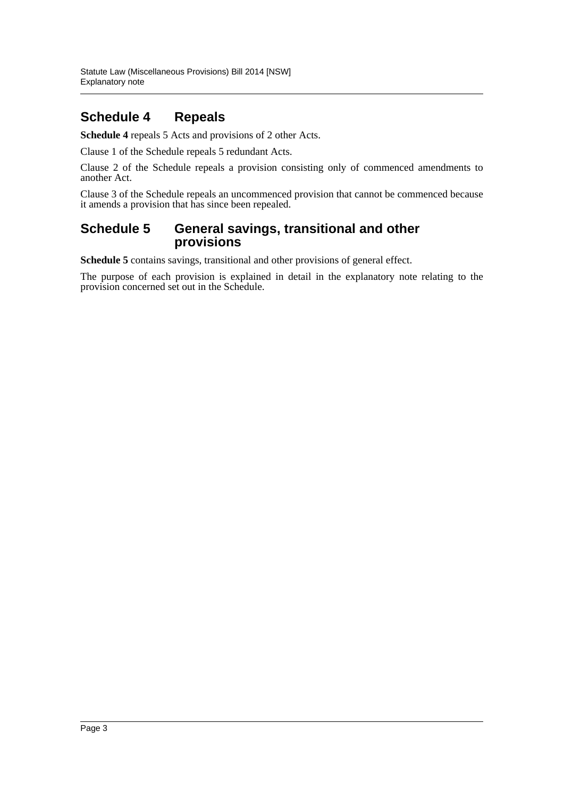## **Schedule 4 Repeals**

**Schedule 4** repeals 5 Acts and provisions of 2 other Acts.

Clause 1 of the Schedule repeals 5 redundant Acts.

Clause 2 of the Schedule repeals a provision consisting only of commenced amendments to another Act.

Clause 3 of the Schedule repeals an uncommenced provision that cannot be commenced because it amends a provision that has since been repealed.

## **Schedule 5 General savings, transitional and other provisions**

**Schedule 5** contains savings, transitional and other provisions of general effect.

The purpose of each provision is explained in detail in the explanatory note relating to the provision concerned set out in the Schedule.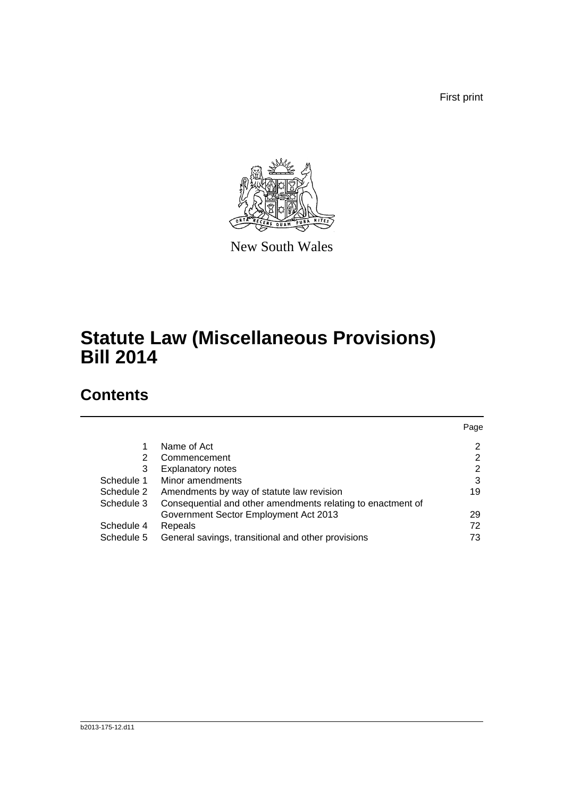First print



New South Wales

# **Statute Law (Miscellaneous Provisions) Bill 2014**

## **Contents**

|            |                                                             | Page |
|------------|-------------------------------------------------------------|------|
|            | Name of Act                                                 | 2    |
| 2          | Commencement                                                | 2    |
| 3          | <b>Explanatory notes</b>                                    | 2    |
| Schedule 1 | Minor amendments                                            | 3    |
| Schedule 2 | Amendments by way of statute law revision                   | 19   |
| Schedule 3 | Consequential and other amendments relating to enactment of |      |
|            | Government Sector Employment Act 2013                       | 29   |
| Schedule 4 | Repeals                                                     | 72   |
| Schedule 5 | General savings, transitional and other provisions          | 73   |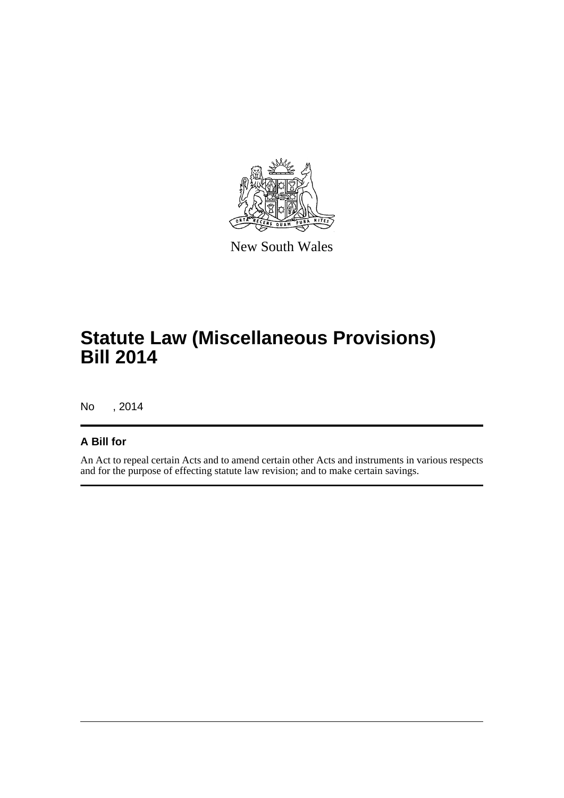

New South Wales

# **Statute Law (Miscellaneous Provisions) Bill 2014**

No , 2014

## **A Bill for**

An Act to repeal certain Acts and to amend certain other Acts and instruments in various respects and for the purpose of effecting statute law revision; and to make certain savings.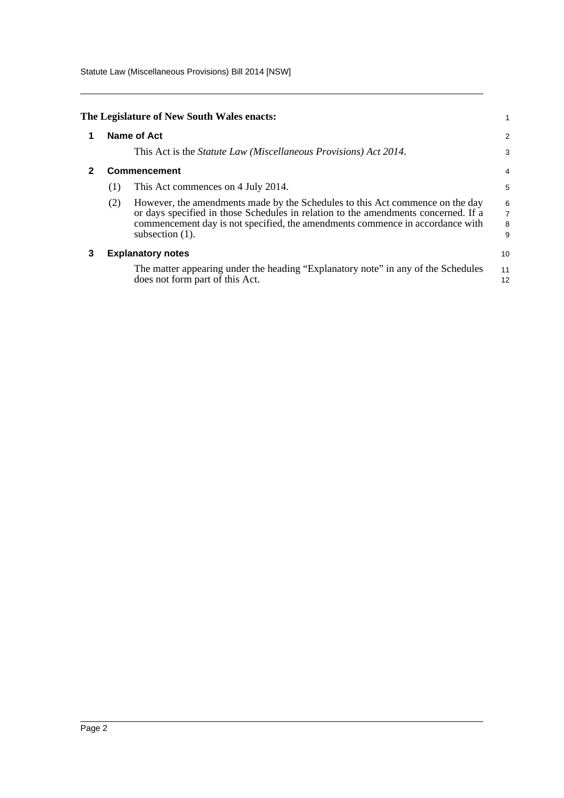Statute Law (Miscellaneous Provisions) Bill 2014 [NSW]

<span id="page-5-2"></span><span id="page-5-1"></span><span id="page-5-0"></span>

|   |     | The Legislature of New South Wales enacts:                                                                                                                                                                                                                                 |                         |
|---|-----|----------------------------------------------------------------------------------------------------------------------------------------------------------------------------------------------------------------------------------------------------------------------------|-------------------------|
|   |     | <b>Name of Act</b>                                                                                                                                                                                                                                                         | 2                       |
|   |     | This Act is the <i>Statute Law</i> ( <i>Miscellaneous Provisions</i> ) Act 2014.                                                                                                                                                                                           | 3                       |
|   |     | <b>Commencement</b>                                                                                                                                                                                                                                                        | 4                       |
|   | (1) | This Act commences on 4 July 2014.                                                                                                                                                                                                                                         | 5                       |
|   | (2) | However, the amendments made by the Schedules to this Act commence on the day<br>or days specified in those Schedules in relation to the amendments concerned. If a<br>commencement day is not specified, the amendments commence in accordance with<br>subsection $(1)$ . | $\frac{6}{7}$<br>8<br>9 |
| 3 |     | <b>Explanatory notes</b>                                                                                                                                                                                                                                                   | 10                      |
|   |     | The matter appearing under the heading "Explanatory note" in any of the Schedules<br>does not form part of this Act.                                                                                                                                                       | 11<br>12                |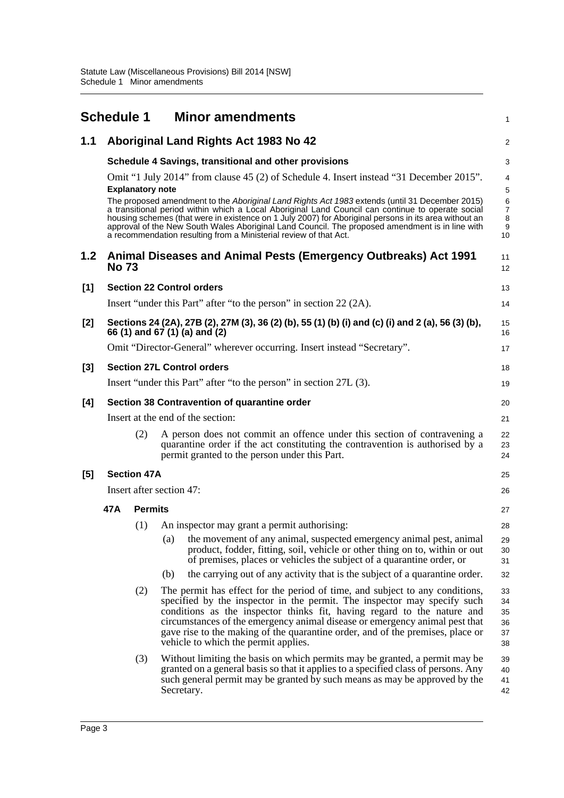<span id="page-6-0"></span>

|                  | <b>Schedule 1</b>                 |                          |            | <b>Minor amendments</b>                                                                                                                                                                                                                                                                                                                                                                                                                                                              | $\mathbf{1}$                        |
|------------------|-----------------------------------|--------------------------|------------|--------------------------------------------------------------------------------------------------------------------------------------------------------------------------------------------------------------------------------------------------------------------------------------------------------------------------------------------------------------------------------------------------------------------------------------------------------------------------------------|-------------------------------------|
| 1.1              |                                   |                          |            | Aboriginal Land Rights Act 1983 No 42                                                                                                                                                                                                                                                                                                                                                                                                                                                | 2                                   |
|                  |                                   |                          |            | Schedule 4 Savings, transitional and other provisions                                                                                                                                                                                                                                                                                                                                                                                                                                | 3                                   |
|                  |                                   | <b>Explanatory note</b>  |            | Omit "1 July 2014" from clause 45 (2) of Schedule 4. Insert instead "31 December 2015".                                                                                                                                                                                                                                                                                                                                                                                              | 4<br>5                              |
|                  |                                   |                          |            | The proposed amendment to the Aboriginal Land Rights Act 1983 extends (until 31 December 2015)<br>a transitional period within which a Local Aboriginal Land Council can continue to operate social<br>housing schemes (that were in existence on 1 July 2007) for Aboriginal persons in its area without an<br>approval of the New South Wales Aboriginal Land Council. The proposed amendment is in line with<br>a recommendation resulting from a Ministerial review of that Act. | 6<br>$\overline{7}$<br>8<br>9<br>10 |
| 1.2 <sub>2</sub> | <b>No 73</b>                      |                          |            | Animal Diseases and Animal Pests (Emergency Outbreaks) Act 1991                                                                                                                                                                                                                                                                                                                                                                                                                      | 11<br>12                            |
| [1]              |                                   |                          |            | <b>Section 22 Control orders</b>                                                                                                                                                                                                                                                                                                                                                                                                                                                     | 13                                  |
|                  |                                   |                          |            | Insert "under this Part" after "to the person" in section 22 (2A).                                                                                                                                                                                                                                                                                                                                                                                                                   | 14                                  |
| [2]              |                                   |                          |            | Sections 24 (2A), 27B (2), 27M (3), 36 (2) (b), 55 (1) (b) (i) and (c) (i) and 2 (a), 56 (3) (b),<br>66 (1) and 67 (1) (a) and (2)                                                                                                                                                                                                                                                                                                                                                   | 15<br>16                            |
|                  |                                   |                          |            | Omit "Director-General" wherever occurring. Insert instead "Secretary".                                                                                                                                                                                                                                                                                                                                                                                                              | 17                                  |
| $[3]$            |                                   |                          |            | <b>Section 27L Control orders</b>                                                                                                                                                                                                                                                                                                                                                                                                                                                    | 18                                  |
|                  |                                   |                          |            | Insert "under this Part" after "to the person" in section 27L (3).                                                                                                                                                                                                                                                                                                                                                                                                                   | 19                                  |
| [4]              |                                   |                          |            | Section 38 Contravention of quarantine order                                                                                                                                                                                                                                                                                                                                                                                                                                         | 20                                  |
|                  | Insert at the end of the section: |                          |            |                                                                                                                                                                                                                                                                                                                                                                                                                                                                                      |                                     |
|                  |                                   | (2)                      |            | A person does not commit an offence under this section of contravening a<br>quarantine order if the act constituting the contravention is authorised by a<br>permit granted to the person under this Part.                                                                                                                                                                                                                                                                           | 22<br>23<br>24                      |
| [5]              |                                   | <b>Section 47A</b>       |            |                                                                                                                                                                                                                                                                                                                                                                                                                                                                                      | 25                                  |
|                  |                                   | Insert after section 47: |            |                                                                                                                                                                                                                                                                                                                                                                                                                                                                                      | 26                                  |
|                  | 47A                               | <b>Permits</b>           |            |                                                                                                                                                                                                                                                                                                                                                                                                                                                                                      | 27                                  |
|                  |                                   | (1)                      |            | An inspector may grant a permit authorising:                                                                                                                                                                                                                                                                                                                                                                                                                                         | 28                                  |
|                  |                                   |                          | (a)        | the movement of any animal, suspected emergency animal pest, animal<br>product, fodder, fitting, soil, vehicle or other thing on to, within or out<br>of premises, places or vehicles the subject of a quarantine order, or                                                                                                                                                                                                                                                          | 29<br>30<br>31                      |
|                  |                                   |                          | (b)        | the carrying out of any activity that is the subject of a quarantine order.                                                                                                                                                                                                                                                                                                                                                                                                          | 32                                  |
|                  |                                   | (2)                      |            | The permit has effect for the period of time, and subject to any conditions,<br>specified by the inspector in the permit. The inspector may specify such<br>conditions as the inspector thinks fit, having regard to the nature and<br>circumstances of the emergency animal disease or emergency animal pest that<br>gave rise to the making of the quarantine order, and of the premises, place or<br>vehicle to which the permit applies.                                         | 33<br>34<br>35<br>36<br>37<br>38    |
|                  |                                   | (3)                      | Secretary. | Without limiting the basis on which permits may be granted, a permit may be<br>granted on a general basis so that it applies to a specified class of persons. Any<br>such general permit may be granted by such means as may be approved by the                                                                                                                                                                                                                                      | 39<br>40<br>41<br>42                |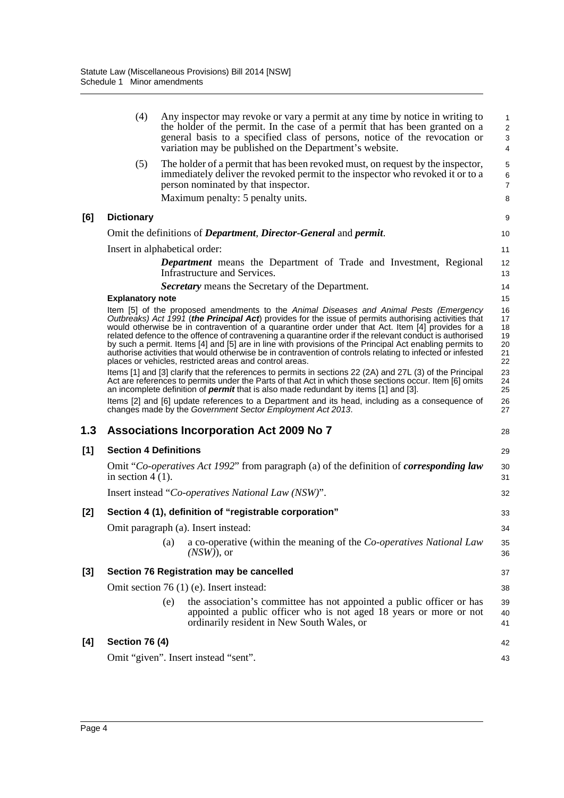|     | (4)                          | Any inspector may revoke or vary a permit at any time by notice in writing to<br>the holder of the permit. In the case of a permit that has been granted on a<br>general basis to a specified class of persons, notice of the revocation or<br>variation may be published on the Department's website.                                                                                                                                                                                                                                                                                                                                                                                               | 1<br>$\overline{2}$<br>3<br>4          |
|-----|------------------------------|------------------------------------------------------------------------------------------------------------------------------------------------------------------------------------------------------------------------------------------------------------------------------------------------------------------------------------------------------------------------------------------------------------------------------------------------------------------------------------------------------------------------------------------------------------------------------------------------------------------------------------------------------------------------------------------------------|----------------------------------------|
|     | (5)                          | The holder of a permit that has been revoked must, on request by the inspector,<br>immediately deliver the revoked permit to the inspector who revoked it or to a<br>person nominated by that inspector.<br>Maximum penalty: 5 penalty units.                                                                                                                                                                                                                                                                                                                                                                                                                                                        | 5<br>6<br>$\overline{7}$<br>8          |
| [6] | <b>Dictionary</b>            |                                                                                                                                                                                                                                                                                                                                                                                                                                                                                                                                                                                                                                                                                                      | 9                                      |
|     |                              | Omit the definitions of <i>Department</i> , <i>Director-General</i> and <i>permit</i> .                                                                                                                                                                                                                                                                                                                                                                                                                                                                                                                                                                                                              | 10                                     |
|     |                              | Insert in alphabetical order:                                                                                                                                                                                                                                                                                                                                                                                                                                                                                                                                                                                                                                                                        | 11                                     |
|     |                              | <b>Department</b> means the Department of Trade and Investment, Regional<br>Infrastructure and Services.                                                                                                                                                                                                                                                                                                                                                                                                                                                                                                                                                                                             | 12<br>13                               |
|     |                              | <b>Secretary</b> means the Secretary of the Department.                                                                                                                                                                                                                                                                                                                                                                                                                                                                                                                                                                                                                                              | 14                                     |
|     | <b>Explanatory note</b>      |                                                                                                                                                                                                                                                                                                                                                                                                                                                                                                                                                                                                                                                                                                      | 15                                     |
|     |                              | Item [5] of the proposed amendments to the Animal Diseases and Animal Pests (Emergency<br>Outbreaks) Act 1991 (the Principal Act) provides for the issue of permits authorising activities that<br>would otherwise be in contravention of a quarantine order under that Act. Item [4] provides for a<br>related defence to the offence of contravening a quarantine order if the relevant conduct is authorised<br>by such a permit. Items [4] and [5] are in line with provisions of the Principal Act enabling permits to<br>authorise activities that would otherwise be in contravention of controls relating to infected or infested<br>places or vehicles, restricted areas and control areas. | 16<br>17<br>18<br>19<br>20<br>21<br>22 |
|     |                              | Items [1] and [3] clarify that the references to permits in sections 22 (2A) and 27L (3) of the Principal<br>Act are references to permits under the Parts of that Act in which those sections occur. Item [6] omits<br>an incomplete definition of <b>permit</b> that is also made redundant by items [1] and [3].                                                                                                                                                                                                                                                                                                                                                                                  | 23<br>24<br>25                         |
|     |                              | Items [2] and [6] update references to a Department and its head, including as a consequence of<br>changes made by the Government Sector Employment Act 2013.                                                                                                                                                                                                                                                                                                                                                                                                                                                                                                                                        | 26<br>27                               |
| 1.3 |                              | Associations Incorporation Act 2009 No 7                                                                                                                                                                                                                                                                                                                                                                                                                                                                                                                                                                                                                                                             | 28                                     |
| [1] | <b>Section 4 Definitions</b> |                                                                                                                                                                                                                                                                                                                                                                                                                                                                                                                                                                                                                                                                                                      | 29                                     |
|     | in section $4(1)$ .          | Omit "Co-operatives Act 1992" from paragraph (a) of the definition of <b>corresponding law</b>                                                                                                                                                                                                                                                                                                                                                                                                                                                                                                                                                                                                       | 30<br>31                               |
|     |                              | Insert instead "Co-operatives National Law (NSW)".                                                                                                                                                                                                                                                                                                                                                                                                                                                                                                                                                                                                                                                   | 32                                     |
| [2] |                              | Section 4 (1), definition of "registrable corporation"                                                                                                                                                                                                                                                                                                                                                                                                                                                                                                                                                                                                                                               | 33                                     |
|     |                              | Omit paragraph (a). Insert instead:                                                                                                                                                                                                                                                                                                                                                                                                                                                                                                                                                                                                                                                                  | 34                                     |
|     |                              | a co-operative (within the meaning of the Co-operatives National Law<br>(a)<br>$(NSW)$ , or                                                                                                                                                                                                                                                                                                                                                                                                                                                                                                                                                                                                          | 35<br>36                               |
| [3] |                              | Section 76 Registration may be cancelled                                                                                                                                                                                                                                                                                                                                                                                                                                                                                                                                                                                                                                                             | 37                                     |
|     |                              | Omit section 76 (1) (e). Insert instead:                                                                                                                                                                                                                                                                                                                                                                                                                                                                                                                                                                                                                                                             | 38                                     |
|     |                              | the association's committee has not appointed a public officer or has<br>(e)<br>appointed a public officer who is not aged 18 years or more or not<br>ordinarily resident in New South Wales, or                                                                                                                                                                                                                                                                                                                                                                                                                                                                                                     | 39<br>40<br>41                         |
| [4] | Section 76 (4)               |                                                                                                                                                                                                                                                                                                                                                                                                                                                                                                                                                                                                                                                                                                      | 42                                     |
|     |                              | Omit "given". Insert instead "sent".                                                                                                                                                                                                                                                                                                                                                                                                                                                                                                                                                                                                                                                                 | 43                                     |
|     |                              |                                                                                                                                                                                                                                                                                                                                                                                                                                                                                                                                                                                                                                                                                                      |                                        |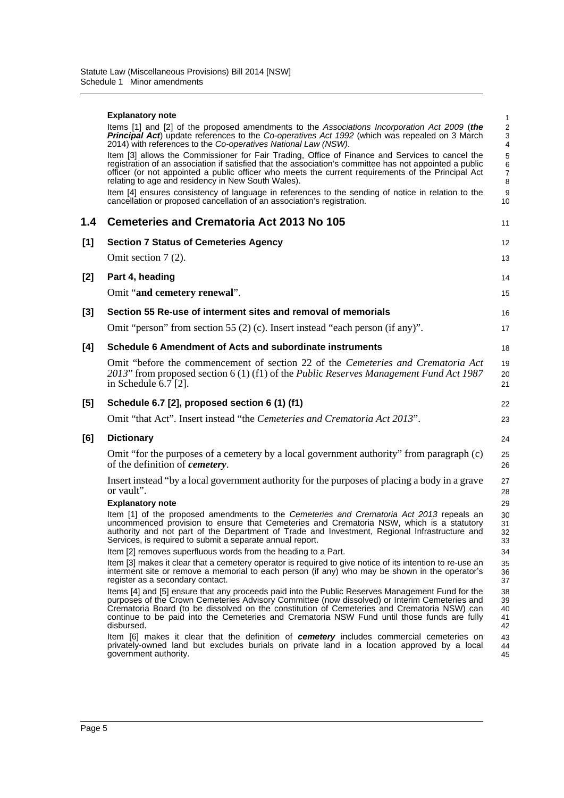|       | <b>Explanatory note</b>                                                                                                                                                                                                                                                                                                                                                | 1                                     |
|-------|------------------------------------------------------------------------------------------------------------------------------------------------------------------------------------------------------------------------------------------------------------------------------------------------------------------------------------------------------------------------|---------------------------------------|
|       | Items [1] and [2] of the proposed amendments to the Associations Incorporation Act 2009 (the<br><b>Principal Act</b> ) update references to the Co-operatives Act 1992 (which was repealed on 3 March<br>2014) with references to the Co-operatives National Law (NSW).                                                                                                | $\overline{c}$<br>3<br>$\overline{4}$ |
|       | Item [3] allows the Commissioner for Fair Trading, Office of Finance and Services to cancel the<br>registration of an association if satisfied that the association's committee has not appointed a public<br>officer (or not appointed a public officer who meets the current requirements of the Principal Act<br>relating to age and residency in New South Wales). | 5<br>6<br>$\overline{7}$<br>8         |
|       | Item [4] ensures consistency of language in references to the sending of notice in relation to the<br>cancellation or proposed cancellation of an association's registration.                                                                                                                                                                                          | 9<br>10                               |
| 1.4   | <b>Cemeteries and Crematoria Act 2013 No 105</b>                                                                                                                                                                                                                                                                                                                       | 11                                    |
| [1]   | <b>Section 7 Status of Cemeteries Agency</b>                                                                                                                                                                                                                                                                                                                           | 12                                    |
|       | Omit section $7(2)$ .                                                                                                                                                                                                                                                                                                                                                  | 13                                    |
| [2]   | Part 4, heading                                                                                                                                                                                                                                                                                                                                                        | 14                                    |
|       | Omit "and cemetery renewal".                                                                                                                                                                                                                                                                                                                                           | 15                                    |
| $[3]$ | Section 55 Re-use of interment sites and removal of memorials                                                                                                                                                                                                                                                                                                          | 16                                    |
|       | Omit "person" from section 55 (2) (c). Insert instead "each person (if any)".                                                                                                                                                                                                                                                                                          | 17                                    |
| [4]   | Schedule 6 Amendment of Acts and subordinate instruments                                                                                                                                                                                                                                                                                                               | 18                                    |
|       | Omit "before the commencement of section 22 of the Cemeteries and Crematoria Act<br>2013" from proposed section 6 (1) (f1) of the <i>Public Reserves Management Fund Act 1987</i><br>in Schedule $6.7$ [2].                                                                                                                                                            | 19<br>20<br>21                        |
| [5]   | Schedule 6.7 [2], proposed section 6 (1) (f1)                                                                                                                                                                                                                                                                                                                          | 22                                    |
|       | Omit "that Act". Insert instead "the Cemeteries and Crematoria Act 2013".                                                                                                                                                                                                                                                                                              | 23                                    |
| [6]   | <b>Dictionary</b>                                                                                                                                                                                                                                                                                                                                                      | 24                                    |
|       | Omit "for the purposes of a cemetery by a local government authority" from paragraph (c)<br>of the definition of <i>cemetery</i> .                                                                                                                                                                                                                                     | 25<br>26                              |
|       | Insert instead "by a local government authority for the purposes of placing a body in a grave<br>or vault".                                                                                                                                                                                                                                                            | 27<br>28                              |
|       | <b>Explanatory note</b>                                                                                                                                                                                                                                                                                                                                                | 29                                    |
|       | Item [1] of the proposed amendments to the Cemeteries and Crematoria Act 2013 repeals an<br>uncommenced provision to ensure that Cemeteries and Crematoria NSW, which is a statutory<br>authority and not part of the Department of Trade and Investment, Regional Infrastructure and<br>Services, is required to submit a separate annual report.                     | 30<br>31<br>32<br>33                  |
|       | Item [2] removes superfluous words from the heading to a Part.                                                                                                                                                                                                                                                                                                         | 34                                    |
|       | Item [3] makes it clear that a cemetery operator is required to give notice of its intention to re-use an<br>interment site or remove a memorial to each person (if any) who may be shown in the operator's<br>register as a secondary contact.                                                                                                                        | 35<br>36<br>37                        |
|       | Items [4] and [5] ensure that any proceeds paid into the Public Reserves Management Fund for the<br>purposes of the Crown Cemeteries Advisory Committee (now dissolved) or Interim Cemeteries and<br>Crematoria Board (to be dissolved on the constitution of Cemeteries and Crematoria NSW) can                                                                       | 38<br>39<br>40                        |
|       | continue to be paid into the Cemeteries and Crematoria NSW Fund until those funds are fully<br>disbursed.                                                                                                                                                                                                                                                              | 41<br>42                              |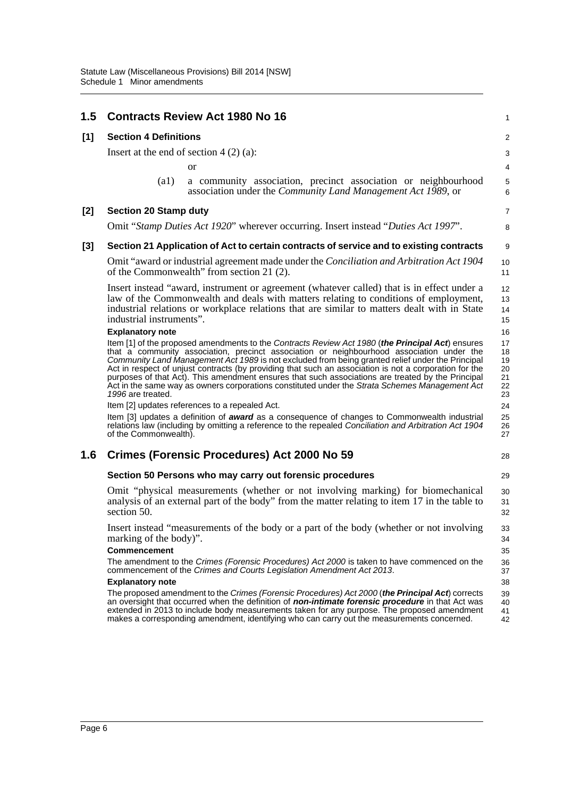| 1.5   | <b>Contracts Review Act 1980 No 16</b>                                                                                                                                                                                                                                                                                                                                                                                                                                                                                                                                                                                                                                                    |                                                                                                                                | $\mathbf{1}$                                 |  |  |  |  |
|-------|-------------------------------------------------------------------------------------------------------------------------------------------------------------------------------------------------------------------------------------------------------------------------------------------------------------------------------------------------------------------------------------------------------------------------------------------------------------------------------------------------------------------------------------------------------------------------------------------------------------------------------------------------------------------------------------------|--------------------------------------------------------------------------------------------------------------------------------|----------------------------------------------|--|--|--|--|
| [1]   | <b>Section 4 Definitions</b>                                                                                                                                                                                                                                                                                                                                                                                                                                                                                                                                                                                                                                                              |                                                                                                                                |                                              |  |  |  |  |
|       | Insert at the end of section $4(2)(a)$ :                                                                                                                                                                                                                                                                                                                                                                                                                                                                                                                                                                                                                                                  |                                                                                                                                |                                              |  |  |  |  |
|       | <b>or</b>                                                                                                                                                                                                                                                                                                                                                                                                                                                                                                                                                                                                                                                                                 |                                                                                                                                | 4                                            |  |  |  |  |
|       | (a1)                                                                                                                                                                                                                                                                                                                                                                                                                                                                                                                                                                                                                                                                                      | a community association, precinct association or neighbourhood<br>association under the Community Land Management Act 1989, or | 5<br>6                                       |  |  |  |  |
| [2]   | <b>Section 20 Stamp duty</b>                                                                                                                                                                                                                                                                                                                                                                                                                                                                                                                                                                                                                                                              |                                                                                                                                | 7                                            |  |  |  |  |
|       | Omit "Stamp Duties Act 1920" wherever occurring. Insert instead "Duties Act 1997".                                                                                                                                                                                                                                                                                                                                                                                                                                                                                                                                                                                                        |                                                                                                                                | 8                                            |  |  |  |  |
| $[3]$ | Section 21 Application of Act to certain contracts of service and to existing contracts                                                                                                                                                                                                                                                                                                                                                                                                                                                                                                                                                                                                   |                                                                                                                                | 9                                            |  |  |  |  |
|       | Omit "award or industrial agreement made under the <i>Conciliation and Arbitration Act 1904</i><br>of the Commonwealth" from section 21 (2).                                                                                                                                                                                                                                                                                                                                                                                                                                                                                                                                              |                                                                                                                                | 10<br>11                                     |  |  |  |  |
|       | Insert instead "award, instrument or agreement (whatever called) that is in effect under a<br>law of the Commonwealth and deals with matters relating to conditions of employment,<br>industrial relations or workplace relations that are similar to matters dealt with in State<br>industrial instruments".                                                                                                                                                                                                                                                                                                                                                                             |                                                                                                                                | 12<br>13<br>14<br>15                         |  |  |  |  |
|       | <b>Explanatory note</b>                                                                                                                                                                                                                                                                                                                                                                                                                                                                                                                                                                                                                                                                   |                                                                                                                                | 16                                           |  |  |  |  |
|       | Item [1] of the proposed amendments to the Contracts Review Act 1980 (the Principal Act) ensures<br>that a community association, precinct association or neighbourhood association under the<br>Community Land Management Act 1989 is not excluded from being granted relief under the Principal<br>Act in respect of unjust contracts (by providing that such an association is not a corporation for the<br>purposes of that Act). This amendment ensures that such associations are treated by the Principal<br>Act in the same way as owners corporations constituted under the Strata Schemes Management Act<br>1996 are treated.<br>Item [2] updates references to a repealed Act. |                                                                                                                                | 17<br>18<br>19<br>20<br>21<br>22<br>23<br>24 |  |  |  |  |
|       | Item [3] updates a definition of <b>award</b> as a consequence of changes to Commonwealth industrial<br>relations law (including by omitting a reference to the repealed Conciliation and Arbitration Act 1904<br>of the Commonwealth).                                                                                                                                                                                                                                                                                                                                                                                                                                                   |                                                                                                                                | 25<br>26<br>27                               |  |  |  |  |
| 1.6   | Crimes (Forensic Procedures) Act 2000 No 59                                                                                                                                                                                                                                                                                                                                                                                                                                                                                                                                                                                                                                               |                                                                                                                                | 28                                           |  |  |  |  |
|       | Section 50 Persons who may carry out forensic procedures                                                                                                                                                                                                                                                                                                                                                                                                                                                                                                                                                                                                                                  |                                                                                                                                | 29                                           |  |  |  |  |
|       | Omit "physical measurements (whether or not involving marking) for biomechanical<br>analysis of an external part of the body" from the matter relating to item 17 in the table to<br>section 50.                                                                                                                                                                                                                                                                                                                                                                                                                                                                                          |                                                                                                                                | 30<br>31<br>32                               |  |  |  |  |
|       | marking of the body)".                                                                                                                                                                                                                                                                                                                                                                                                                                                                                                                                                                                                                                                                    | Insert instead "measurements of the body or a part of the body (whether or not involving                                       |                                              |  |  |  |  |
|       | Commencement<br>The amendment to the Crimes (Forensic Procedures) Act 2000 is taken to have commenced on the<br>commencement of the Crimes and Courts Legislation Amendment Act 2013.                                                                                                                                                                                                                                                                                                                                                                                                                                                                                                     |                                                                                                                                | 35<br>36<br>37                               |  |  |  |  |
|       | <b>Explanatory note</b>                                                                                                                                                                                                                                                                                                                                                                                                                                                                                                                                                                                                                                                                   |                                                                                                                                |                                              |  |  |  |  |
|       | The proposed amendment to the Crimes (Forensic Procedures) Act 2000 (the Principal Act) corrects<br>an oversight that occurred when the definition of <b>non-intimate forensic procedure</b> in that Act was<br>extended in 2013 to include body measurements taken for any purpose. The proposed amendment<br>makes a corresponding amendment, identifying who can carry out the measurements concerned.                                                                                                                                                                                                                                                                                 |                                                                                                                                | 39<br>40<br>41<br>42                         |  |  |  |  |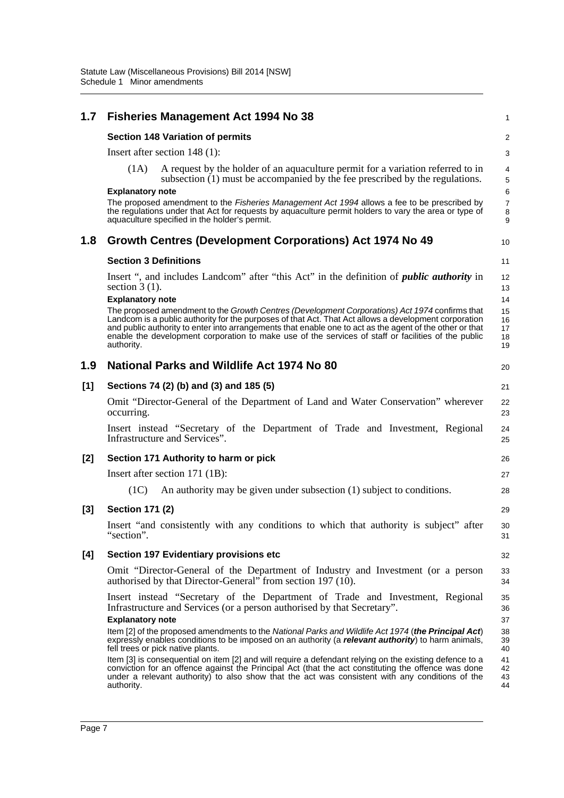| 1.7 | <b>Fisheries Management Act 1994 No 38</b>                                                                                                                                                                                                                                                                                                                                                                                                                                                                                                                                                                                                                                                                                                                 | 1                                                  |
|-----|------------------------------------------------------------------------------------------------------------------------------------------------------------------------------------------------------------------------------------------------------------------------------------------------------------------------------------------------------------------------------------------------------------------------------------------------------------------------------------------------------------------------------------------------------------------------------------------------------------------------------------------------------------------------------------------------------------------------------------------------------------|----------------------------------------------------|
|     | <b>Section 148 Variation of permits</b>                                                                                                                                                                                                                                                                                                                                                                                                                                                                                                                                                                                                                                                                                                                    | 2                                                  |
|     | Insert after section $148(1)$ :                                                                                                                                                                                                                                                                                                                                                                                                                                                                                                                                                                                                                                                                                                                            | 3                                                  |
|     | (1A)<br>A request by the holder of an aquaculture permit for a variation referred to in<br>subsection (1) must be accompanied by the fee prescribed by the regulations.                                                                                                                                                                                                                                                                                                                                                                                                                                                                                                                                                                                    | 4<br>5                                             |
|     | <b>Explanatory note</b><br>The proposed amendment to the <i>Fisheries Management Act 1994</i> allows a fee to be prescribed by<br>the regulations under that Act for requests by aquaculture permit holders to vary the area or type of<br>aquaculture specified in the holder's permit.                                                                                                                                                                                                                                                                                                                                                                                                                                                                   | 6<br>$\overline{7}$<br>8<br>9                      |
| 1.8 | Growth Centres (Development Corporations) Act 1974 No 49                                                                                                                                                                                                                                                                                                                                                                                                                                                                                                                                                                                                                                                                                                   | 10                                                 |
|     | <b>Section 3 Definitions</b>                                                                                                                                                                                                                                                                                                                                                                                                                                                                                                                                                                                                                                                                                                                               | 11                                                 |
|     | Insert ", and includes Landcom" after "this Act" in the definition of <i>public authority</i> in<br>section $3(1)$ .                                                                                                                                                                                                                                                                                                                                                                                                                                                                                                                                                                                                                                       | 12<br>13                                           |
|     | <b>Explanatory note</b><br>The proposed amendment to the Growth Centres (Development Corporations) Act 1974 confirms that<br>Landcom is a public authority for the purposes of that Act. That Act allows a development corporation<br>and public authority to enter into arrangements that enable one to act as the agent of the other or that<br>enable the development corporation to make use of the services of staff or facilities of the public<br>authority.                                                                                                                                                                                                                                                                                        | 14<br>15<br>16<br>17<br>18<br>19                   |
| 1.9 | <b>National Parks and Wildlife Act 1974 No 80</b>                                                                                                                                                                                                                                                                                                                                                                                                                                                                                                                                                                                                                                                                                                          | 20                                                 |
| [1] | Sections 74 (2) (b) and (3) and 185 (5)                                                                                                                                                                                                                                                                                                                                                                                                                                                                                                                                                                                                                                                                                                                    | 21                                                 |
|     | Omit "Director-General of the Department of Land and Water Conservation" wherever<br>occurring.                                                                                                                                                                                                                                                                                                                                                                                                                                                                                                                                                                                                                                                            | 22<br>23                                           |
|     | Insert instead "Secretary of the Department of Trade and Investment, Regional<br>Infrastructure and Services".                                                                                                                                                                                                                                                                                                                                                                                                                                                                                                                                                                                                                                             | 24<br>25                                           |
| [2] | Section 171 Authority to harm or pick                                                                                                                                                                                                                                                                                                                                                                                                                                                                                                                                                                                                                                                                                                                      | 26                                                 |
|     | Insert after section 171 (1B):                                                                                                                                                                                                                                                                                                                                                                                                                                                                                                                                                                                                                                                                                                                             | 27                                                 |
|     | An authority may be given under subsection (1) subject to conditions.<br>(1C)                                                                                                                                                                                                                                                                                                                                                                                                                                                                                                                                                                                                                                                                              | 28                                                 |
| [3] | <b>Section 171 (2)</b>                                                                                                                                                                                                                                                                                                                                                                                                                                                                                                                                                                                                                                                                                                                                     | 29                                                 |
|     | Insert "and consistently with any conditions to which that authority is subject" after<br>"section".                                                                                                                                                                                                                                                                                                                                                                                                                                                                                                                                                                                                                                                       | 30<br>31                                           |
| [4] | <b>Section 197 Evidentiary provisions etc</b>                                                                                                                                                                                                                                                                                                                                                                                                                                                                                                                                                                                                                                                                                                              | 32                                                 |
|     | Omit "Director-General of the Department of Industry and Investment (or a person<br>authorised by that Director-General" from section 197 (10).                                                                                                                                                                                                                                                                                                                                                                                                                                                                                                                                                                                                            | 33<br>34                                           |
|     | Insert instead "Secretary of the Department of Trade and Investment, Regional<br>Infrastructure and Services (or a person authorised by that Secretary".<br><b>Explanatory note</b><br>Item [2] of the proposed amendments to the National Parks and Wildlife Act 1974 (the Principal Act)<br>expressly enables conditions to be imposed on an authority (a relevant authority) to harm animals,<br>fell trees or pick native plants.<br>Item [3] is consequential on item [2] and will require a defendant relying on the existing defence to a<br>conviction for an offence against the Principal Act (that the act constituting the offence was done<br>under a relevant authority) to also show that the act was consistent with any conditions of the | 35<br>36<br>37<br>38<br>39<br>40<br>41<br>42<br>43 |
|     | authority.                                                                                                                                                                                                                                                                                                                                                                                                                                                                                                                                                                                                                                                                                                                                                 | 44                                                 |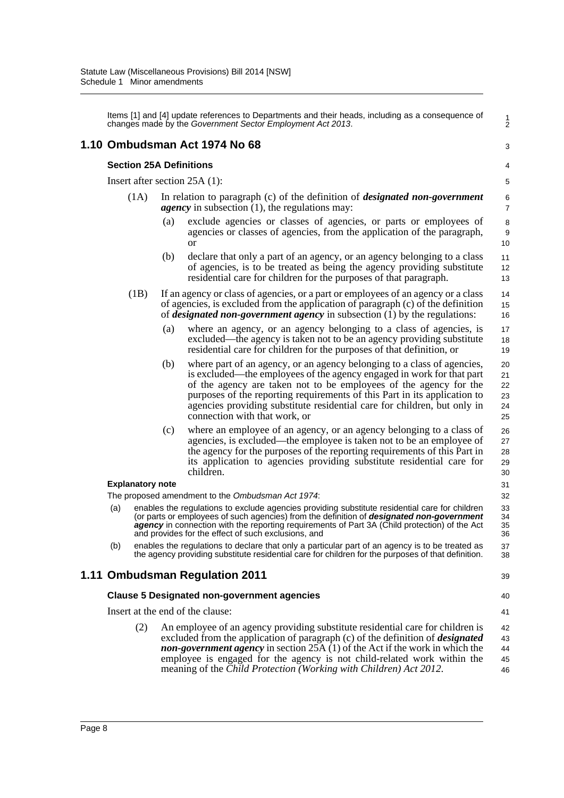Items [1] and [4] update references to Departments and their heads, including as a consequence of changes made by the *Government Sector Employment Act 2013*.

### **1.10 Ombudsman Act 1974 No 68**

#### **Section 25A Definitions**

Insert after section 25A (1):

- (1A) In relation to paragraph (c) of the definition of *designated non-government agency* in subsection (1), the regulations may:
	- (a) exclude agencies or classes of agencies, or parts or employees of agencies or classes of agencies, from the application of the paragraph, or
	- (b) declare that only a part of an agency, or an agency belonging to a class of agencies, is to be treated as being the agency providing substitute residential care for children for the purposes of that paragraph.
- (1B) If an agency or class of agencies, or a part or employees of an agency or a class of agencies, is excluded from the application of paragraph (c) of the definition of *designated non-government agency* in subsection (1) by the regulations:
	- (a) where an agency, or an agency belonging to a class of agencies, is excluded—the agency is taken not to be an agency providing substitute residential care for children for the purposes of that definition, or
	- (b) where part of an agency, or an agency belonging to a class of agencies, is excluded—the employees of the agency engaged in work for that part of the agency are taken not to be employees of the agency for the purposes of the reporting requirements of this Part in its application to agencies providing substitute residential care for children, but only in connection with that work, or
	- (c) where an employee of an agency, or an agency belonging to a class of agencies, is excluded—the employee is taken not to be an employee of the agency for the purposes of the reporting requirements of this Part in its application to agencies providing substitute residential care for children.

### **Explanatory note**

The proposed amendment to the *Ombudsman Act 1974*:

- (a) enables the regulations to exclude agencies providing substitute residential care for children (or parts or employees of such agencies) from the definition of *designated non-government* agency in connection with the reporting requirements of Part 3A (Child protection) of the Act and provides for the effect of such exclusions, and
- (b) enables the regulations to declare that only a particular part of an agency is to be treated as the agency providing substitute residential care for children for the purposes of that definition.

## **1.11 Ombudsman Regulation 2011**

Insert at the end of the clause:

39 40

41

1 2

3

#### **Clause 5 Designated non-government agencies**

(2) An employee of an agency providing substitute residential care for children is excluded from the application of paragraph (c) of the definition of *designated non-government agency* in section 25A (1) of the Act if the work in which the employee is engaged for the agency is not child-related work within the meaning of the *Child Protection (Working with Children) Act 2012*. 42 43 44 45 46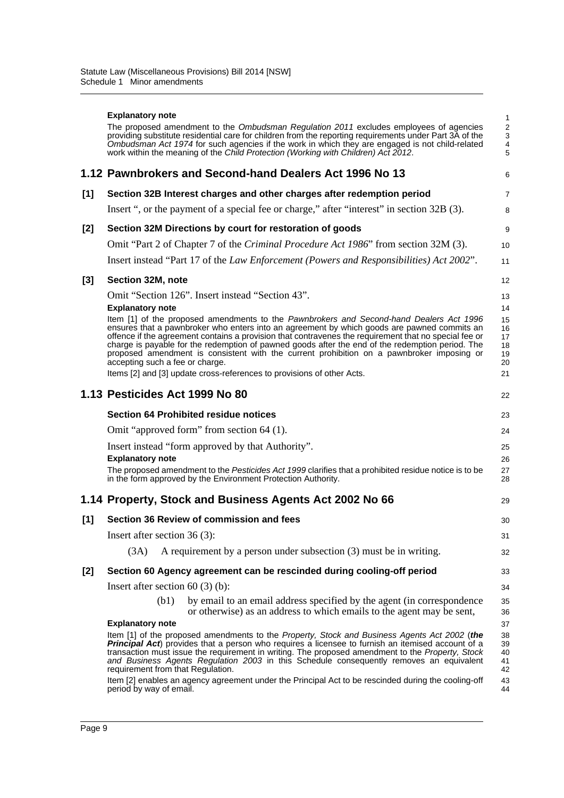|       | <b>Explanatory note</b>                                                                                                                                                                                                                                                                                                                                                                                                                                                                                                             | $\mathbf{1}$                                             |
|-------|-------------------------------------------------------------------------------------------------------------------------------------------------------------------------------------------------------------------------------------------------------------------------------------------------------------------------------------------------------------------------------------------------------------------------------------------------------------------------------------------------------------------------------------|----------------------------------------------------------|
|       | The proposed amendment to the <i>Ombudsman Regulation 2011</i> excludes employees of agencies<br>providing substitute residential care for children from the reporting requirements under Part 3A of the<br>Ombudsman Act 1974 for such agencies if the work in which they are engaged is not child-related<br>work within the meaning of the Child Protection (Working with Children) Act 2012.                                                                                                                                    | $\sqrt{2}$<br>$\sqrt{3}$<br>$\overline{\mathbf{4}}$<br>5 |
|       | 1.12 Pawnbrokers and Second-hand Dealers Act 1996 No 13                                                                                                                                                                                                                                                                                                                                                                                                                                                                             | 6                                                        |
| [1]   | Section 32B Interest charges and other charges after redemption period                                                                                                                                                                                                                                                                                                                                                                                                                                                              | $\overline{7}$                                           |
|       | Insert ", or the payment of a special fee or charge," after "interest" in section 32B (3).                                                                                                                                                                                                                                                                                                                                                                                                                                          | 8                                                        |
| [2]   | Section 32M Directions by court for restoration of goods                                                                                                                                                                                                                                                                                                                                                                                                                                                                            | 9                                                        |
|       | Omit "Part 2 of Chapter 7 of the Criminal Procedure Act 1986" from section 32M (3).                                                                                                                                                                                                                                                                                                                                                                                                                                                 | 10                                                       |
|       | Insert instead "Part 17 of the Law Enforcement (Powers and Responsibilities) Act 2002".                                                                                                                                                                                                                                                                                                                                                                                                                                             | 11                                                       |
| [3]   | Section 32M, note                                                                                                                                                                                                                                                                                                                                                                                                                                                                                                                   | 12                                                       |
|       | Omit "Section 126". Insert instead "Section 43".                                                                                                                                                                                                                                                                                                                                                                                                                                                                                    | 13                                                       |
|       | <b>Explanatory note</b>                                                                                                                                                                                                                                                                                                                                                                                                                                                                                                             | 14                                                       |
|       | Item [1] of the proposed amendments to the Pawnbrokers and Second-hand Dealers Act 1996<br>ensures that a pawnbroker who enters into an agreement by which goods are pawned commits an<br>offence if the agreement contains a provision that contravenes the requirement that no special fee or<br>charge is payable for the redemption of pawned goods after the end of the redemption period. The<br>proposed amendment is consistent with the current prohibition on a pawnbroker imposing or<br>accepting such a fee or charge. | 15<br>16<br>17<br>18<br>19<br>20                         |
|       | Items [2] and [3] update cross-references to provisions of other Acts.                                                                                                                                                                                                                                                                                                                                                                                                                                                              | 21                                                       |
|       | 1.13 Pesticides Act 1999 No 80                                                                                                                                                                                                                                                                                                                                                                                                                                                                                                      | 22                                                       |
|       | <b>Section 64 Prohibited residue notices</b>                                                                                                                                                                                                                                                                                                                                                                                                                                                                                        | 23                                                       |
|       | Omit "approved form" from section 64 (1).                                                                                                                                                                                                                                                                                                                                                                                                                                                                                           | 24                                                       |
|       | Insert instead "form approved by that Authority".<br><b>Explanatory note</b><br>The proposed amendment to the Pesticides Act 1999 clarifies that a prohibited residue notice is to be<br>in the form approved by the Environment Protection Authority.                                                                                                                                                                                                                                                                              | 25<br>26<br>27<br>28                                     |
|       | 1.14 Property, Stock and Business Agents Act 2002 No 66                                                                                                                                                                                                                                                                                                                                                                                                                                                                             | 29                                                       |
| [1]   | Section 36 Review of commission and fees                                                                                                                                                                                                                                                                                                                                                                                                                                                                                            | 30                                                       |
|       | Insert after section 36 (3):                                                                                                                                                                                                                                                                                                                                                                                                                                                                                                        | 31                                                       |
|       | A requirement by a person under subsection (3) must be in writing.<br>(3A)                                                                                                                                                                                                                                                                                                                                                                                                                                                          | 32                                                       |
| $[2]$ | Section 60 Agency agreement can be rescinded during cooling-off period                                                                                                                                                                                                                                                                                                                                                                                                                                                              | 33                                                       |
|       | Insert after section $60(3)(b)$ :                                                                                                                                                                                                                                                                                                                                                                                                                                                                                                   | 34                                                       |
|       | (b1)<br>by email to an email address specified by the agent (in correspondence<br>or otherwise) as an address to which emails to the agent may be sent,                                                                                                                                                                                                                                                                                                                                                                             | 35<br>36                                                 |
|       | <b>Explanatory note</b>                                                                                                                                                                                                                                                                                                                                                                                                                                                                                                             | 37                                                       |
|       | Item [1] of the proposed amendments to the Property, Stock and Business Agents Act 2002 (the<br>Principal Act) provides that a person who requires a licensee to furnish an itemised account of a<br>transaction must issue the requirement in writing. The proposed amendment to the Property, Stock                                                                                                                                                                                                                               | 38<br>39<br>40                                           |
|       | and Business Agents Regulation 2003 in this Schedule consequently removes an equivalent<br>requirement from that Regulation.                                                                                                                                                                                                                                                                                                                                                                                                        | 41<br>42                                                 |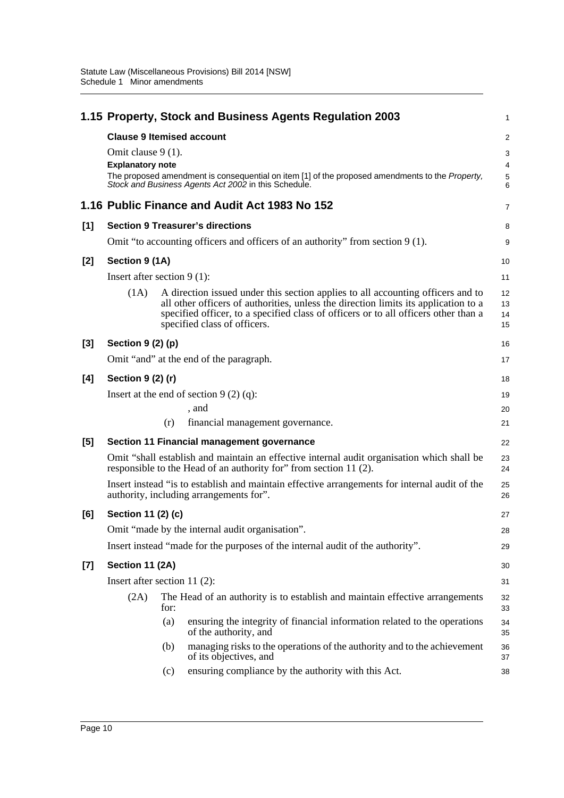|       |                                                                                   |      | 1.15 Property, Stock and Business Agents Regulation 2003                                                                                                                                                                                                                                      | 1                                  |
|-------|-----------------------------------------------------------------------------------|------|-----------------------------------------------------------------------------------------------------------------------------------------------------------------------------------------------------------------------------------------------------------------------------------------------|------------------------------------|
|       | <b>Clause 9 Itemised account</b><br>Omit clause 9 (1).<br><b>Explanatory note</b> |      | The proposed amendment is consequential on item [1] of the proposed amendments to the Property,<br>Stock and Business Agents Act 2002 in this Schedule.                                                                                                                                       | $\overline{c}$<br>3<br>4<br>5<br>6 |
|       |                                                                                   |      | 1.16 Public Finance and Audit Act 1983 No 152                                                                                                                                                                                                                                                 | 7                                  |
| [1]   |                                                                                   |      | <b>Section 9 Treasurer's directions</b>                                                                                                                                                                                                                                                       | 8                                  |
|       |                                                                                   |      | Omit "to accounting officers and officers of an authority" from section 9 (1).                                                                                                                                                                                                                | 9                                  |
| $[2]$ | Section 9 (1A)                                                                    |      |                                                                                                                                                                                                                                                                                               | 10                                 |
|       | Insert after section $9(1)$ :                                                     |      |                                                                                                                                                                                                                                                                                               | 11                                 |
|       | (1A)                                                                              |      | A direction issued under this section applies to all accounting officers and to<br>all other officers of authorities, unless the direction limits its application to a<br>specified officer, to a specified class of officers or to all officers other than a<br>specified class of officers. | 12<br>13<br>14<br>15               |
| $[3]$ | Section $9(2)(p)$                                                                 |      |                                                                                                                                                                                                                                                                                               | 16                                 |
|       |                                                                                   |      | Omit "and" at the end of the paragraph.                                                                                                                                                                                                                                                       | 17                                 |
| [4]   | Section 9 (2) (r)                                                                 |      |                                                                                                                                                                                                                                                                                               | 18                                 |
|       |                                                                                   |      | Insert at the end of section $9(2)(q)$ :                                                                                                                                                                                                                                                      | 19                                 |
|       |                                                                                   |      | , and                                                                                                                                                                                                                                                                                         | 20                                 |
|       |                                                                                   | (r)  | financial management governance.                                                                                                                                                                                                                                                              | 21                                 |
| [5]   |                                                                                   |      | Section 11 Financial management governance                                                                                                                                                                                                                                                    | 22                                 |
|       |                                                                                   |      | Omit "shall establish and maintain an effective internal audit organisation which shall be<br>responsible to the Head of an authority for" from section 11 (2).                                                                                                                               | 23<br>24                           |
|       |                                                                                   |      | Insert instead "is to establish and maintain effective arrangements for internal audit of the<br>authority, including arrangements for".                                                                                                                                                      | 25<br>26                           |
| [6]   | Section 11 (2) (c)                                                                |      |                                                                                                                                                                                                                                                                                               | 27                                 |
|       |                                                                                   |      | Omit "made by the internal audit organisation".                                                                                                                                                                                                                                               | 28                                 |
|       |                                                                                   |      | Insert instead "made for the purposes of the internal audit of the authority".                                                                                                                                                                                                                | 29                                 |
| $[7]$ | Section 11 (2A)                                                                   |      |                                                                                                                                                                                                                                                                                               | 30                                 |
|       | Insert after section 11 $(2)$ :                                                   |      |                                                                                                                                                                                                                                                                                               | 31                                 |
|       | (2A)                                                                              | for: | The Head of an authority is to establish and maintain effective arrangements                                                                                                                                                                                                                  | 32<br>33                           |
|       |                                                                                   | (a)  | ensuring the integrity of financial information related to the operations<br>of the authority, and                                                                                                                                                                                            | 34<br>35                           |
|       |                                                                                   | (b)  | managing risks to the operations of the authority and to the achievement<br>of its objectives, and                                                                                                                                                                                            | 36<br>37                           |
|       |                                                                                   | (c)  | ensuring compliance by the authority with this Act.                                                                                                                                                                                                                                           | 38                                 |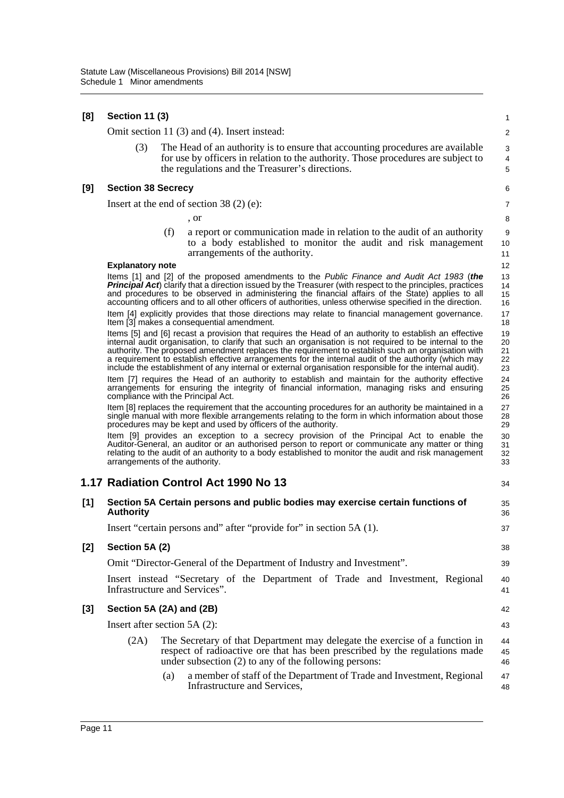| [8] | <b>Section 11 (3)</b> |  |  |
|-----|-----------------------|--|--|
|-----|-----------------------|--|--|

Omit section 11 (3) and (4). Insert instead:

(3) The Head of an authority is to ensure that accounting procedures are available for use by officers in relation to the authority. Those procedures are subject to the regulations and the Treasurer's directions.

34

#### **[9] Section 38 Secrecy**

Insert at the end of section 38 (2) (e):

, or

(f) a report or communication made in relation to the audit of an authority to a body established to monitor the audit and risk management arrangements of the authority.

#### **Explanatory note**

Items [1] and [2] of the proposed amendments to the *Public Finance and Audit Act 1983* (*the Principal Act*) clarify that a direction issued by the Treasurer (with respect to the principles, practices and procedures to be observed in administering the financial affairs of the State) applies to all accounting officers and to all other officers of authorities, unless otherwise specified in the direction.

Item [4] explicitly provides that those directions may relate to financial management governance. Item [3] makes a consequential amendment.

Items [5] and [6] recast a provision that requires the Head of an authority to establish an effective internal audit organisation, to clarify that such an organisation is not required to be internal to the authority. The proposed amendment replaces the requirement to establish such an organisation with a requirement to establish effective arrangements for the internal audit of the authority (which may include the establishment of any internal or external organisation responsible for the internal audit).

Item [7] requires the Head of an authority to establish and maintain for the authority effective arrangements for ensuring the integrity of financial information, managing risks and ensuring compliance with the Principal Act.

Item [8] replaces the requirement that the accounting procedures for an authority be maintained in a single manual with more flexible arrangements relating to the form in which information about those procedures may be kept and used by officers of the authority.

Item [9] provides an exception to a secrecy provision of the Principal Act to enable the Auditor-General, an auditor or an authorised person to report or communicate any matter or thing relating to the audit of an authority to a body established to monitor the audit and risk management arrangements of the authority.

## **1.17 Radiation Control Act 1990 No 13**

| [1] | Section 5A Certain persons and public bodies may exercise certain functions of<br><b>Authority</b> |                                                                                                                                                                                                                     |                |  |
|-----|----------------------------------------------------------------------------------------------------|---------------------------------------------------------------------------------------------------------------------------------------------------------------------------------------------------------------------|----------------|--|
|     |                                                                                                    | Insert "certain persons and" after "provide for" in section 5A (1).                                                                                                                                                 | 37             |  |
| [2] | Section 5A (2)                                                                                     |                                                                                                                                                                                                                     | 38             |  |
|     |                                                                                                    | Omit "Director-General of the Department of Industry and Investment".                                                                                                                                               | 39             |  |
|     |                                                                                                    | Insert instead "Secretary of the Department of Trade and Investment, Regional<br>Infrastructure and Services".                                                                                                      | 40<br>41       |  |
| [3] | Section 5A (2A) and (2B)                                                                           |                                                                                                                                                                                                                     |                |  |
|     |                                                                                                    | Insert after section $5A(2)$ :                                                                                                                                                                                      | 43             |  |
|     | (2A)                                                                                               | The Secretary of that Department may delegate the exercise of a function in<br>respect of radioactive ore that has been prescribed by the regulations made<br>under subsection (2) to any of the following persons: | 44<br>45<br>46 |  |
|     |                                                                                                    |                                                                                                                                                                                                                     |                |  |

(a) a member of staff of the Department of Trade and Investment, Regional Infrastructure and Services, 47 48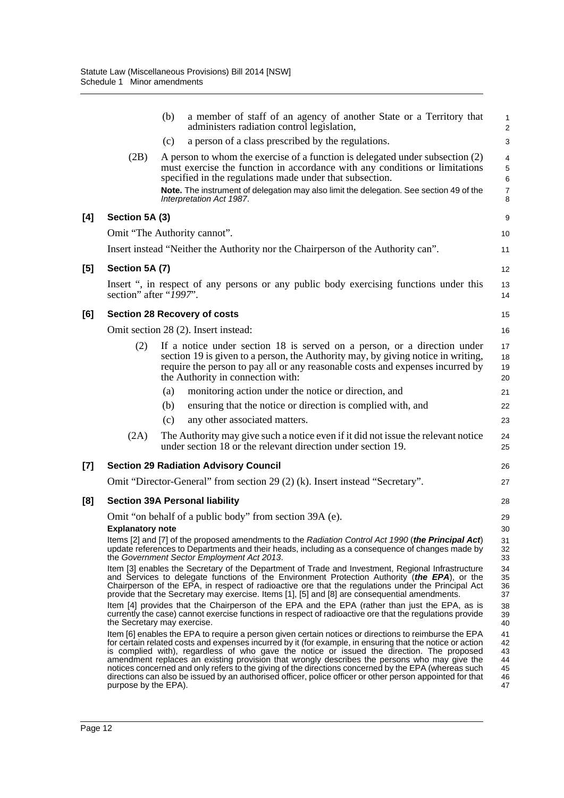|     |                             | (b) | a member of staff of an agency of another State or a Territory that<br>administers radiation control legislation,                                                                                                                                                                                                                                                                                                                                                                                                                                                                                                                     | 1<br>$\overline{\mathbf{c}}$           |
|-----|-----------------------------|-----|---------------------------------------------------------------------------------------------------------------------------------------------------------------------------------------------------------------------------------------------------------------------------------------------------------------------------------------------------------------------------------------------------------------------------------------------------------------------------------------------------------------------------------------------------------------------------------------------------------------------------------------|----------------------------------------|
|     |                             | (c) | a person of a class prescribed by the regulations.                                                                                                                                                                                                                                                                                                                                                                                                                                                                                                                                                                                    | 3                                      |
|     | (2B)                        |     | A person to whom the exercise of a function is delegated under subsection (2)<br>must exercise the function in accordance with any conditions or limitations<br>specified in the regulations made under that subsection.<br>Note. The instrument of delegation may also limit the delegation. See section 49 of the<br>Interpretation Act 1987.                                                                                                                                                                                                                                                                                       | 4<br>5<br>6<br>7<br>8                  |
| [4] | Section 5A (3)              |     |                                                                                                                                                                                                                                                                                                                                                                                                                                                                                                                                                                                                                                       | 9                                      |
|     |                             |     | Omit "The Authority cannot".                                                                                                                                                                                                                                                                                                                                                                                                                                                                                                                                                                                                          | 10                                     |
|     |                             |     | Insert instead "Neither the Authority nor the Chairperson of the Authority can".                                                                                                                                                                                                                                                                                                                                                                                                                                                                                                                                                      | 11                                     |
| [5] | Section 5A (7)              |     |                                                                                                                                                                                                                                                                                                                                                                                                                                                                                                                                                                                                                                       | 12                                     |
|     | section" after "1997".      |     | Insert ", in respect of any persons or any public body exercising functions under this                                                                                                                                                                                                                                                                                                                                                                                                                                                                                                                                                | 13<br>14                               |
| [6] |                             |     | <b>Section 28 Recovery of costs</b>                                                                                                                                                                                                                                                                                                                                                                                                                                                                                                                                                                                                   | 15                                     |
|     |                             |     | Omit section 28 (2). Insert instead:                                                                                                                                                                                                                                                                                                                                                                                                                                                                                                                                                                                                  | 16                                     |
|     | (2)                         |     | If a notice under section 18 is served on a person, or a direction under<br>section 19 is given to a person, the Authority may, by giving notice in writing,<br>require the person to pay all or any reasonable costs and expenses incurred by<br>the Authority in connection with:                                                                                                                                                                                                                                                                                                                                                   | 17<br>18<br>19<br>20                   |
|     |                             | (a) | monitoring action under the notice or direction, and                                                                                                                                                                                                                                                                                                                                                                                                                                                                                                                                                                                  | 21                                     |
|     |                             | (b) | ensuring that the notice or direction is complied with, and                                                                                                                                                                                                                                                                                                                                                                                                                                                                                                                                                                           | 22                                     |
|     |                             | (c) | any other associated matters.                                                                                                                                                                                                                                                                                                                                                                                                                                                                                                                                                                                                         | 23                                     |
|     | (2A)                        |     | The Authority may give such a notice even if it did not issue the relevant notice<br>under section 18 or the relevant direction under section 19.                                                                                                                                                                                                                                                                                                                                                                                                                                                                                     | 24<br>25                               |
| [7] |                             |     | <b>Section 29 Radiation Advisory Council</b>                                                                                                                                                                                                                                                                                                                                                                                                                                                                                                                                                                                          | 26                                     |
|     |                             |     | Omit "Director-General" from section 29 (2) (k). Insert instead "Secretary".                                                                                                                                                                                                                                                                                                                                                                                                                                                                                                                                                          | 27                                     |
| [8] |                             |     | <b>Section 39A Personal liability</b>                                                                                                                                                                                                                                                                                                                                                                                                                                                                                                                                                                                                 | 28                                     |
|     |                             |     | Omit "on behalf of a public body" from section 39A (e).                                                                                                                                                                                                                                                                                                                                                                                                                                                                                                                                                                               | 29                                     |
|     | <b>Explanatory note</b>     |     |                                                                                                                                                                                                                                                                                                                                                                                                                                                                                                                                                                                                                                       | 30                                     |
|     |                             |     | Items [2] and [7] of the proposed amendments to the Radiation Control Act 1990 (the Principal Act)<br>update references to Departments and their heads, including as a consequence of changes made by<br>the Government Sector Employment Act 2013.                                                                                                                                                                                                                                                                                                                                                                                   | 31<br>32<br>33                         |
|     |                             |     | Item [3] enables the Secretary of the Department of Trade and Investment, Regional Infrastructure<br>and Services to delegate functions of the Environment Protection Authority (the EPA), or the<br>Chairperson of the EPA, in respect of radioactive ore that the regulations under the Principal Act<br>provide that the Secretary may exercise. Items [1], [5] and [8] are consequential amendments.                                                                                                                                                                                                                              | 34<br>35<br>36<br>37                   |
|     | the Secretary may exercise. |     | Item [4] provides that the Chairperson of the EPA and the EPA (rather than just the EPA, as is<br>currently the case) cannot exercise functions in respect of radioactive ore that the regulations provide                                                                                                                                                                                                                                                                                                                                                                                                                            | 38<br>39<br>40                         |
|     | purpose by the EPA).        |     | Item [6] enables the EPA to require a person given certain notices or directions to reimburse the EPA<br>for certain related costs and expenses incurred by it (for example, in ensuring that the notice or action<br>is complied with), regardless of who gave the notice or issued the direction. The proposed<br>amendment replaces an existing provision that wrongly describes the persons who may give the<br>notices concerned and only refers to the giving of the directions concerned by the EPA (whereas such<br>directions can also be issued by an authorised officer, police officer or other person appointed for that | 41<br>42<br>43<br>44<br>45<br>46<br>47 |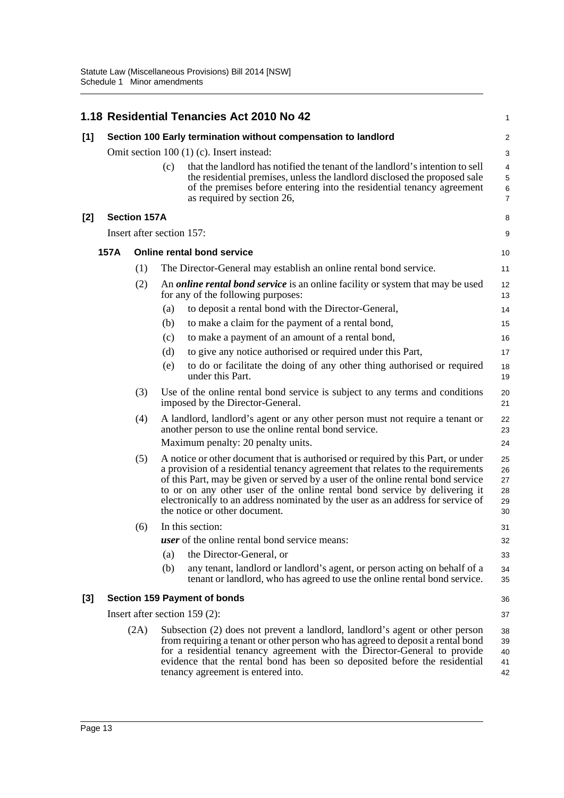|       |      |                           |     | 1.18 Residential Tenancies Act 2010 No 42                                                                                                                                                                                                                                                                                                                                                                                                                 | 1                                |
|-------|------|---------------------------|-----|-----------------------------------------------------------------------------------------------------------------------------------------------------------------------------------------------------------------------------------------------------------------------------------------------------------------------------------------------------------------------------------------------------------------------------------------------------------|----------------------------------|
| [1]   |      |                           |     | Section 100 Early termination without compensation to landlord                                                                                                                                                                                                                                                                                                                                                                                            | $\overline{a}$                   |
|       |      |                           |     | Omit section 100 (1) (c). Insert instead:                                                                                                                                                                                                                                                                                                                                                                                                                 | 3                                |
|       |      |                           | (c) | that the landlord has notified the tenant of the landlord's intention to sell<br>the residential premises, unless the landlord disclosed the proposed sale<br>of the premises before entering into the residential tenancy agreement<br>as required by section 26,                                                                                                                                                                                        | 4<br>5<br>6<br>$\overline{7}$    |
| $[2]$ |      | <b>Section 157A</b>       |     |                                                                                                                                                                                                                                                                                                                                                                                                                                                           | 8                                |
|       |      | Insert after section 157: |     |                                                                                                                                                                                                                                                                                                                                                                                                                                                           | 9                                |
|       | 157A |                           |     | <b>Online rental bond service</b>                                                                                                                                                                                                                                                                                                                                                                                                                         | 10                               |
|       |      | (1)                       |     | The Director-General may establish an online rental bond service.                                                                                                                                                                                                                                                                                                                                                                                         | 11                               |
|       |      | (2)                       |     | An <i>online rental bond service</i> is an online facility or system that may be used<br>for any of the following purposes:                                                                                                                                                                                                                                                                                                                               | 12<br>13                         |
|       |      |                           | (a) | to deposit a rental bond with the Director-General,                                                                                                                                                                                                                                                                                                                                                                                                       | 14                               |
|       |      |                           | (b) | to make a claim for the payment of a rental bond,                                                                                                                                                                                                                                                                                                                                                                                                         | 15                               |
|       |      |                           | (c) | to make a payment of an amount of a rental bond,                                                                                                                                                                                                                                                                                                                                                                                                          | 16                               |
|       |      |                           | (d) | to give any notice authorised or required under this Part,                                                                                                                                                                                                                                                                                                                                                                                                | 17                               |
|       |      |                           | (e) | to do or facilitate the doing of any other thing authorised or required<br>under this Part.                                                                                                                                                                                                                                                                                                                                                               | 18<br>19                         |
|       |      | (3)                       |     | Use of the online rental bond service is subject to any terms and conditions<br>imposed by the Director-General.                                                                                                                                                                                                                                                                                                                                          | 20<br>21                         |
|       |      | (4)                       |     | A landlord, landlord's agent or any other person must not require a tenant or<br>another person to use the online rental bond service.                                                                                                                                                                                                                                                                                                                    | 22<br>23                         |
|       |      |                           |     | Maximum penalty: 20 penalty units.                                                                                                                                                                                                                                                                                                                                                                                                                        | 24                               |
|       |      | (5)                       |     | A notice or other document that is authorised or required by this Part, or under<br>a provision of a residential tenancy agreement that relates to the requirements<br>of this Part, may be given or served by a user of the online rental bond service<br>to or on any other user of the online rental bond service by delivering it<br>electronically to an address nominated by the user as an address for service of<br>the notice or other document. | 25<br>26<br>27<br>28<br>29<br>30 |
|       |      | (6)                       |     | In this section:                                                                                                                                                                                                                                                                                                                                                                                                                                          | 31                               |
|       |      |                           |     | <i>user</i> of the online rental bond service means:                                                                                                                                                                                                                                                                                                                                                                                                      | 32                               |
|       |      |                           | (a) | the Director-General, or                                                                                                                                                                                                                                                                                                                                                                                                                                  | 33                               |
|       |      |                           | (b) | any tenant, landlord or landlord's agent, or person acting on behalf of a<br>tenant or landlord, who has agreed to use the online rental bond service.                                                                                                                                                                                                                                                                                                    | 34<br>35                         |
| $[3]$ |      |                           |     | <b>Section 159 Payment of bonds</b>                                                                                                                                                                                                                                                                                                                                                                                                                       | 36                               |
|       |      |                           |     | Insert after section $159(2)$ :                                                                                                                                                                                                                                                                                                                                                                                                                           | 37                               |
|       |      | (2A)                      |     | Subsection (2) does not prevent a landlord, landlord's agent or other person<br>from requiring a tenant or other person who has agreed to deposit a rental bond<br>for a residential tenancy agreement with the Director-General to provide<br>evidence that the rental bond has been so deposited before the residential<br>tenancy agreement is entered into.                                                                                           | 38<br>39<br>40<br>41<br>42       |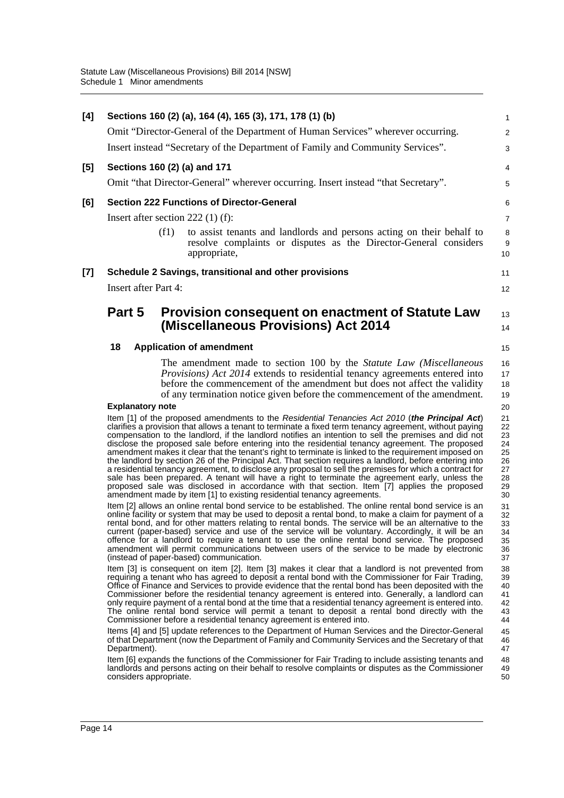| [4] | Sections 160 (2) (a), 164 (4), 165 (3), 171, 178 (1) (b)                                                                                                                                                                                                                                                                                                                                                                                                                                                                                                                                                                                                                                                                                                                                                                                                                                                                                                                                                                     | $\mathbf{1}$                                             |
|-----|------------------------------------------------------------------------------------------------------------------------------------------------------------------------------------------------------------------------------------------------------------------------------------------------------------------------------------------------------------------------------------------------------------------------------------------------------------------------------------------------------------------------------------------------------------------------------------------------------------------------------------------------------------------------------------------------------------------------------------------------------------------------------------------------------------------------------------------------------------------------------------------------------------------------------------------------------------------------------------------------------------------------------|----------------------------------------------------------|
|     | Omit "Director-General of the Department of Human Services" wherever occurring.                                                                                                                                                                                                                                                                                                                                                                                                                                                                                                                                                                                                                                                                                                                                                                                                                                                                                                                                              | $\sqrt{2}$                                               |
|     | Insert instead "Secretary of the Department of Family and Community Services".                                                                                                                                                                                                                                                                                                                                                                                                                                                                                                                                                                                                                                                                                                                                                                                                                                                                                                                                               | 3                                                        |
| [5] | Sections 160 (2) (a) and 171                                                                                                                                                                                                                                                                                                                                                                                                                                                                                                                                                                                                                                                                                                                                                                                                                                                                                                                                                                                                 | 4                                                        |
|     | Omit "that Director-General" wherever occurring. Insert instead "that Secretary".                                                                                                                                                                                                                                                                                                                                                                                                                                                                                                                                                                                                                                                                                                                                                                                                                                                                                                                                            | 5                                                        |
| [6] | <b>Section 222 Functions of Director-General</b>                                                                                                                                                                                                                                                                                                                                                                                                                                                                                                                                                                                                                                                                                                                                                                                                                                                                                                                                                                             | 6                                                        |
|     | Insert after section $222$ (1) (f):                                                                                                                                                                                                                                                                                                                                                                                                                                                                                                                                                                                                                                                                                                                                                                                                                                                                                                                                                                                          | $\overline{7}$                                           |
|     | (f1)<br>to assist tenants and landlords and persons acting on their behalf to<br>resolve complaints or disputes as the Director-General considers<br>appropriate,                                                                                                                                                                                                                                                                                                                                                                                                                                                                                                                                                                                                                                                                                                                                                                                                                                                            | $\bf 8$<br>$\boldsymbol{9}$<br>10                        |
| [7] | Schedule 2 Savings, transitional and other provisions                                                                                                                                                                                                                                                                                                                                                                                                                                                                                                                                                                                                                                                                                                                                                                                                                                                                                                                                                                        | 11                                                       |
|     | <b>Insert after Part 4:</b>                                                                                                                                                                                                                                                                                                                                                                                                                                                                                                                                                                                                                                                                                                                                                                                                                                                                                                                                                                                                  | 12                                                       |
|     | Part 5<br>Provision consequent on enactment of Statute Law                                                                                                                                                                                                                                                                                                                                                                                                                                                                                                                                                                                                                                                                                                                                                                                                                                                                                                                                                                   | 13                                                       |
|     | (Miscellaneous Provisions) Act 2014                                                                                                                                                                                                                                                                                                                                                                                                                                                                                                                                                                                                                                                                                                                                                                                                                                                                                                                                                                                          | 14                                                       |
|     | 18<br><b>Application of amendment</b>                                                                                                                                                                                                                                                                                                                                                                                                                                                                                                                                                                                                                                                                                                                                                                                                                                                                                                                                                                                        | 15                                                       |
|     | The amendment made to section 100 by the Statute Law (Miscellaneous                                                                                                                                                                                                                                                                                                                                                                                                                                                                                                                                                                                                                                                                                                                                                                                                                                                                                                                                                          | 16                                                       |
|     | <i>Provisions</i> ) Act 2014 extends to residential tenancy agreements entered into                                                                                                                                                                                                                                                                                                                                                                                                                                                                                                                                                                                                                                                                                                                                                                                                                                                                                                                                          | 17                                                       |
|     | before the commencement of the amendment but does not affect the validity                                                                                                                                                                                                                                                                                                                                                                                                                                                                                                                                                                                                                                                                                                                                                                                                                                                                                                                                                    | 18                                                       |
|     | of any termination notice given before the commencement of the amendment.                                                                                                                                                                                                                                                                                                                                                                                                                                                                                                                                                                                                                                                                                                                                                                                                                                                                                                                                                    | 19                                                       |
|     | <b>Explanatory note</b>                                                                                                                                                                                                                                                                                                                                                                                                                                                                                                                                                                                                                                                                                                                                                                                                                                                                                                                                                                                                      | 20                                                       |
|     | Item [1] of the proposed amendments to the Residential Tenancies Act 2010 (the Principal Act)<br>clarifies a provision that allows a tenant to terminate a fixed term tenancy agreement, without paying<br>compensation to the landlord, if the landlord notifies an intention to sell the premises and did not<br>disclose the proposed sale before entering into the residential tenancy agreement. The proposed<br>amendment makes it clear that the tenant's right to terminate is linked to the requirement imposed on<br>the landlord by section 26 of the Principal Act. That section requires a landlord, before entering into<br>a residential tenancy agreement, to disclose any proposal to sell the premises for which a contract for<br>sale has been prepared. A tenant will have a right to terminate the agreement early, unless the<br>proposed sale was disclosed in accordance with that section. Item [7] applies the proposed<br>amendment made by item [1] to existing residential tenancy agreements. | 21<br>22<br>23<br>24<br>25<br>26<br>27<br>28<br>29<br>30 |
|     | Item [2] allows an online rental bond service to be established. The online rental bond service is an<br>online facility or system that may be used to deposit a rental bond, to make a claim for payment of a<br>rental bond, and for other matters relating to rental bonds. The service will be an alternative to the<br>current (paper-based) service and use of the service will be voluntary. Accordingly, it will be an<br>offence for a landlord to require a tenant to use the online rental bond service. The proposed<br>amendment will permit communications between users of the service to be made by electronic<br>(instead of paper-based) communication.                                                                                                                                                                                                                                                                                                                                                    | 31<br>32<br>33<br>34<br>35<br>36<br>37                   |
|     | Item [3] is consequent on item [2]. Item [3] makes it clear that a landlord is not prevented from<br>requiring a tenant who has agreed to deposit a rental bond with the Commissioner for Fair Trading,<br>Office of Finance and Services to provide evidence that the rental bond has been deposited with the<br>Commissioner before the residential tenancy agreement is entered into. Generally, a landlord can<br>only require payment of a rental bond at the time that a residential tenancy agreement is entered into.<br>The online rental bond service will permit a tenant to deposit a rental bond directly with the<br>Commissioner before a residential tenancy agreement is entered into.                                                                                                                                                                                                                                                                                                                      | 38<br>39<br>40<br>41<br>42<br>43<br>44                   |
|     | Items [4] and [5] update references to the Department of Human Services and the Director-General<br>of that Department (now the Department of Family and Community Services and the Secretary of that<br>Department).                                                                                                                                                                                                                                                                                                                                                                                                                                                                                                                                                                                                                                                                                                                                                                                                        | 45<br>46<br>47                                           |
|     | Item [6] expands the functions of the Commissioner for Fair Trading to include assisting tenants and<br>landlords and persons acting on their behalf to resolve complaints or disputes as the Commissioner<br>considers appropriate.                                                                                                                                                                                                                                                                                                                                                                                                                                                                                                                                                                                                                                                                                                                                                                                         | 48<br>49<br>50                                           |
|     |                                                                                                                                                                                                                                                                                                                                                                                                                                                                                                                                                                                                                                                                                                                                                                                                                                                                                                                                                                                                                              |                                                          |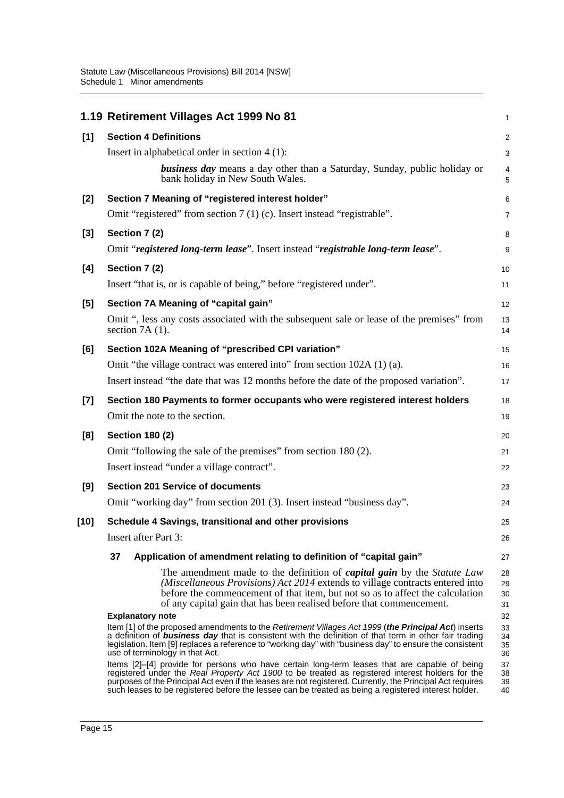|        | 1.19 Retirement Villages Act 1999 No 81                                                                                                                                                                                                                                                                                                                                                                                 | $\mathbf{1}$         |
|--------|-------------------------------------------------------------------------------------------------------------------------------------------------------------------------------------------------------------------------------------------------------------------------------------------------------------------------------------------------------------------------------------------------------------------------|----------------------|
| [1]    | <b>Section 4 Definitions</b>                                                                                                                                                                                                                                                                                                                                                                                            | $\overline{c}$       |
|        | Insert in alphabetical order in section $4(1)$ :                                                                                                                                                                                                                                                                                                                                                                        | 3                    |
|        | <b>business day</b> means a day other than a Saturday, Sunday, public holiday or<br>bank holiday in New South Wales.                                                                                                                                                                                                                                                                                                    | 4<br>5               |
| $[2]$  | Section 7 Meaning of "registered interest holder"                                                                                                                                                                                                                                                                                                                                                                       | 6                    |
|        | Omit "registered" from section 7 (1) (c). Insert instead "registrable".                                                                                                                                                                                                                                                                                                                                                 | 7                    |
| $[3]$  | Section 7 (2)                                                                                                                                                                                                                                                                                                                                                                                                           | 8                    |
|        | Omit "registered long-term lease". Insert instead "registrable long-term lease".                                                                                                                                                                                                                                                                                                                                        | 9                    |
| [4]    | Section 7 (2)                                                                                                                                                                                                                                                                                                                                                                                                           | 10                   |
|        | Insert "that is, or is capable of being," before "registered under".                                                                                                                                                                                                                                                                                                                                                    | 11                   |
| [5]    | Section 7A Meaning of "capital gain"                                                                                                                                                                                                                                                                                                                                                                                    | 12                   |
|        | Omit ", less any costs associated with the subsequent sale or lease of the premises" from<br>section $7A(1)$ .                                                                                                                                                                                                                                                                                                          | 13<br>14             |
| [6]    | Section 102A Meaning of "prescribed CPI variation"                                                                                                                                                                                                                                                                                                                                                                      | 15                   |
|        | Omit "the village contract was entered into" from section 102A (1) (a).                                                                                                                                                                                                                                                                                                                                                 | 16                   |
|        | Insert instead "the date that was 12 months before the date of the proposed variation".                                                                                                                                                                                                                                                                                                                                 | 17                   |
| $[7]$  | Section 180 Payments to former occupants who were registered interest holders                                                                                                                                                                                                                                                                                                                                           | 18                   |
|        | Omit the note to the section.                                                                                                                                                                                                                                                                                                                                                                                           | 19                   |
| [8]    | <b>Section 180 (2)</b>                                                                                                                                                                                                                                                                                                                                                                                                  | 20                   |
|        | Omit "following the sale of the premises" from section 180 (2).                                                                                                                                                                                                                                                                                                                                                         | 21                   |
|        | Insert instead "under a village contract".                                                                                                                                                                                                                                                                                                                                                                              | 22                   |
| [9]    | <b>Section 201 Service of documents</b>                                                                                                                                                                                                                                                                                                                                                                                 | 23                   |
|        | Omit "working day" from section 201 (3). Insert instead "business day".                                                                                                                                                                                                                                                                                                                                                 | 24                   |
| $[10]$ | Schedule 4 Savings, transitional and other provisions                                                                                                                                                                                                                                                                                                                                                                   | 25                   |
|        | Insert after Part 3:                                                                                                                                                                                                                                                                                                                                                                                                    | 26                   |
|        | 37<br>Application of amendment relating to definition of "capital gain"                                                                                                                                                                                                                                                                                                                                                 | 27                   |
|        | The amendment made to the definition of <i>capital gain</i> by the <i>Statute Law</i><br>(Miscellaneous Provisions) Act 2014 extends to village contracts entered into<br>before the commencement of that item, but not so as to affect the calculation<br>of any capital gain that has been realised before that commencement.                                                                                         | 28<br>29<br>30<br>31 |
|        | <b>Explanatory note</b>                                                                                                                                                                                                                                                                                                                                                                                                 | 32                   |
|        | Item [1] of the proposed amendments to the Retirement Villages Act 1999 (the Principal Act) inserts<br>a definition of <b>business day</b> that is consistent with the definition of that term in other fair trading<br>legislation. Item [9] replaces a reference to "working day" with "business day" to ensure the consistent<br>use of terminology in that Act.                                                     | 33<br>34<br>35<br>36 |
|        | Items [2]–[4] provide for persons who have certain long-term leases that are capable of being<br>registered under the Real Property Act 1900 to be treated as registered interest holders for the<br>purposes of the Principal Act even if the leases are not registered. Currently, the Principal Act requires<br>such leases to be registered before the lessee can be treated as being a registered interest holder. | 37<br>38<br>39<br>40 |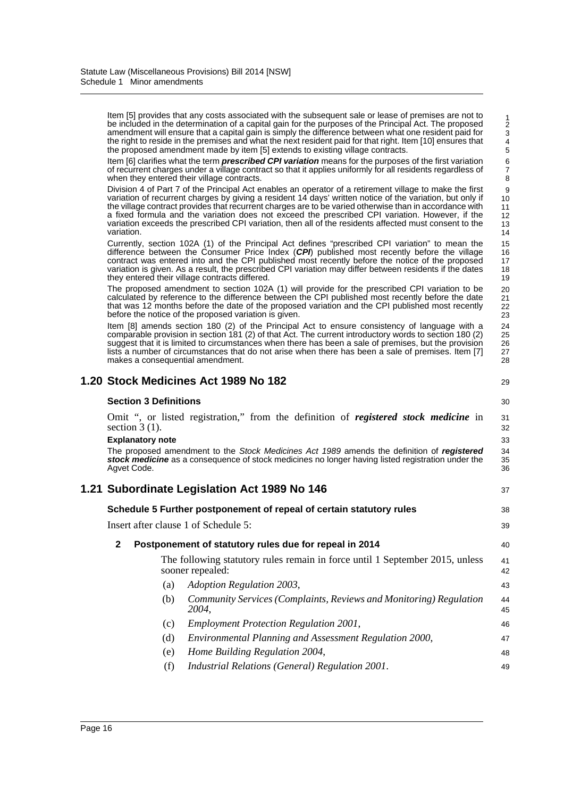Item [5] provides that any costs associated with the subsequent sale or lease of premises are not to be included in the determination of a capital gain for the purposes of the Principal Act. The proposed amendment will ensure that a capital gain is simply the difference between what one resident paid for the right to reside in the premises and what the next resident paid for that right. Item [10] ensures that the proposed amendment made by item [5] extends to existing village contracts.

Item [6] clarifies what the term *prescribed CPI variation* means for the purposes of the first variation of recurrent charges under a village contract so that it applies uniformly for all residents regardless of when they entered their village contracts.

Division 4 of Part 7 of the Principal Act enables an operator of a retirement village to make the first variation of recurrent charges by giving a resident 14 days' written notice of the variation, but only if the village contract provides that recurrent charges are to be varied otherwise than in accordance with a fixed formula and the variation does not exceed the prescribed CPI variation. However, if the variation exceeds the prescribed CPI variation, then all of the residents affected must consent to the variation.

Currently, section 102A (1) of the Principal Act defines "prescribed CPI variation" to mean the difference between the Consumer Price Index (*CPI*) published most recently before the village contract was entered into and the CPI published most recently before the notice of the proposed variation is given. As a result, the prescribed CPI variation may differ between residents if the dates they entered their village contracts differed.

The proposed amendment to section 102A (1) will provide for the prescribed CPI variation to be calculated by reference to the difference between the CPI published most recently before the date that was 12 months before the date of the proposed variation and the CPI published most recently before the notice of the proposed variation is given.

Item [8] amends section 180 (2) of the Principal Act to ensure consistency of language with a comparable provision in section 181 (2) of that Act. The current introductory words to section 180 (2) suggest that it is limited to circumstances when there has been a sale of premises, but the provision lists a number of circumstances that do not arise when there has been a sale of premises. Item [7] makes a consequential amendment.

|                                      |                              | 1.20 Stock Medicines Act 1989 No 182                                                                                                                                                            | 29             |
|--------------------------------------|------------------------------|-------------------------------------------------------------------------------------------------------------------------------------------------------------------------------------------------|----------------|
|                                      | <b>Section 3 Definitions</b> |                                                                                                                                                                                                 | 30             |
|                                      | section $3(1)$ .             | Omit ", or listed registration," from the definition of <i>registered stock medicine</i> in                                                                                                     | 31<br>32       |
|                                      | <b>Explanatory note</b>      |                                                                                                                                                                                                 | 33             |
|                                      | Agvet Code.                  | The proposed amendment to the Stock Medicines Act 1989 amends the definition of registered<br>stock medicine as a consequence of stock medicines no longer having listed registration under the | 34<br>35<br>36 |
|                                      |                              | 1.21 Subordinate Legislation Act 1989 No 146                                                                                                                                                    | 37             |
|                                      |                              | Schedule 5 Further postponement of repeal of certain statutory rules                                                                                                                            | 38             |
| Insert after clause 1 of Schedule 5: |                              |                                                                                                                                                                                                 | 39             |
| $\mathbf{2}$                         |                              | Postponement of statutory rules due for repeal in 2014                                                                                                                                          | 40             |
|                                      |                              | The following statutory rules remain in force until 1 September 2015, unless<br>sooner repealed:                                                                                                | 41<br>42       |
|                                      | (a)                          | Adoption Regulation 2003,                                                                                                                                                                       | 43             |
|                                      | (b)                          | Community Services (Complaints, Reviews and Monitoring) Regulation<br>2004,                                                                                                                     | 44<br>45       |
|                                      | (c)                          | <b>Employment Protection Regulation 2001,</b>                                                                                                                                                   | 46             |
|                                      | (d)                          | Environmental Planning and Assessment Regulation 2000,                                                                                                                                          | 47             |
|                                      | (e)                          | Home Building Regulation 2004,                                                                                                                                                                  | 48             |
|                                      | (f)                          | Industrial Relations (General) Regulation 2001.                                                                                                                                                 | 49             |
|                                      |                              |                                                                                                                                                                                                 |                |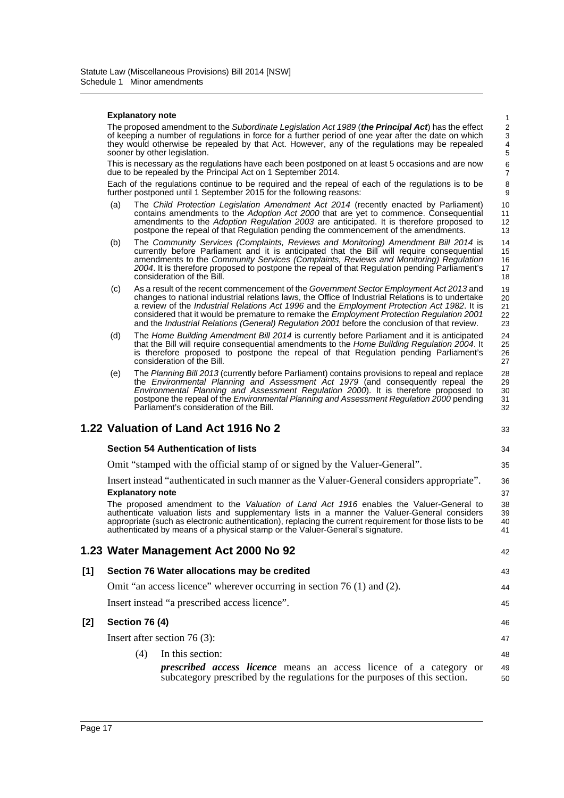#### **Explanatory note**

The proposed amendment to the *Subordinate Legislation Act 1989* (*the Principal Act*) has the effect of keeping a number of regulations in force for a further period of one year after the date on which they would otherwise be repealed by that Act. However, any of the regulations may be repealed sooner by other legislation.

33

42

This is necessary as the regulations have each been postponed on at least 5 occasions and are now due to be repealed by the Principal Act on 1 September 2014.

Each of the regulations continue to be required and the repeal of each of the regulations is to be further postponed until 1 September 2015 for the following reasons:

- (a) The *Child Protection Legislation Amendment Act 2014* (recently enacted by Parliament) contains amendments to the *Adoption Act 2000* that are yet to commence. Consequential amendments to the *Adoption Regulation 2003* are anticipated. It is therefore proposed to postpone the repeal of that Regulation pending the commencement of the amendments.
- (b) The *Community Services (Complaints, Reviews and Monitoring) Amendment Bill 2014* is currently before Parliament and it is anticipated that the Bill will require consequential amendments to the *Community Services (Complaints, Reviews and Monitoring) Regulation* 2004. It is therefore proposed to postpone the repeal of that Regulation pending Parliament's consideration of the Bill.
- (c) As a result of the recent commencement of the *Government Sector Employment Act 2013* and changes to national industrial relations laws, the Office of Industrial Relations is to undertake a review of the *Industrial Relations Act 1996* and the *Employment Protection Act 1982*. It is considered that it would be premature to remake the *Employment Protection Regulation 2001* and the *Industrial Relations (General) Regulation 2001* before the conclusion of that review. 19 20 21 22 23
- (d) The *Home Building Amendment Bill 2014* is currently before Parliament and it is anticipated that the Bill will require consequential amendments to the *Home Building Regulation 2004*. It is therefore proposed to postpone the repeal of that Regulation pending Parliament's consideration of the Bill. 24 25 26 27
- (e) The *Planning Bill 2013* (currently before Parliament) contains provisions to repeal and replace the *Environmental Planning and Assessment Act 1979* (and consequently repeal the *Environmental Planning and Assessment Regulation 2000*). It is therefore proposed to postpone the repeal of the *Environmental Planning and Assessment Regulation 2000* pending Parliament's consideration of the Bill. 28 29 30 31 32

## **1.22 Valuation of Land Act 1916 No 2**

#### **Section 54 Authentication of lists**

Omit "stamped with the official stamp of or signed by the Valuer-General".

## Insert instead "authenticated in such manner as the Valuer-General considers appropriate". **Explanatory note**

The proposed amendment to the *Valuation of Land Act 1916* enables the Valuer-General to authenticate valuation lists and supplementary lists in a manner the Valuer-General considers appropriate (such as electronic authentication), replacing the current requirement for those lists to be authenticated by means of a physical stamp or the Valuer-General's signature.

### **1.23 Water Management Act 2000 No 92**

# **[1] Section 76 Water allocations may be credited** Omit "an access licence" wherever occurring in section 76 (1) and (2).

Insert instead "a prescribed access licence".

### **[2] Section 76 (4)**

Insert after section 76 (3):

(4) In this section: *prescribed access licence* means an access licence of a category or subcategory prescribed by the regulations for the purposes of this section. 48 49 50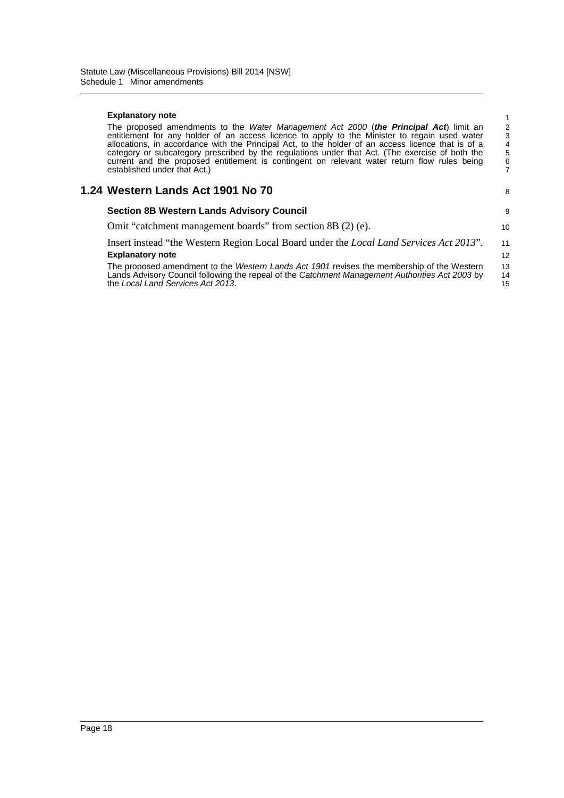#### **Explanatory note**

| The proposed amendments to the <i>Water Management Act 2000</i> (the <b>Principal Act</b> ) limit an |
|------------------------------------------------------------------------------------------------------|
| entitlement for any holder of an access licence to apply to the Minister to regain used water        |
| allocations, in accordance with the Principal Act, to the holder of an access licence that is of a   |
| category or subcategory prescribed by the regulations under that Act. (The exercise of both the      |
| current and the proposed entitlement is contingent on relevant water return flow rules being         |
| established under that Act.)                                                                         |
|                                                                                                      |

### **1.24 Western Lands Act 1901 No 70**

|  | 8 |
|--|---|
|  | 9 |

10

| <b>Section 8B Western Lands Advisory Council</b> |
|--------------------------------------------------|
|--------------------------------------------------|

Omit "catchment management boards" from section 8B (2) (e).

| Insert instead "the Western Region Local Board under the <i>Local Land Services Act 2013"</i> . |     |
|-------------------------------------------------------------------------------------------------|-----|
| <b>Explanatory note</b>                                                                         |     |
| The proposed amendment to the Western Lands Act 1901 revises the membership of the Western      | 13. |

Lands Advisory Council following the repeal of the *Catchment Management Authorities Act 2003* by the *Local Land Services Act 2013*. 14 15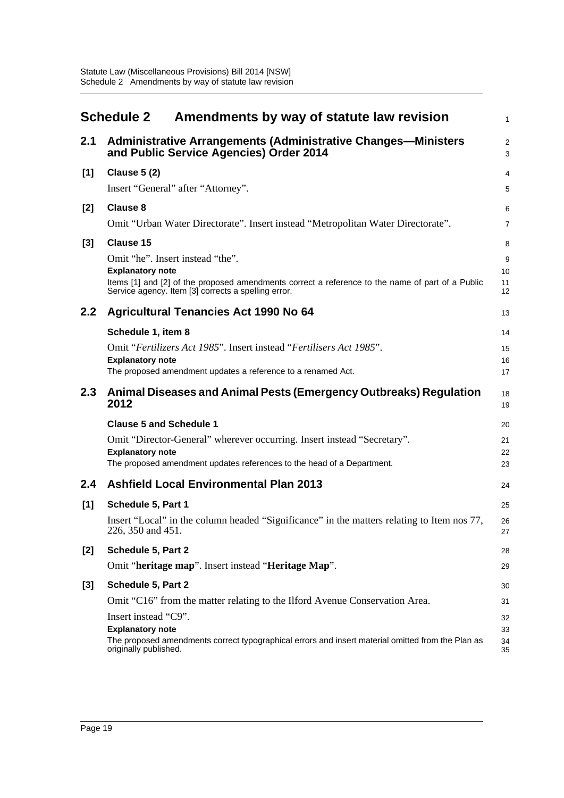<span id="page-22-0"></span>

|       | Amendments by way of statute law revision<br><b>Schedule 2</b>                                                                                                                                                         | $\mathbf{1}$         |
|-------|------------------------------------------------------------------------------------------------------------------------------------------------------------------------------------------------------------------------|----------------------|
| 2.1   | <b>Administrative Arrangements (Administrative Changes—Ministers</b><br>and Public Service Agencies) Order 2014                                                                                                        | 2<br>3               |
| [1]   | <b>Clause 5 (2)</b>                                                                                                                                                                                                    | 4                    |
|       | Insert "General" after "Attorney".                                                                                                                                                                                     | 5                    |
| [2]   | <b>Clause 8</b>                                                                                                                                                                                                        | 6                    |
|       | Omit "Urban Water Directorate". Insert instead "Metropolitan Water Directorate".                                                                                                                                       | $\overline{7}$       |
| [3]   | <b>Clause 15</b>                                                                                                                                                                                                       | 8                    |
|       | Omit "he". Insert instead "the".<br><b>Explanatory note</b><br>Items [1] and [2] of the proposed amendments correct a reference to the name of part of a Public<br>Service agency. Item [3] corrects a spelling error. | 9<br>10<br>11<br>12  |
| 2.2   | <b>Agricultural Tenancies Act 1990 No 64</b>                                                                                                                                                                           | 13                   |
|       | Schedule 1, item 8                                                                                                                                                                                                     | 14                   |
|       | Omit "Fertilizers Act 1985". Insert instead "Fertilisers Act 1985".                                                                                                                                                    | 15                   |
|       | <b>Explanatory note</b><br>The proposed amendment updates a reference to a renamed Act.                                                                                                                                | 16<br>17             |
| 2.3   | Animal Diseases and Animal Pests (Emergency Outbreaks) Regulation<br>2012                                                                                                                                              | 18<br>19             |
|       | <b>Clause 5 and Schedule 1</b>                                                                                                                                                                                         | 20                   |
|       | Omit "Director-General" wherever occurring. Insert instead "Secretary".                                                                                                                                                | 21                   |
|       | <b>Explanatory note</b><br>The proposed amendment updates references to the head of a Department.                                                                                                                      | 22<br>23             |
| 2.4   | <b>Ashfield Local Environmental Plan 2013</b>                                                                                                                                                                          | 24                   |
| [1]   | Schedule 5, Part 1                                                                                                                                                                                                     | 25                   |
|       | Insert "Local" in the column headed "Significance" in the matters relating to Item nos 77,<br>226, 350 and 451.                                                                                                        | 26<br>27             |
| $[2]$ | Schedule 5, Part 2                                                                                                                                                                                                     | 28                   |
|       | Omit "heritage map". Insert instead "Heritage Map".                                                                                                                                                                    | 29                   |
| [3]   | Schedule 5, Part 2                                                                                                                                                                                                     | 30                   |
|       | Omit "C16" from the matter relating to the Ilford Avenue Conservation Area.                                                                                                                                            | 31                   |
|       | Insert instead "C9".<br><b>Explanatory note</b><br>The proposed amendments correct typographical errors and insert material omitted from the Plan as<br>originally published.                                          | 32<br>33<br>34<br>35 |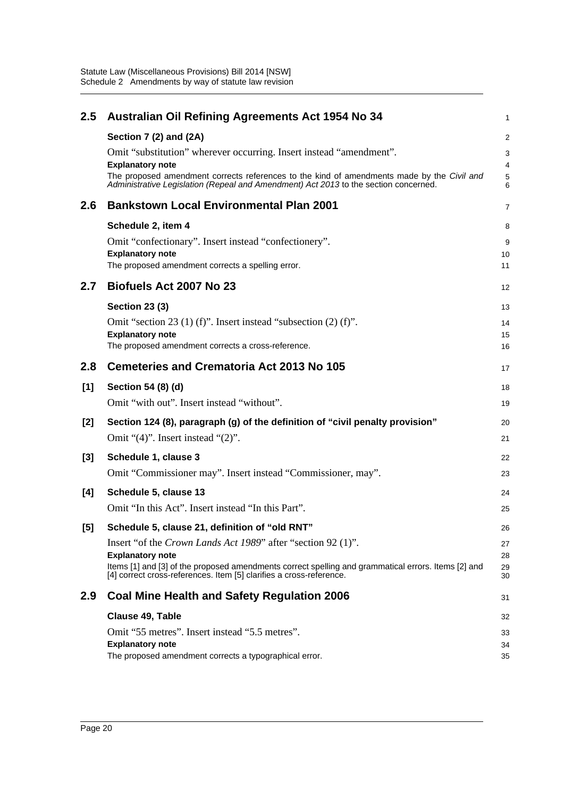| 2.5 | <b>Australian Oil Refining Agreements Act 1954 No 34</b>                                                                                                                                                      | 1           |
|-----|---------------------------------------------------------------------------------------------------------------------------------------------------------------------------------------------------------------|-------------|
|     | Section 7 (2) and (2A)                                                                                                                                                                                        | 2           |
|     | Omit "substitution" wherever occurring. Insert instead "amendment".                                                                                                                                           | 3           |
|     | <b>Explanatory note</b><br>The proposed amendment corrects references to the kind of amendments made by the Civil and<br>Administrative Legislation (Repeal and Amendment) Act 2013 to the section concerned. | 4<br>5<br>6 |
| 2.6 | <b>Bankstown Local Environmental Plan 2001</b>                                                                                                                                                                | 7           |
|     | Schedule 2, item 4                                                                                                                                                                                            | 8           |
|     | Omit "confectionary". Insert instead "confectionery".                                                                                                                                                         | 9           |
|     | <b>Explanatory note</b>                                                                                                                                                                                       | 10          |
|     | The proposed amendment corrects a spelling error.                                                                                                                                                             | 11          |
| 2.7 | Biofuels Act 2007 No 23                                                                                                                                                                                       | 12          |
|     | <b>Section 23 (3)</b>                                                                                                                                                                                         | 13          |
|     | Omit "section 23 (1) (f)". Insert instead "subsection $(2)$ (f)".                                                                                                                                             | 14          |
|     | <b>Explanatory note</b>                                                                                                                                                                                       | 15          |
|     | The proposed amendment corrects a cross-reference.                                                                                                                                                            | 16          |
| 2.8 | <b>Cemeteries and Crematoria Act 2013 No 105</b>                                                                                                                                                              | 17          |
| [1] | Section 54 (8) (d)                                                                                                                                                                                            | 18          |
|     | Omit "with out". Insert instead "without".                                                                                                                                                                    | 19          |
| [2] | Section 124 (8), paragraph (g) of the definition of "civil penalty provision"                                                                                                                                 | 20          |
|     | Omit " $(4)$ ". Insert instead " $(2)$ ".                                                                                                                                                                     | 21          |
|     |                                                                                                                                                                                                               |             |
| [3] | Schedule 1, clause 3                                                                                                                                                                                          | 22          |
|     | Omit "Commissioner may". Insert instead "Commissioner, may".                                                                                                                                                  | 23          |
| [4] | Schedule 5, clause 13                                                                                                                                                                                         | 24          |
|     | Omit "In this Act". Insert instead "In this Part".                                                                                                                                                            | 25          |
| [5] | Schedule 5, clause 21, definition of "old RNT"                                                                                                                                                                | 26          |
|     | Insert "of the <i>Crown Lands Act 1989</i> " after "section 92 (1)".                                                                                                                                          | 27          |
|     | <b>Explanatory note</b>                                                                                                                                                                                       | 28          |
|     | Items [1] and [3] of the proposed amendments correct spelling and grammatical errors. Items [2] and<br>[4] correct cross-references. Item [5] clarifies a cross-reference.                                    | 29<br>30    |
| 2.9 | <b>Coal Mine Health and Safety Regulation 2006</b>                                                                                                                                                            | 31          |
|     | Clause 49, Table                                                                                                                                                                                              | 32          |
|     | Omit "55 metres". Insert instead "5.5 metres".                                                                                                                                                                | 33          |
|     | <b>Explanatory note</b>                                                                                                                                                                                       | 34          |
|     | The proposed amendment corrects a typographical error.                                                                                                                                                        | 35          |
|     |                                                                                                                                                                                                               |             |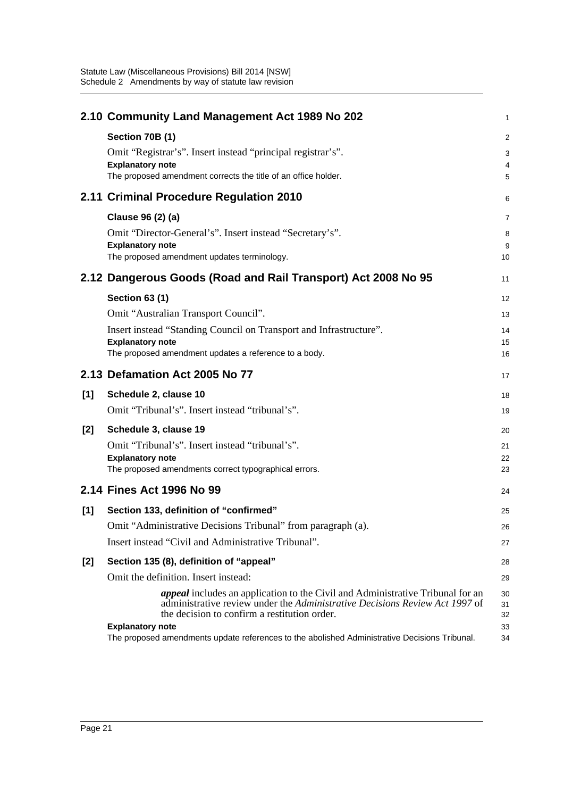|       | 2.10 Community Land Management Act 1989 No 202                                                                                                                                                                                                  | 1                    |
|-------|-------------------------------------------------------------------------------------------------------------------------------------------------------------------------------------------------------------------------------------------------|----------------------|
|       | Section 70B (1)                                                                                                                                                                                                                                 | $\overline{c}$       |
|       | Omit "Registrar's". Insert instead "principal registrar's".                                                                                                                                                                                     | 3                    |
|       | <b>Explanatory note</b><br>The proposed amendment corrects the title of an office holder.                                                                                                                                                       | 4                    |
|       |                                                                                                                                                                                                                                                 | 5                    |
|       | 2.11 Criminal Procedure Regulation 2010                                                                                                                                                                                                         | 6                    |
|       | Clause 96 (2) (a)                                                                                                                                                                                                                               | 7                    |
|       | Omit "Director-General's". Insert instead "Secretary's".                                                                                                                                                                                        | 8                    |
|       | <b>Explanatory note</b><br>The proposed amendment updates terminology.                                                                                                                                                                          | 9<br>10              |
|       |                                                                                                                                                                                                                                                 |                      |
|       | 2.12 Dangerous Goods (Road and Rail Transport) Act 2008 No 95                                                                                                                                                                                   | 11                   |
|       | <b>Section 63 (1)</b>                                                                                                                                                                                                                           | 12                   |
|       | Omit "Australian Transport Council".                                                                                                                                                                                                            | 13                   |
|       | Insert instead "Standing Council on Transport and Infrastructure".                                                                                                                                                                              | 14                   |
|       | <b>Explanatory note</b><br>The proposed amendment updates a reference to a body.                                                                                                                                                                | 15<br>16             |
|       |                                                                                                                                                                                                                                                 |                      |
|       | 2.13 Defamation Act 2005 No 77                                                                                                                                                                                                                  | 17                   |
| [1]   | Schedule 2, clause 10                                                                                                                                                                                                                           | 18                   |
|       | Omit "Tribunal's". Insert instead "tribunal's".                                                                                                                                                                                                 | 19                   |
| [2]   | Schedule 3, clause 19                                                                                                                                                                                                                           | 20                   |
|       | Omit "Tribunal's". Insert instead "tribunal's".                                                                                                                                                                                                 | 21                   |
|       | <b>Explanatory note</b><br>The proposed amendments correct typographical errors.                                                                                                                                                                | 22<br>23             |
|       |                                                                                                                                                                                                                                                 |                      |
|       | 2.14 Fines Act 1996 No 99                                                                                                                                                                                                                       | 24                   |
| [1]   | Section 133, definition of "confirmed"                                                                                                                                                                                                          | 25                   |
|       | Omit "Administrative Decisions Tribunal" from paragraph (a).                                                                                                                                                                                    | 26                   |
|       | Insert instead "Civil and Administrative Tribunal".                                                                                                                                                                                             | 27                   |
| $[2]$ | Section 135 (8), definition of "appeal"                                                                                                                                                                                                         | 28                   |
|       | Omit the definition. Insert instead:                                                                                                                                                                                                            | 29                   |
|       | <i>appeal</i> includes an application to the Civil and Administrative Tribunal for an<br>administrative review under the Administrative Decisions Review Act 1997 of<br>the decision to confirm a restitution order.<br><b>Explanatory note</b> | 30<br>31<br>32<br>33 |
|       | The proposed amendments update references to the abolished Administrative Decisions Tribunal.                                                                                                                                                   | 34                   |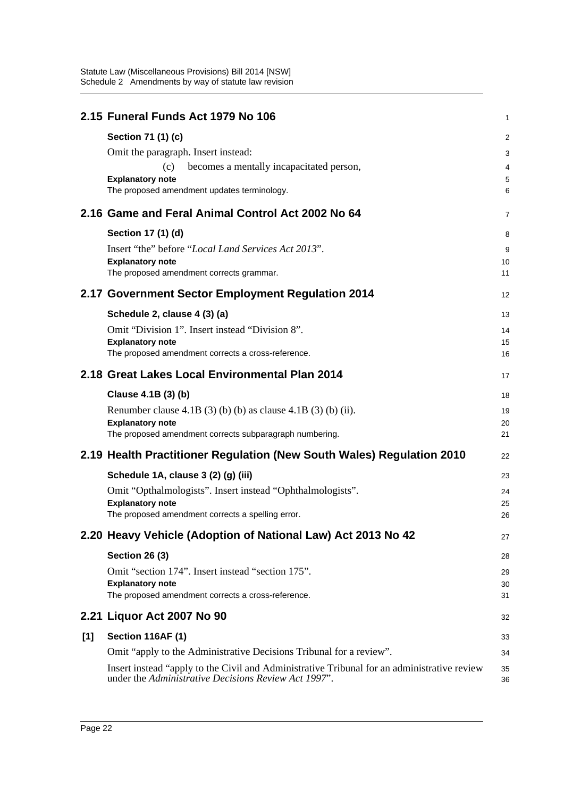|     | 2.15 Funeral Funds Act 1979 No 106                                                                                                                  | 1              |
|-----|-----------------------------------------------------------------------------------------------------------------------------------------------------|----------------|
|     | Section 71 (1) (c)                                                                                                                                  | $\overline{2}$ |
|     | Omit the paragraph. Insert instead:                                                                                                                 | 3              |
|     | becomes a mentally incapacitated person,<br>(c)                                                                                                     | 4              |
|     | <b>Explanatory note</b><br>The proposed amendment updates terminology.                                                                              | 5<br>6         |
|     | 2.16 Game and Feral Animal Control Act 2002 No 64                                                                                                   | 7              |
|     | Section 17 (1) (d)                                                                                                                                  | 8              |
|     | Insert "the" before "Local Land Services Act 2013".<br><b>Explanatory note</b><br>The proposed amendment corrects grammar.                          | 9<br>10<br>11  |
|     |                                                                                                                                                     |                |
|     | 2.17 Government Sector Employment Regulation 2014                                                                                                   | 12             |
|     | Schedule 2, clause 4 (3) (a)                                                                                                                        | 13             |
|     | Omit "Division 1". Insert instead "Division 8".                                                                                                     | 14             |
|     | <b>Explanatory note</b><br>The proposed amendment corrects a cross-reference.                                                                       | 15<br>16       |
|     | 2.18 Great Lakes Local Environmental Plan 2014                                                                                                      | 17             |
|     | Clause 4.1B (3) (b)                                                                                                                                 | 18             |
|     | Renumber clause 4.1B (3) (b) (b) as clause 4.1B (3) (b) (ii).                                                                                       | 19             |
|     | <b>Explanatory note</b><br>The proposed amendment corrects subparagraph numbering.                                                                  | 20<br>21       |
|     | 2.19 Health Practitioner Regulation (New South Wales) Regulation 2010                                                                               | 22             |
|     | Schedule 1A, clause 3 (2) (g) (iii)                                                                                                                 | 23             |
|     | Omit "Opthalmologists". Insert instead "Ophthalmologists".                                                                                          | 24             |
|     | <b>Explanatory note</b><br>The proposed amendment corrects a spelling error.                                                                        | 25<br>26       |
|     |                                                                                                                                                     |                |
|     | 2.20 Heavy Vehicle (Adoption of National Law) Act 2013 No 42                                                                                        | 27             |
|     | <b>Section 26 (3)</b>                                                                                                                               | 28             |
|     | Omit "section 174". Insert instead "section 175".                                                                                                   | 29             |
|     | <b>Explanatory note</b><br>The proposed amendment corrects a cross-reference.                                                                       | 30<br>31       |
|     | 2.21 Liquor Act 2007 No 90                                                                                                                          | 32             |
| [1] | <b>Section 116AF (1)</b>                                                                                                                            | 33             |
|     | Omit "apply to the Administrative Decisions Tribunal for a review".                                                                                 | 34             |
|     | Insert instead "apply to the Civil and Administrative Tribunal for an administrative review<br>under the Administrative Decisions Review Act 1997". | 35<br>36       |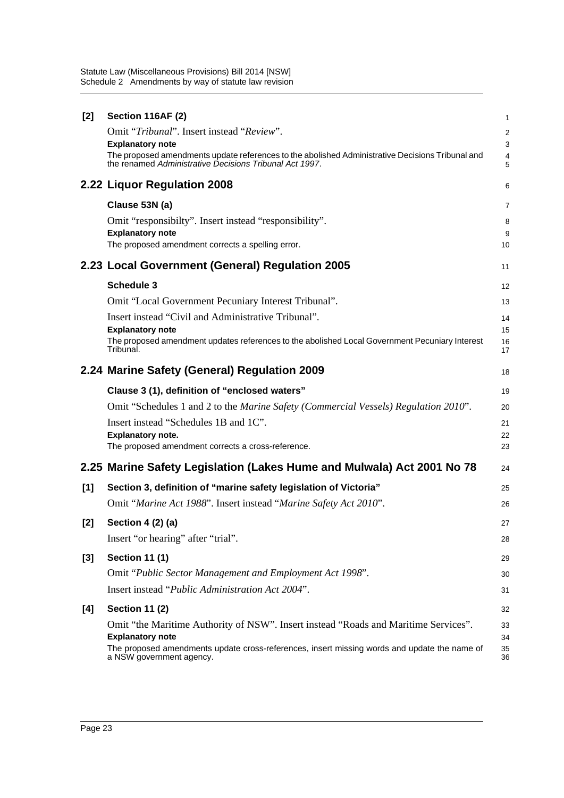| [2]   | Section 116AF (2)                                                                                                                                           | 1                   |
|-------|-------------------------------------------------------------------------------------------------------------------------------------------------------------|---------------------|
|       | Omit "Tribunal". Insert instead "Review".                                                                                                                   | $\overline{2}$      |
|       | <b>Explanatory note</b>                                                                                                                                     | $\mathbf{3}$        |
|       | The proposed amendments update references to the abolished Administrative Decisions Tribunal and<br>the renamed Administrative Decisions Tribunal Act 1997. | $\overline{4}$<br>5 |
|       | 2.22 Liquor Regulation 2008                                                                                                                                 | 6                   |
|       | Clause 53N (a)                                                                                                                                              | $\overline{7}$      |
|       | Omit "responsibilty". Insert instead "responsibility".                                                                                                      | 8                   |
|       | <b>Explanatory note</b><br>The proposed amendment corrects a spelling error.                                                                                | 9                   |
|       |                                                                                                                                                             | 10                  |
|       | 2.23 Local Government (General) Regulation 2005                                                                                                             | 11                  |
|       | <b>Schedule 3</b>                                                                                                                                           | 12                  |
|       | Omit "Local Government Pecuniary Interest Tribunal".                                                                                                        | 13                  |
|       | Insert instead "Civil and Administrative Tribunal".                                                                                                         | 14                  |
|       | <b>Explanatory note</b><br>The proposed amendment updates references to the abolished Local Government Pecuniary Interest                                   | 15<br>16            |
|       | Tribunal.                                                                                                                                                   | 17                  |
|       | 2.24 Marine Safety (General) Regulation 2009                                                                                                                | 18                  |
|       | Clause 3 (1), definition of "enclosed waters"                                                                                                               | 19                  |
|       |                                                                                                                                                             |                     |
|       | Omit "Schedules 1 and 2 to the <i>Marine Safety (Commercial Vessels) Regulation 2010</i> ".                                                                 | 20                  |
|       | Insert instead "Schedules 1B and 1C".                                                                                                                       | 21                  |
|       | <b>Explanatory note.</b>                                                                                                                                    | 22                  |
|       | The proposed amendment corrects a cross-reference.                                                                                                          | 23                  |
|       | 2.25 Marine Safety Legislation (Lakes Hume and Mulwala) Act 2001 No 78                                                                                      | 24                  |
| [1]   | Section 3, definition of "marine safety legislation of Victoria"                                                                                            | 25                  |
|       | Omit "Marine Act 1988". Insert instead "Marine Safety Act 2010".                                                                                            | 26                  |
| $[2]$ | Section 4 (2) (a)                                                                                                                                           | 27                  |
|       | Insert "or hearing" after "trial".                                                                                                                          | 28                  |
| $[3]$ | <b>Section 11 (1)</b>                                                                                                                                       | 29                  |
|       | Omit "Public Sector Management and Employment Act 1998".                                                                                                    | 30                  |
|       | Insert instead "Public Administration Act 2004".                                                                                                            | 31                  |
| [4]   | <b>Section 11 (2)</b>                                                                                                                                       | 32                  |
|       | Omit "the Maritime Authority of NSW". Insert instead "Roads and Maritime Services".                                                                         | 33                  |
|       | <b>Explanatory note</b><br>The proposed amendments update cross-references, insert missing words and update the name of                                     | 34<br>35            |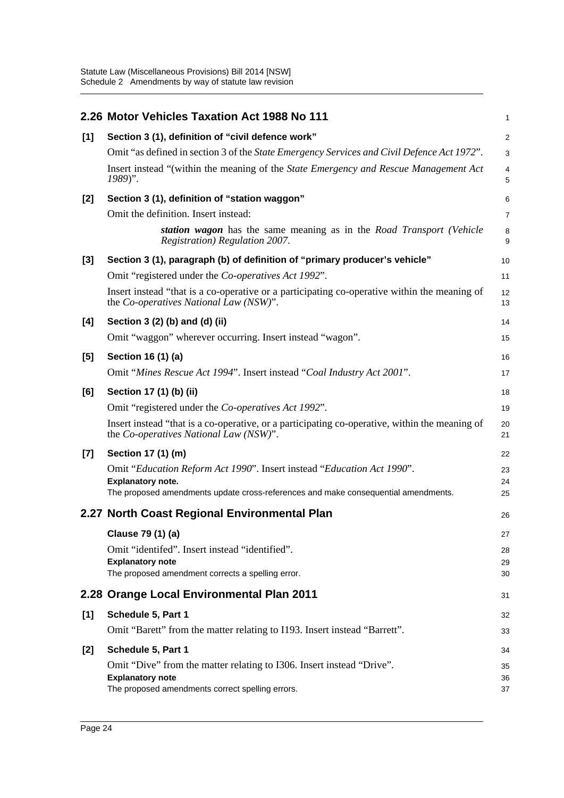|       | 2.26 Motor Vehicles Taxation Act 1988 No 111                                                                                             | $\mathbf{1}$   |
|-------|------------------------------------------------------------------------------------------------------------------------------------------|----------------|
| [1]   | Section 3 (1), definition of "civil defence work"                                                                                        | $\overline{2}$ |
|       | Omit "as defined in section 3 of the State Emergency Services and Civil Defence Act 1972".                                               | $\mathsf 3$    |
|       | Insert instead "(within the meaning of the State Emergency and Rescue Management Act<br>1989)".                                          | 4<br>5         |
| $[2]$ | Section 3 (1), definition of "station waggon"                                                                                            | 6              |
|       | Omit the definition. Insert instead:                                                                                                     | $\overline{7}$ |
|       | station wagon has the same meaning as in the Road Transport (Vehicle<br>Registration) Regulation 2007.                                   | 8<br>9         |
| $[3]$ | Section 3 (1), paragraph (b) of definition of "primary producer's vehicle"                                                               | 10             |
|       | Omit "registered under the Co-operatives Act 1992".                                                                                      | 11             |
|       | Insert instead "that is a co-operative or a participating co-operative within the meaning of<br>the Co-operatives National Law (NSW)".   | 12<br>13       |
| [4]   | Section 3 (2) (b) and (d) (ii)                                                                                                           | 14             |
|       | Omit "waggon" wherever occurring. Insert instead "wagon".                                                                                | 15             |
| $[5]$ | Section 16 (1) (a)                                                                                                                       | 16             |
|       | Omit "Mines Rescue Act 1994". Insert instead "Coal Industry Act 2001".                                                                   | 17             |
| [6]   | Section 17 (1) (b) (ii)                                                                                                                  | 18             |
|       | Omit "registered under the Co-operatives Act 1992".                                                                                      | 19             |
|       | Insert instead "that is a co-operative, or a participating co-operative, within the meaning of<br>the Co-operatives National Law (NSW)". | 20<br>21       |
| $[7]$ | Section 17 (1) (m)                                                                                                                       | 22             |
|       | Omit "Education Reform Act 1990". Insert instead "Education Act 1990".                                                                   | 23             |
|       | <b>Explanatory note.</b><br>The proposed amendments update cross-references and make consequential amendments.                           | 24<br>25       |
|       |                                                                                                                                          |                |
|       | 2.27 North Coast Regional Environmental Plan                                                                                             | 26             |
|       | Clause 79 (1) (a)                                                                                                                        | 27             |
|       | Omit "identifed". Insert instead "identified".<br><b>Explanatory note</b>                                                                | 28<br>29       |
|       | The proposed amendment corrects a spelling error.                                                                                        | 30             |
|       | 2.28 Orange Local Environmental Plan 2011                                                                                                | 31             |
| [1]   | Schedule 5, Part 1                                                                                                                       | 32             |
|       | Omit "Barett" from the matter relating to I193. Insert instead "Barrett".                                                                | 33             |
| $[2]$ | Schedule 5, Part 1                                                                                                                       | 34             |
|       | Omit "Dive" from the matter relating to I306. Insert instead "Drive".                                                                    | 35             |
|       | <b>Explanatory note</b><br>The proposed amendments correct spelling errors.                                                              | 36<br>37       |
|       |                                                                                                                                          |                |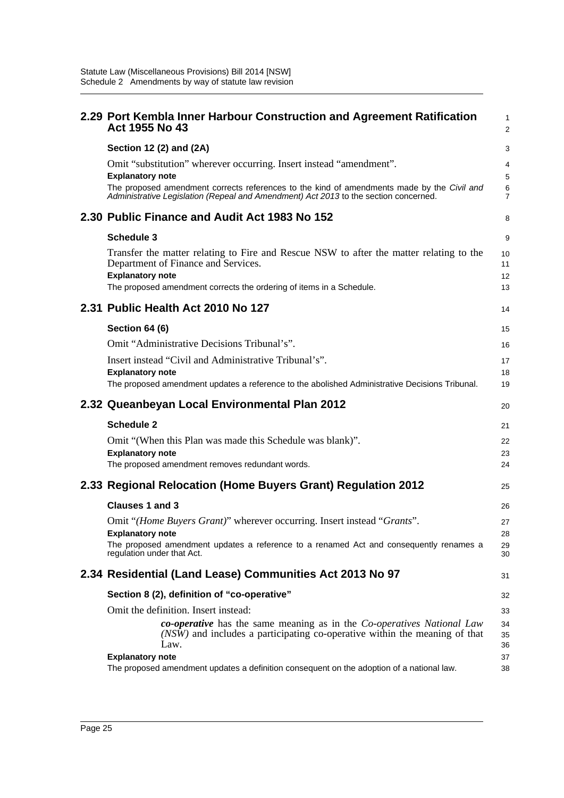| 2.29 Port Kembla Inner Harbour Construction and Agreement Ratification<br>Act 1955 No 43                                                                                           | $\mathbf{1}$<br>$\overline{2}$ |
|------------------------------------------------------------------------------------------------------------------------------------------------------------------------------------|--------------------------------|
| Section 12 (2) and (2A)                                                                                                                                                            | 3                              |
| Omit "substitution" wherever occurring. Insert instead "amendment".<br><b>Explanatory note</b>                                                                                     | 4<br>5                         |
| The proposed amendment corrects references to the kind of amendments made by the Civil and<br>Administrative Legislation (Repeal and Amendment) Act 2013 to the section concerned. | 6<br>$\overline{7}$            |
| 2.30 Public Finance and Audit Act 1983 No 152                                                                                                                                      | 8                              |
| <b>Schedule 3</b>                                                                                                                                                                  | 9                              |
| Transfer the matter relating to Fire and Rescue NSW to after the matter relating to the<br>Department of Finance and Services.<br><b>Explanatory note</b>                          | 10<br>11<br>12                 |
| The proposed amendment corrects the ordering of items in a Schedule.                                                                                                               | 13                             |
| 2.31 Public Health Act 2010 No 127                                                                                                                                                 | 14                             |
| Section 64 (6)                                                                                                                                                                     | 15                             |
| Omit "Administrative Decisions Tribunal's".                                                                                                                                        | 16                             |
| Insert instead "Civil and Administrative Tribunal's".                                                                                                                              | 17                             |
| <b>Explanatory note</b><br>The proposed amendment updates a reference to the abolished Administrative Decisions Tribunal.                                                          | 18<br>19                       |
|                                                                                                                                                                                    |                                |
| 2.32 Queanbeyan Local Environmental Plan 2012                                                                                                                                      | 20                             |
|                                                                                                                                                                                    |                                |
| <b>Schedule 2</b>                                                                                                                                                                  | 21                             |
| Omit "(When this Plan was made this Schedule was blank)".                                                                                                                          | 22                             |
| <b>Explanatory note</b>                                                                                                                                                            | 23                             |
| The proposed amendment removes redundant words.                                                                                                                                    | 24                             |
| 2.33 Regional Relocation (Home Buyers Grant) Regulation 2012                                                                                                                       | 25                             |
| Clauses 1 and 3                                                                                                                                                                    | 26                             |
| Omit "(Home Buyers Grant)" wherever occurring. Insert instead "Grants".                                                                                                            | 27                             |
| <b>Explanatory note</b>                                                                                                                                                            | 28                             |
| The proposed amendment updates a reference to a renamed Act and consequently renames a<br>regulation under that Act.                                                               | 29<br>30                       |
| 2.34 Residential (Land Lease) Communities Act 2013 No 97                                                                                                                           | 31                             |
| Section 8 (2), definition of "co-operative"                                                                                                                                        | 32                             |
| Omit the definition. Insert instead:                                                                                                                                               | 33                             |
| co-operative has the same meaning as in the Co-operatives National Law<br>(NSW) and includes a participating co-operative within the meaning of that<br>Law.                       | 34<br>35<br>36                 |
| <b>Explanatory note</b><br>The proposed amendment updates a definition consequent on the adoption of a national law.                                                               | 37<br>38                       |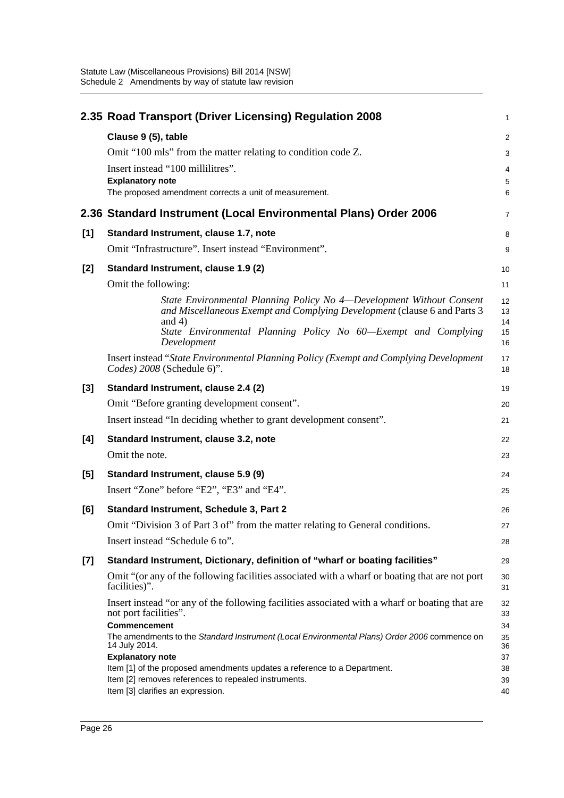|       | 2.35 Road Transport (Driver Licensing) Regulation 2008                                                                                                                                           | $\mathbf{1}$         |
|-------|--------------------------------------------------------------------------------------------------------------------------------------------------------------------------------------------------|----------------------|
|       | Clause 9 (5), table                                                                                                                                                                              | $\overline{c}$       |
|       | Omit "100 mls" from the matter relating to condition code Z.                                                                                                                                     | 3                    |
|       | Insert instead "100 millilitres".                                                                                                                                                                | $\overline{4}$       |
|       | <b>Explanatory note</b><br>The proposed amendment corrects a unit of measurement.                                                                                                                | 5<br>6               |
|       |                                                                                                                                                                                                  |                      |
|       | 2.36 Standard Instrument (Local Environmental Plans) Order 2006                                                                                                                                  | 7                    |
| [1]   | Standard Instrument, clause 1.7, note                                                                                                                                                            | 8                    |
|       | Omit "Infrastructure". Insert instead "Environment".                                                                                                                                             | 9                    |
| $[2]$ | Standard Instrument, clause 1.9 (2)                                                                                                                                                              | 10                   |
|       | Omit the following:                                                                                                                                                                              | 11                   |
|       | State Environmental Planning Policy No 4—Development Without Consent<br>and Miscellaneous Exempt and Complying Development (clause 6 and Parts 3<br>and $4)$                                     | 12<br>13<br>14       |
|       | State Environmental Planning Policy No 60-Exempt and Complying<br>Development                                                                                                                    | 15<br>16             |
|       | Insert instead "State Environmental Planning Policy (Exempt and Complying Development<br>Codes) 2008 (Schedule 6)".                                                                              | 17<br>18             |
| $[3]$ | Standard Instrument, clause 2.4 (2)                                                                                                                                                              | 19                   |
|       | Omit "Before granting development consent".                                                                                                                                                      | 20                   |
|       | Insert instead "In deciding whether to grant development consent".                                                                                                                               | 21                   |
| [4]   | Standard Instrument, clause 3.2, note                                                                                                                                                            | 22                   |
|       | Omit the note.                                                                                                                                                                                   | 23                   |
| [5]   | Standard Instrument, clause 5.9 (9)                                                                                                                                                              | 24                   |
|       | Insert "Zone" before "E2", "E3" and "E4".                                                                                                                                                        | 25                   |
| [6]   | Standard Instrument, Schedule 3, Part 2                                                                                                                                                          | 26                   |
|       | Omit "Division 3 of Part 3 of" from the matter relating to General conditions.                                                                                                                   | 27                   |
|       | Insert instead "Schedule 6 to".                                                                                                                                                                  | 28                   |
| $[7]$ | Standard Instrument, Dictionary, definition of "wharf or boating facilities"                                                                                                                     | 29                   |
|       | Omit "(or any of the following facilities associated with a wharf or boating that are not port<br>facilities)".                                                                                  | 30<br>31             |
|       | Insert instead "or any of the following facilities associated with a wharf or boating that are<br>not port facilities".<br>Commencement                                                          | 32<br>33<br>34       |
|       | The amendments to the Standard Instrument (Local Environmental Plans) Order 2006 commence on<br>14 July 2014.                                                                                    | 35<br>36             |
|       | <b>Explanatory note</b><br>Item [1] of the proposed amendments updates a reference to a Department.<br>Item [2] removes references to repealed instruments.<br>Item [3] clarifies an expression. | 37<br>38<br>39<br>40 |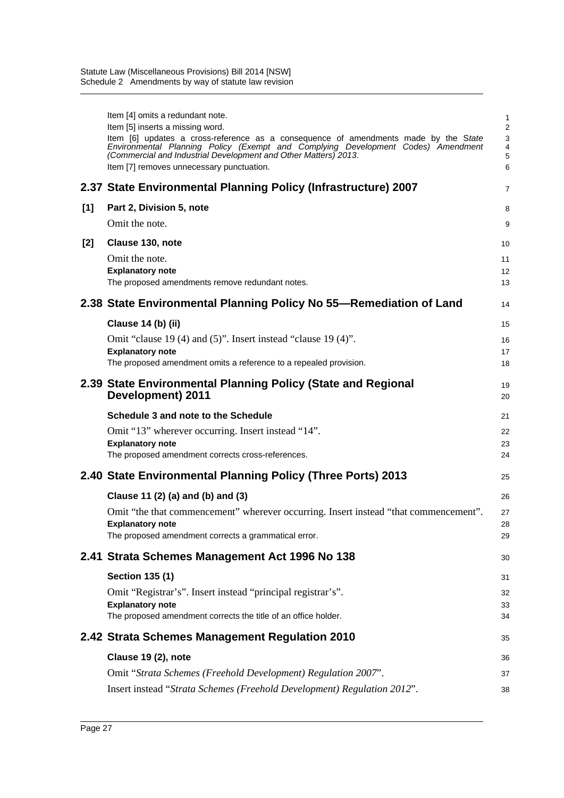|     | Item [4] omits a redundant note.<br>Item [5] inserts a missing word.<br>Item [6] updates a cross-reference as a consequence of amendments made by the State<br>Environmental Planning Policy (Exempt and Complying Development Codes) Amendment<br>(Commercial and Industrial Development and Other Matters) 2013.<br>Item [7] removes unnecessary punctuation. | 1<br>$\overline{2}$<br>3<br>4<br>5<br>6 |
|-----|-----------------------------------------------------------------------------------------------------------------------------------------------------------------------------------------------------------------------------------------------------------------------------------------------------------------------------------------------------------------|-----------------------------------------|
|     | 2.37 State Environmental Planning Policy (Infrastructure) 2007                                                                                                                                                                                                                                                                                                  | 7                                       |
| [1] | Part 2, Division 5, note                                                                                                                                                                                                                                                                                                                                        | 8                                       |
|     | Omit the note.                                                                                                                                                                                                                                                                                                                                                  | 9                                       |
| [2] | Clause 130, note                                                                                                                                                                                                                                                                                                                                                | 10                                      |
|     | Omit the note.<br><b>Explanatory note</b>                                                                                                                                                                                                                                                                                                                       | 11<br>12                                |
|     | The proposed amendments remove redundant notes.                                                                                                                                                                                                                                                                                                                 | 13                                      |
|     | 2.38 State Environmental Planning Policy No 55—Remediation of Land                                                                                                                                                                                                                                                                                              | 14                                      |
|     | Clause 14 (b) (ii)                                                                                                                                                                                                                                                                                                                                              | 15                                      |
|     | Omit "clause 19 (4) and $(5)$ ". Insert instead "clause 19 (4)".                                                                                                                                                                                                                                                                                                | 16                                      |
|     | <b>Explanatory note</b><br>The proposed amendment omits a reference to a repealed provision.                                                                                                                                                                                                                                                                    | 17<br>18                                |
|     | 2.39 State Environmental Planning Policy (State and Regional<br>Development) 2011                                                                                                                                                                                                                                                                               | 19<br>20                                |
|     | Schedule 3 and note to the Schedule                                                                                                                                                                                                                                                                                                                             | 21                                      |
|     | Omit "13" wherever occurring. Insert instead "14".                                                                                                                                                                                                                                                                                                              | 22                                      |
|     |                                                                                                                                                                                                                                                                                                                                                                 |                                         |
|     | <b>Explanatory note</b><br>The proposed amendment corrects cross-references.                                                                                                                                                                                                                                                                                    | 23<br>24                                |
|     | 2.40 State Environmental Planning Policy (Three Ports) 2013                                                                                                                                                                                                                                                                                                     | 25                                      |
|     | Clause 11 (2) (a) and (b) and (3)                                                                                                                                                                                                                                                                                                                               | 26                                      |
|     | Omit "the that commencement" wherever occurring. Insert instead "that commencement".                                                                                                                                                                                                                                                                            | 27                                      |
|     | <b>Explanatory note</b><br>The proposed amendment corrects a grammatical error.                                                                                                                                                                                                                                                                                 | 28<br>29                                |
|     | 2.41 Strata Schemes Management Act 1996 No 138                                                                                                                                                                                                                                                                                                                  | 30                                      |
|     | <b>Section 135 (1)</b>                                                                                                                                                                                                                                                                                                                                          | 31                                      |
|     | Omit "Registrar's". Insert instead "principal registrar's".                                                                                                                                                                                                                                                                                                     | 32                                      |
|     | <b>Explanatory note</b><br>The proposed amendment corrects the title of an office holder.                                                                                                                                                                                                                                                                       | 33<br>34                                |
|     | 2.42 Strata Schemes Management Regulation 2010                                                                                                                                                                                                                                                                                                                  | 35                                      |
|     | Clause 19 (2), note                                                                                                                                                                                                                                                                                                                                             | 36                                      |
|     | Omit "Strata Schemes (Freehold Development) Regulation 2007".                                                                                                                                                                                                                                                                                                   | 37                                      |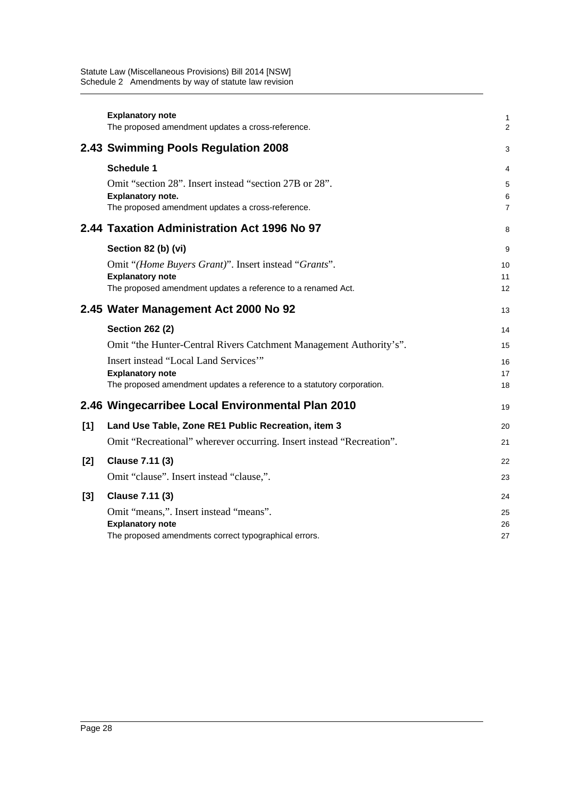|       | <b>Explanatory note</b><br>The proposed amendment updates a cross-reference. | 1<br>$\overline{2}$ |
|-------|------------------------------------------------------------------------------|---------------------|
|       | 2.43 Swimming Pools Regulation 2008                                          | 3                   |
|       | <b>Schedule 1</b>                                                            | 4                   |
|       | Omit "section 28". Insert instead "section 27B or 28".                       | $\sqrt{5}$          |
|       | <b>Explanatory note.</b>                                                     | 6                   |
|       | The proposed amendment updates a cross-reference.                            | $\overline{7}$      |
|       | 2.44 Taxation Administration Act 1996 No 97                                  | 8                   |
|       | Section 82 (b) (vi)                                                          | 9                   |
|       | Omit "(Home Buyers Grant)". Insert instead "Grants".                         | 10                  |
|       | <b>Explanatory note</b>                                                      | 11                  |
|       | The proposed amendment updates a reference to a renamed Act.                 | 12                  |
|       | 2.45 Water Management Act 2000 No 92                                         | 13                  |
|       | <b>Section 262 (2)</b>                                                       | 14                  |
|       | Omit "the Hunter-Central Rivers Catchment Management Authority's".           | 15                  |
|       | Insert instead "Local Land Services"                                         | 16                  |
|       | <b>Explanatory note</b>                                                      | 17                  |
|       | The proposed amendment updates a reference to a statutory corporation.       | 18                  |
|       | 2.46 Wingecarribee Local Environmental Plan 2010                             | 19                  |
| [1]   | Land Use Table, Zone RE1 Public Recreation, item 3                           | 20                  |
|       | Omit "Recreational" wherever occurring. Insert instead "Recreation".         | 21                  |
| $[2]$ | <b>Clause 7.11 (3)</b>                                                       | 22                  |
|       | Omit "clause". Insert instead "clause,".                                     | 23                  |
| [3]   | <b>Clause 7.11 (3)</b>                                                       | 24                  |
|       | Omit "means,". Insert instead "means".                                       | 25                  |
|       | <b>Explanatory note</b>                                                      | 26                  |
|       | The proposed amendments correct typographical errors.                        | 27                  |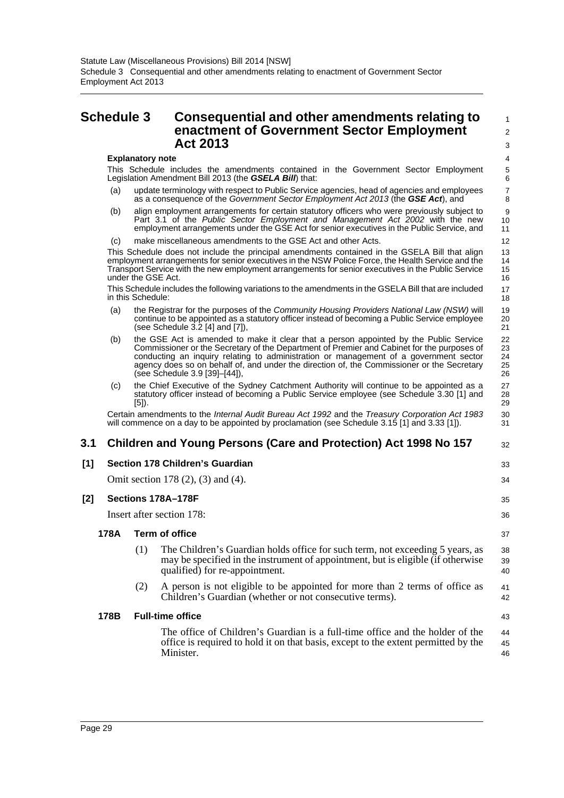## <span id="page-32-0"></span>**Schedule 3 Consequential and other amendments relating to enactment of Government Sector Employment Act 2013**

#### **Explanatory note**

This Schedule includes the amendments contained in the Government Sector Employment Legislation Amendment Bill 2013 (the *GSELA Bill*) that:

32

33 34

35 36 37

43

- (a) update terminology with respect to Public Service agencies, head of agencies and employees as a consequence of the *Government Sector Employment Act 2013* (the *GSE Act*), and
- (b) align employment arrangements for certain statutory officers who were previously subject to Part 3.1 of the *Public Sector Employment and Management Act 2002* with the new employment arrangements under the GSE Act for senior executives in the Public Service, and
- (c) make miscellaneous amendments to the GSE Act and other Acts.

This Schedule does not include the principal amendments contained in the GSELA Bill that align employment arrangements for senior executives in the NSW Police Force, the Health Service and the Transport Service with the new employment arrangements for senior executives in the Public Service under the GSE Act.

This Schedule includes the following variations to the amendments in the GSELA Bill that are included in this Schedule:

- (a) the Registrar for the purposes of the *Community Housing Providers National Law (NSW)* will continue to be appointed as a statutory officer instead of becoming a Public Service employee (see Schedule  $3.2$  [4] and [7]),
- (b) the GSE Act is amended to make it clear that a person appointed by the Public Service Commissioner or the Secretary of the Department of Premier and Cabinet for the purposes of conducting an inquiry relating to administration or management of a government sector agency does so on behalf of, and under the direction of, the Commissioner or the Secretary (see Schedule 3.9 [39]–[44]),
- (c) the Chief Executive of the Sydney Catchment Authority will continue to be appointed as a statutory officer instead of becoming a Public Service employee (see Schedule 3.30 [1] and [5]).

Certain amendments to the *Internal Audit Bureau Act 1992* and the *Treasury Corporation Act 1983* will commence on a day to be appointed by proclamation (see Schedule 3.15 [1] and 3.33 [1]).

### **3.1 Children and Young Persons (Care and Protection) Act 1998 No 157**

#### **[1] Section 178 Children's Guardian**

Omit section 178 (2), (3) and (4).

### **[2] Sections 178A–178F**

Insert after section 178:

#### **178A Term of office**

- (1) The Children's Guardian holds office for such term, not exceeding 5 years, as may be specified in the instrument of appointment, but is eligible (if otherwise qualified) for re-appointment. 38 39 40
- (2) A person is not eligible to be appointed for more than 2 terms of office as Children's Guardian (whether or not consecutive terms). 41 42

#### **178B Full-time office**

The office of Children's Guardian is a full-time office and the holder of the office is required to hold it on that basis, except to the extent permitted by the Minister. 44 45 46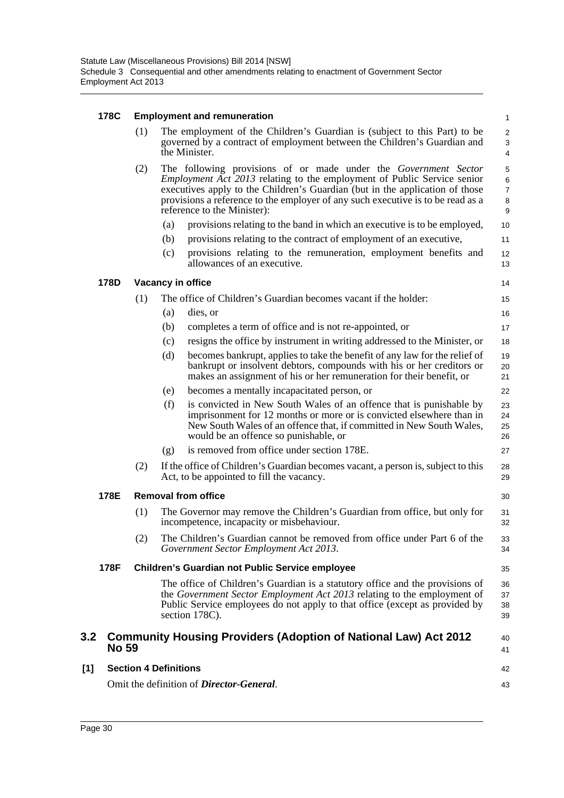#### **178C Employment and remuneration**

| 178C |                                                        | <b>Employment and remuneration</b> |                              |                                                                                                                                                                                                                                                                                                                                                     |                                                  |  |
|------|--------------------------------------------------------|------------------------------------|------------------------------|-----------------------------------------------------------------------------------------------------------------------------------------------------------------------------------------------------------------------------------------------------------------------------------------------------------------------------------------------------|--------------------------------------------------|--|
|      |                                                        | (1)                                |                              | The employment of the Children's Guardian is (subject to this Part) to be<br>governed by a contract of employment between the Children's Guardian and<br>the Minister.                                                                                                                                                                              | $\boldsymbol{2}$<br>$\sqrt{3}$<br>$\overline{4}$ |  |
|      |                                                        | (2)                                |                              | The following provisions of or made under the Government Sector<br><i>Employment Act 2013</i> relating to the employment of Public Service senior<br>executives apply to the Children's Guardian (but in the application of those<br>provisions a reference to the employer of any such executive is to be read as a<br>reference to the Minister): | $\mathbf 5$<br>6<br>$\overline{7}$<br>8<br>9     |  |
|      |                                                        |                                    | (a)                          | provisions relating to the band in which an executive is to be employed,                                                                                                                                                                                                                                                                            | 10                                               |  |
|      |                                                        |                                    | (b)                          | provisions relating to the contract of employment of an executive,                                                                                                                                                                                                                                                                                  | 11                                               |  |
|      |                                                        |                                    | (c)                          | provisions relating to the remuneration, employment benefits and<br>allowances of an executive.                                                                                                                                                                                                                                                     | 12<br>13                                         |  |
|      | 178D                                                   |                                    |                              | Vacancy in office                                                                                                                                                                                                                                                                                                                                   | 14                                               |  |
|      |                                                        | (1)                                |                              | The office of Children's Guardian becomes vacant if the holder:                                                                                                                                                                                                                                                                                     | 15                                               |  |
|      |                                                        |                                    | (a)                          | dies, or                                                                                                                                                                                                                                                                                                                                            | 16                                               |  |
|      |                                                        |                                    | (b)                          | completes a term of office and is not re-appointed, or                                                                                                                                                                                                                                                                                              | 17                                               |  |
|      |                                                        |                                    | (c)                          | resigns the office by instrument in writing addressed to the Minister, or                                                                                                                                                                                                                                                                           | 18                                               |  |
|      |                                                        |                                    | (d)                          | becomes bankrupt, applies to take the benefit of any law for the relief of<br>bankrupt or insolvent debtors, compounds with his or her creditors or<br>makes an assignment of his or her remuneration for their benefit, or                                                                                                                         | 19<br>20<br>21                                   |  |
|      |                                                        |                                    | (e)                          | becomes a mentally incapacitated person, or                                                                                                                                                                                                                                                                                                         | 22                                               |  |
|      |                                                        |                                    | (f)                          | is convicted in New South Wales of an offence that is punishable by<br>imprisonment for 12 months or more or is convicted elsewhere than in<br>New South Wales of an offence that, if committed in New South Wales,<br>would be an offence so punishable, or                                                                                        | 23<br>24<br>25<br>26                             |  |
|      |                                                        |                                    | (g)                          | is removed from office under section 178E.                                                                                                                                                                                                                                                                                                          | 27                                               |  |
|      |                                                        | (2)                                |                              | If the office of Children's Guardian becomes vacant, a person is, subject to this<br>Act, to be appointed to fill the vacancy.                                                                                                                                                                                                                      | 28<br>29                                         |  |
|      | 178E                                                   |                                    |                              | <b>Removal from office</b>                                                                                                                                                                                                                                                                                                                          | 30                                               |  |
|      |                                                        | (1)                                |                              | The Governor may remove the Children's Guardian from office, but only for<br>incompetence, incapacity or misbehaviour.                                                                                                                                                                                                                              | 31<br>32                                         |  |
|      |                                                        | (2)                                |                              | The Children's Guardian cannot be removed from office under Part 6 of the<br>Government Sector Employment Act 2013.                                                                                                                                                                                                                                 | 33<br>34                                         |  |
|      | 178F                                                   |                                    |                              | <b>Children's Guardian not Public Service employee</b>                                                                                                                                                                                                                                                                                              | 35                                               |  |
|      |                                                        |                                    |                              | The office of Children's Guardian is a statutory office and the provisions of<br>the Government Sector Employment Act 2013 relating to the employment of<br>Public Service employees do not apply to that office (except as provided by<br>section 178C).                                                                                           | 36<br>37<br>38<br>39                             |  |
| 3.2  | <b>No 59</b>                                           |                                    |                              | <b>Community Housing Providers (Adoption of National Law) Act 2012</b>                                                                                                                                                                                                                                                                              | 40<br>41                                         |  |
| [1]  |                                                        |                                    | <b>Section 4 Definitions</b> |                                                                                                                                                                                                                                                                                                                                                     | 42                                               |  |
|      | Omit the definition of <i>Director-General</i> .<br>43 |                                    |                              |                                                                                                                                                                                                                                                                                                                                                     |                                                  |  |

 $[1]$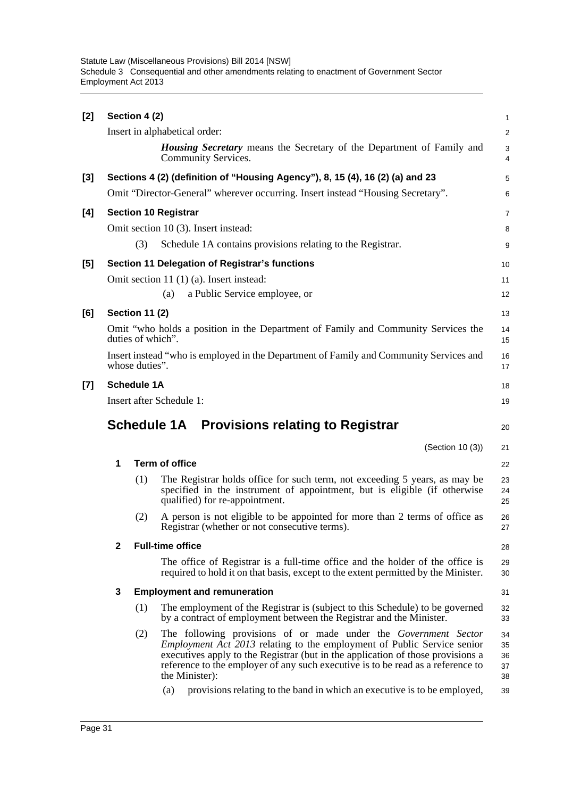| [2]   |              | Section 4 (2)         |                                                                                                                                                                                                                                                                                                                                           | $\mathbf{1}$               |
|-------|--------------|-----------------------|-------------------------------------------------------------------------------------------------------------------------------------------------------------------------------------------------------------------------------------------------------------------------------------------------------------------------------------------|----------------------------|
|       |              |                       | Insert in alphabetical order:                                                                                                                                                                                                                                                                                                             | $\overline{2}$             |
|       |              |                       | <b>Housing Secretary</b> means the Secretary of the Department of Family and<br>Community Services.                                                                                                                                                                                                                                       | 3<br>4                     |
| $[3]$ |              |                       | Sections 4 (2) (definition of "Housing Agency"), 8, 15 (4), 16 (2) (a) and 23                                                                                                                                                                                                                                                             | 5                          |
|       |              |                       | Omit "Director-General" wherever occurring. Insert instead "Housing Secretary".                                                                                                                                                                                                                                                           | 6                          |
| [4]   |              |                       | <b>Section 10 Registrar</b>                                                                                                                                                                                                                                                                                                               | 7                          |
|       |              |                       | Omit section 10 (3). Insert instead:                                                                                                                                                                                                                                                                                                      | 8                          |
|       |              | (3)                   | Schedule 1A contains provisions relating to the Registrar.                                                                                                                                                                                                                                                                                | 9                          |
| $[5]$ |              |                       | Section 11 Delegation of Registrar's functions                                                                                                                                                                                                                                                                                            | 10                         |
|       |              |                       | Omit section 11 (1) (a). Insert instead:                                                                                                                                                                                                                                                                                                  | 11                         |
|       |              |                       | a Public Service employee, or<br>(a)                                                                                                                                                                                                                                                                                                      | 12                         |
| [6]   |              | <b>Section 11 (2)</b> |                                                                                                                                                                                                                                                                                                                                           | 13                         |
|       |              | duties of which".     | Omit "who holds a position in the Department of Family and Community Services the                                                                                                                                                                                                                                                         | 14<br>15                   |
|       |              | whose duties".        | Insert instead "who is employed in the Department of Family and Community Services and                                                                                                                                                                                                                                                    | 16<br>17                   |
| $[7]$ |              | <b>Schedule 1A</b>    |                                                                                                                                                                                                                                                                                                                                           | 18                         |
|       |              |                       | Insert after Schedule 1:                                                                                                                                                                                                                                                                                                                  | 19                         |
|       |              |                       | Schedule 1A Provisions relating to Registrar                                                                                                                                                                                                                                                                                              | 20                         |
|       |              |                       |                                                                                                                                                                                                                                                                                                                                           |                            |
|       |              |                       | (Section 10 (3))                                                                                                                                                                                                                                                                                                                          | 21                         |
|       | 1            |                       | <b>Term of office</b>                                                                                                                                                                                                                                                                                                                     | 22                         |
|       |              | (1)                   | The Registrar holds office for such term, not exceeding 5 years, as may be<br>specified in the instrument of appointment, but is eligible (if otherwise<br>qualified) for re-appointment.                                                                                                                                                 | 23<br>24<br>25             |
|       |              | (2)                   | A person is not eligible to be appointed for more than 2 terms of office as<br>Registrar (whether or not consecutive terms).                                                                                                                                                                                                              | 26<br>27                   |
|       | $\mathbf{2}$ |                       | <b>Full-time office</b>                                                                                                                                                                                                                                                                                                                   | 28                         |
|       |              |                       | The office of Registrar is a full-time office and the holder of the office is<br>required to hold it on that basis, except to the extent permitted by the Minister.                                                                                                                                                                       | 29<br>30                   |
|       | 3            |                       | <b>Employment and remuneration</b>                                                                                                                                                                                                                                                                                                        | 31                         |
|       |              | (1)                   | The employment of the Registrar is (subject to this Schedule) to be governed<br>by a contract of employment between the Registrar and the Minister.                                                                                                                                                                                       | 32<br>33                   |
|       |              | (2)                   | The following provisions of or made under the Government Sector<br><i>Employment Act 2013</i> relating to the employment of Public Service senior<br>executives apply to the Registrar (but in the application of those provisions a<br>reference to the employer of any such executive is to be read as a reference to<br>the Minister): | 34<br>35<br>36<br>37<br>38 |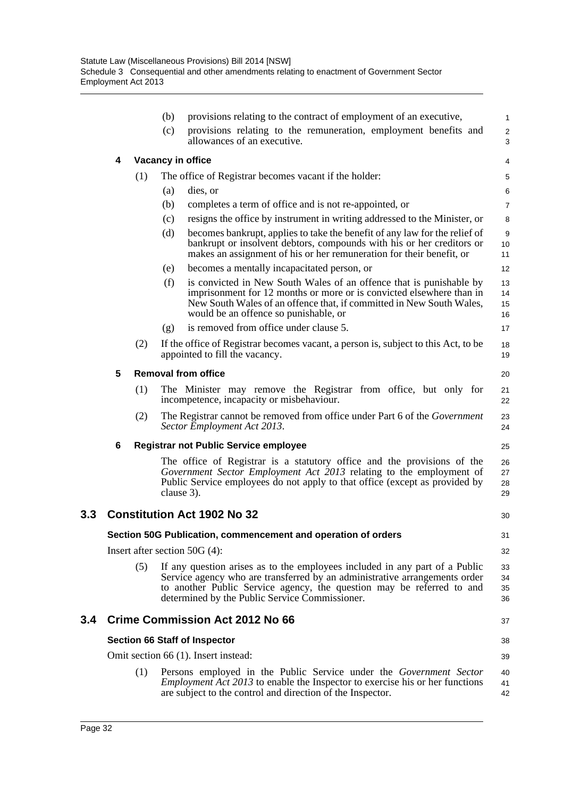|     |   |     | (b)               | provisions relating to the contract of employment of an executive,                                                                                                                                                                                                                   | $\mathbf{1}$         |
|-----|---|-----|-------------------|--------------------------------------------------------------------------------------------------------------------------------------------------------------------------------------------------------------------------------------------------------------------------------------|----------------------|
|     |   |     | (c)               | provisions relating to the remuneration, employment benefits and<br>allowances of an executive.                                                                                                                                                                                      | $\overline{2}$<br>3  |
|     | 4 |     | Vacancy in office |                                                                                                                                                                                                                                                                                      | 4                    |
|     |   | (1) |                   | The office of Registrar becomes vacant if the holder:                                                                                                                                                                                                                                | 5                    |
|     |   |     | (a)               | dies, or                                                                                                                                                                                                                                                                             | 6                    |
|     |   |     | (b)               | completes a term of office and is not re-appointed, or                                                                                                                                                                                                                               | $\overline{7}$       |
|     |   |     | (c)               | resigns the office by instrument in writing addressed to the Minister, or                                                                                                                                                                                                            | 8                    |
|     |   |     | (d)               | becomes bankrupt, applies to take the benefit of any law for the relief of<br>bankrupt or insolvent debtors, compounds with his or her creditors or<br>makes an assignment of his or her remuneration for their benefit, or                                                          | 9<br>10<br>11        |
|     |   |     | (e)               | becomes a mentally incapacitated person, or                                                                                                                                                                                                                                          | 12                   |
|     |   |     | (f)               | is convicted in New South Wales of an offence that is punishable by<br>imprisonment for 12 months or more or is convicted elsewhere than in<br>New South Wales of an offence that, if committed in New South Wales,<br>would be an offence so punishable, or                         | 13<br>14<br>15<br>16 |
|     |   |     | (g)               | is removed from office under clause 5.                                                                                                                                                                                                                                               | 17                   |
|     |   | (2) |                   | If the office of Registrar becomes vacant, a person is, subject to this Act, to be<br>appointed to fill the vacancy.                                                                                                                                                                 | 18<br>19             |
|     | 5 |     |                   | <b>Removal from office</b>                                                                                                                                                                                                                                                           | 20                   |
|     |   | (1) |                   | The Minister may remove the Registrar from office, but only for<br>incompetence, incapacity or misbehaviour.                                                                                                                                                                         | 21<br>22             |
|     |   | (2) |                   | The Registrar cannot be removed from office under Part 6 of the Government<br>Sector Employment Act 2013.                                                                                                                                                                            | 23<br>24             |
|     | 6 |     |                   | <b>Registrar not Public Service employee</b>                                                                                                                                                                                                                                         | 25                   |
|     |   |     | clause 3).        | The office of Registrar is a statutory office and the provisions of the<br>Government Sector Employment Act 2013 relating to the employment of<br>Public Service employees do not apply to that office (except as provided by                                                        | 26<br>27<br>28<br>29 |
| 3.3 |   |     |                   | <b>Constitution Act 1902 No 32</b>                                                                                                                                                                                                                                                   | 30                   |
|     |   |     |                   | Section 50G Publication, commencement and operation of orders                                                                                                                                                                                                                        | 31                   |
|     |   |     |                   | Insert after section $50G(4)$ :                                                                                                                                                                                                                                                      | 32                   |
|     |   | (5) |                   | If any question arises as to the employees included in any part of a Public<br>Service agency who are transferred by an administrative arrangements order<br>to another Public Service agency, the question may be referred to and<br>determined by the Public Service Commissioner. | 33<br>34<br>35<br>36 |
| 3.4 |   |     |                   | <b>Crime Commission Act 2012 No 66</b>                                                                                                                                                                                                                                               | 37                   |
|     |   |     |                   | <b>Section 66 Staff of Inspector</b>                                                                                                                                                                                                                                                 | 38                   |
|     |   |     |                   | Omit section 66 (1). Insert instead:                                                                                                                                                                                                                                                 | 39                   |
|     |   | (1) |                   | Persons employed in the Public Service under the <i>Government Sector</i><br><i>Employment Act 2013</i> to enable the Inspector to exercise his or her functions<br>are subject to the control and direction of the Inspector.                                                       | 40<br>41<br>42       |
|     |   |     |                   |                                                                                                                                                                                                                                                                                      |                      |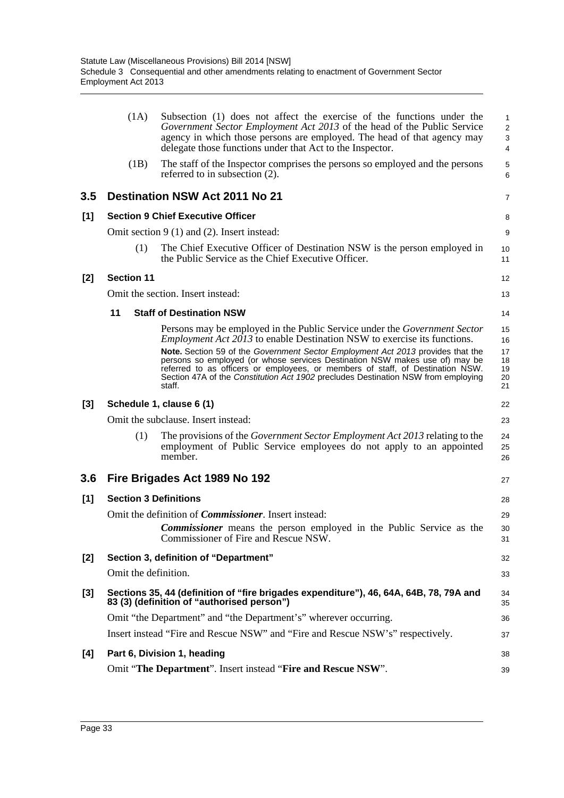|       | (1A)                         | Subsection (1) does not affect the exercise of the functions under the<br>Government Sector Employment Act 2013 of the head of the Public Service<br>agency in which those persons are employed. The head of that agency may<br>delegate those functions under that Act to the Inspector.                                                                                                                                                                                                                    | 1<br>$\overline{2}$<br>3<br>$\overline{4}$ |
|-------|------------------------------|--------------------------------------------------------------------------------------------------------------------------------------------------------------------------------------------------------------------------------------------------------------------------------------------------------------------------------------------------------------------------------------------------------------------------------------------------------------------------------------------------------------|--------------------------------------------|
|       | (1B)                         | The staff of the Inspector comprises the persons so employed and the persons<br>referred to in subsection (2).                                                                                                                                                                                                                                                                                                                                                                                               | 5<br>6                                     |
| 3.5   |                              | <b>Destination NSW Act 2011 No 21</b>                                                                                                                                                                                                                                                                                                                                                                                                                                                                        | 7                                          |
| [1]   |                              | <b>Section 9 Chief Executive Officer</b>                                                                                                                                                                                                                                                                                                                                                                                                                                                                     | 8                                          |
|       |                              | Omit section $9(1)$ and $(2)$ . Insert instead:                                                                                                                                                                                                                                                                                                                                                                                                                                                              | 9                                          |
|       | (1)                          | The Chief Executive Officer of Destination NSW is the person employed in<br>the Public Service as the Chief Executive Officer.                                                                                                                                                                                                                                                                                                                                                                               | 10<br>11                                   |
| $[2]$ | <b>Section 11</b>            |                                                                                                                                                                                                                                                                                                                                                                                                                                                                                                              | 12                                         |
|       |                              | Omit the section. Insert instead:                                                                                                                                                                                                                                                                                                                                                                                                                                                                            | 13                                         |
|       | 11                           | <b>Staff of Destination NSW</b>                                                                                                                                                                                                                                                                                                                                                                                                                                                                              | 14                                         |
|       |                              | Persons may be employed in the Public Service under the <i>Government Sector</i><br><i>Employment Act 2013</i> to enable Destination NSW to exercise its functions.<br>Note. Section 59 of the Government Sector Employment Act 2013 provides that the<br>persons so employed (or whose services Destination NSW makes use of) may be<br>referred to as officers or employees, or members of staff, of Destination NSW.<br>Section 47A of the Constitution Act 1902 precludes Destination NSW from employing | 15<br>16<br>17<br>18<br>19<br>20           |
|       |                              |                                                                                                                                                                                                                                                                                                                                                                                                                                                                                                              |                                            |
|       |                              | staff.                                                                                                                                                                                                                                                                                                                                                                                                                                                                                                       | 21                                         |
| $[3]$ |                              | Schedule 1, clause 6 (1)                                                                                                                                                                                                                                                                                                                                                                                                                                                                                     | 22                                         |
|       |                              | Omit the subclause. Insert instead:                                                                                                                                                                                                                                                                                                                                                                                                                                                                          | 23                                         |
|       | (1)                          | The provisions of the <i>Government Sector Employment Act 2013</i> relating to the<br>employment of Public Service employees do not apply to an appointed<br>member.                                                                                                                                                                                                                                                                                                                                         | 24<br>25<br>26                             |
| 3.6   |                              | Fire Brigades Act 1989 No 192                                                                                                                                                                                                                                                                                                                                                                                                                                                                                | 27                                         |
| [1]   | <b>Section 3 Definitions</b> |                                                                                                                                                                                                                                                                                                                                                                                                                                                                                                              | 28                                         |
|       |                              | Omit the definition of <i>Commissioner</i> . Insert instead:                                                                                                                                                                                                                                                                                                                                                                                                                                                 | 29                                         |
|       |                              | <b>Commissioner</b> means the person employed in the Public Service as the<br>Commissioner of Fire and Rescue NSW.                                                                                                                                                                                                                                                                                                                                                                                           | 30<br>31                                   |
| [2]   |                              | Section 3, definition of "Department"                                                                                                                                                                                                                                                                                                                                                                                                                                                                        | 32                                         |
|       | Omit the definition.         |                                                                                                                                                                                                                                                                                                                                                                                                                                                                                                              | 33                                         |
| [3]   |                              | Sections 35, 44 (definition of "fire brigades expenditure"), 46, 64A, 64B, 78, 79A and<br>83 (3) (definition of "authorised person")                                                                                                                                                                                                                                                                                                                                                                         | 34<br>35                                   |
|       |                              | Omit "the Department" and "the Department's" wherever occurring.                                                                                                                                                                                                                                                                                                                                                                                                                                             | 36                                         |
|       |                              | Insert instead "Fire and Rescue NSW" and "Fire and Rescue NSW's" respectively.                                                                                                                                                                                                                                                                                                                                                                                                                               | 37                                         |
| [4]   |                              | Part 6, Division 1, heading                                                                                                                                                                                                                                                                                                                                                                                                                                                                                  | 38                                         |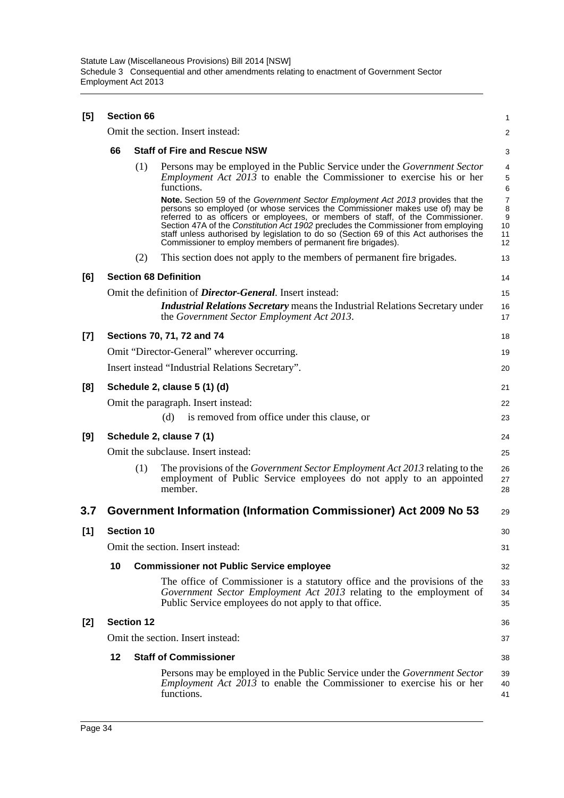| [5]   | <b>Section 66</b> |                   |                                                                                                                                                                                                                                                                                                                                                                                                                                                                                                   |                               |  |  |  |  |  |
|-------|-------------------|-------------------|---------------------------------------------------------------------------------------------------------------------------------------------------------------------------------------------------------------------------------------------------------------------------------------------------------------------------------------------------------------------------------------------------------------------------------------------------------------------------------------------------|-------------------------------|--|--|--|--|--|
|       |                   |                   | Omit the section. Insert instead:                                                                                                                                                                                                                                                                                                                                                                                                                                                                 | $\overline{a}$                |  |  |  |  |  |
|       | 66                |                   | <b>Staff of Fire and Rescue NSW</b>                                                                                                                                                                                                                                                                                                                                                                                                                                                               |                               |  |  |  |  |  |
|       |                   | (1)               | Persons may be employed in the Public Service under the <i>Government Sector</i><br><i>Employment Act <math>2013</math> to enable the Commissioner to exercise his or her</i><br>functions.                                                                                                                                                                                                                                                                                                       | 4<br>5<br>6                   |  |  |  |  |  |
|       |                   |                   | Note. Section 59 of the Government Sector Employment Act 2013 provides that the<br>persons so employed (or whose services the Commissioner makes use of) may be<br>referred to as officers or employees, or members of staff, of the Commissioner.<br>Section 47A of the Constitution Act 1902 precludes the Commissioner from employing<br>staff unless authorised by legislation to do so (Section 69 of this Act authorises the<br>Commissioner to employ members of permanent fire brigades). | 7<br>8<br>9<br>10<br>11<br>12 |  |  |  |  |  |
|       |                   | (2)               | This section does not apply to the members of permanent fire brigades.                                                                                                                                                                                                                                                                                                                                                                                                                            | 13                            |  |  |  |  |  |
| [6]   |                   |                   | <b>Section 68 Definition</b>                                                                                                                                                                                                                                                                                                                                                                                                                                                                      | 14                            |  |  |  |  |  |
|       |                   |                   | Omit the definition of <i>Director-General</i> . Insert instead:                                                                                                                                                                                                                                                                                                                                                                                                                                  | 15                            |  |  |  |  |  |
|       |                   |                   | <b>Industrial Relations Secretary means the Industrial Relations Secretary under</b><br>the Government Sector Employment Act 2013.                                                                                                                                                                                                                                                                                                                                                                | 16<br>17                      |  |  |  |  |  |
| $[7]$ |                   |                   | Sections 70, 71, 72 and 74                                                                                                                                                                                                                                                                                                                                                                                                                                                                        | 18                            |  |  |  |  |  |
|       |                   |                   | Omit "Director-General" wherever occurring.                                                                                                                                                                                                                                                                                                                                                                                                                                                       | 19                            |  |  |  |  |  |
|       |                   |                   | Insert instead "Industrial Relations Secretary".                                                                                                                                                                                                                                                                                                                                                                                                                                                  | 20                            |  |  |  |  |  |
| [8]   |                   |                   | Schedule 2, clause 5 (1) (d)                                                                                                                                                                                                                                                                                                                                                                                                                                                                      | 21                            |  |  |  |  |  |
|       |                   |                   | Omit the paragraph. Insert instead:<br>is removed from office under this clause, or<br>(d)                                                                                                                                                                                                                                                                                                                                                                                                        | 22<br>23                      |  |  |  |  |  |
| [9]   |                   |                   | Schedule 2, clause 7 (1)                                                                                                                                                                                                                                                                                                                                                                                                                                                                          | 24                            |  |  |  |  |  |
|       |                   |                   | Omit the subclause. Insert instead:                                                                                                                                                                                                                                                                                                                                                                                                                                                               | 25                            |  |  |  |  |  |
|       |                   | (1)               | The provisions of the <i>Government Sector Employment Act 2013</i> relating to the<br>employment of Public Service employees do not apply to an appointed<br>member.                                                                                                                                                                                                                                                                                                                              | 26<br>27<br>28                |  |  |  |  |  |
| 3.7   |                   |                   | Government Information (Information Commissioner) Act 2009 No 53                                                                                                                                                                                                                                                                                                                                                                                                                                  | 29                            |  |  |  |  |  |
| $[1]$ |                   | <b>Section 10</b> |                                                                                                                                                                                                                                                                                                                                                                                                                                                                                                   | 30                            |  |  |  |  |  |
|       |                   |                   | Omit the section. Insert instead:                                                                                                                                                                                                                                                                                                                                                                                                                                                                 | 31                            |  |  |  |  |  |
|       | 10                |                   | <b>Commissioner not Public Service employee</b>                                                                                                                                                                                                                                                                                                                                                                                                                                                   | 32                            |  |  |  |  |  |
|       |                   |                   | The office of Commissioner is a statutory office and the provisions of the<br>Government Sector Employment Act 2013 relating to the employment of<br>Public Service employees do not apply to that office.                                                                                                                                                                                                                                                                                        | 33<br>34<br>35                |  |  |  |  |  |
| [2]   |                   | <b>Section 12</b> |                                                                                                                                                                                                                                                                                                                                                                                                                                                                                                   | 36                            |  |  |  |  |  |
|       |                   |                   | Omit the section. Insert instead:                                                                                                                                                                                                                                                                                                                                                                                                                                                                 | 37                            |  |  |  |  |  |
|       | 12                |                   | <b>Staff of Commissioner</b>                                                                                                                                                                                                                                                                                                                                                                                                                                                                      | 38                            |  |  |  |  |  |
|       |                   |                   | Persons may be employed in the Public Service under the <i>Government Sector</i><br><i>Employment Act 2013</i> to enable the Commissioner to exercise his or her<br>functions.                                                                                                                                                                                                                                                                                                                    | 39<br>40<br>41                |  |  |  |  |  |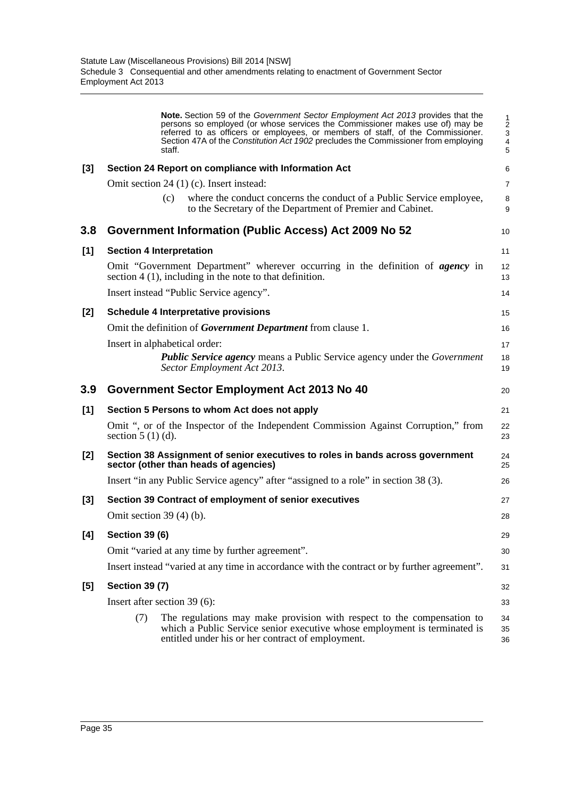|       | Note. Section 59 of the Government Sector Employment Act 2013 provides that the<br>persons so employed (or whose services the Commissioner makes use of) may be<br>referred to as officers or employees, or members of staff, of the Commissioner.<br>Section 47A of the Constitution Act 1902 precludes the Commissioner from employing<br>staff. | 1<br>$\overline{2}$<br>3<br>4<br>5 |
|-------|----------------------------------------------------------------------------------------------------------------------------------------------------------------------------------------------------------------------------------------------------------------------------------------------------------------------------------------------------|------------------------------------|
| $[3]$ | Section 24 Report on compliance with Information Act                                                                                                                                                                                                                                                                                               | 6                                  |
|       | Omit section 24 (1) (c). Insert instead:                                                                                                                                                                                                                                                                                                           | $\overline{7}$                     |
|       | where the conduct concerns the conduct of a Public Service employee,<br>(c)<br>to the Secretary of the Department of Premier and Cabinet.                                                                                                                                                                                                          | 8<br>9                             |
| 3.8   | <b>Government Information (Public Access) Act 2009 No 52</b>                                                                                                                                                                                                                                                                                       | 10                                 |
| [1]   | <b>Section 4 Interpretation</b>                                                                                                                                                                                                                                                                                                                    | 11                                 |
|       | Omit "Government Department" wherever occurring in the definition of <i>agency</i> in<br>section $4(1)$ , including in the note to that definition.                                                                                                                                                                                                | 12<br>13                           |
|       | Insert instead "Public Service agency".                                                                                                                                                                                                                                                                                                            | 14                                 |
| [2]   | <b>Schedule 4 Interpretative provisions</b>                                                                                                                                                                                                                                                                                                        | 15                                 |
|       | Omit the definition of <i>Government Department</i> from clause 1.                                                                                                                                                                                                                                                                                 | 16                                 |
|       | Insert in alphabetical order:<br><b>Public Service agency means a Public Service agency under the Government</b><br>Sector Employment Act 2013.                                                                                                                                                                                                    | 17<br>18<br>19                     |
|       |                                                                                                                                                                                                                                                                                                                                                    |                                    |
| 3.9   | Government Sector Employment Act 2013 No 40                                                                                                                                                                                                                                                                                                        | 20                                 |
| [1]   | Section 5 Persons to whom Act does not apply                                                                                                                                                                                                                                                                                                       | 21                                 |
|       | Omit ", or of the Inspector of the Independent Commission Against Corruption," from<br>section $5(1)(d)$ .                                                                                                                                                                                                                                         | 22<br>23                           |
| [2]   | Section 38 Assignment of senior executives to roles in bands across government<br>sector (other than heads of agencies)                                                                                                                                                                                                                            | 24<br>25                           |
|       | Insert "in any Public Service agency" after "assigned to a role" in section 38 (3).                                                                                                                                                                                                                                                                | 26                                 |
| $[3]$ | Section 39 Contract of employment of senior executives                                                                                                                                                                                                                                                                                             | 27                                 |
|       | Omit section $39(4)(b)$ .                                                                                                                                                                                                                                                                                                                          | 28                                 |
| [4]   | <b>Section 39 (6)</b>                                                                                                                                                                                                                                                                                                                              | 29                                 |
|       | Omit "varied at any time by further agreement".                                                                                                                                                                                                                                                                                                    | 30                                 |
|       | Insert instead "varied at any time in accordance with the contract or by further agreement".                                                                                                                                                                                                                                                       | 31                                 |
| [5]   | <b>Section 39 (7)</b>                                                                                                                                                                                                                                                                                                                              | 32                                 |
|       | Insert after section $39(6)$ :                                                                                                                                                                                                                                                                                                                     | 33                                 |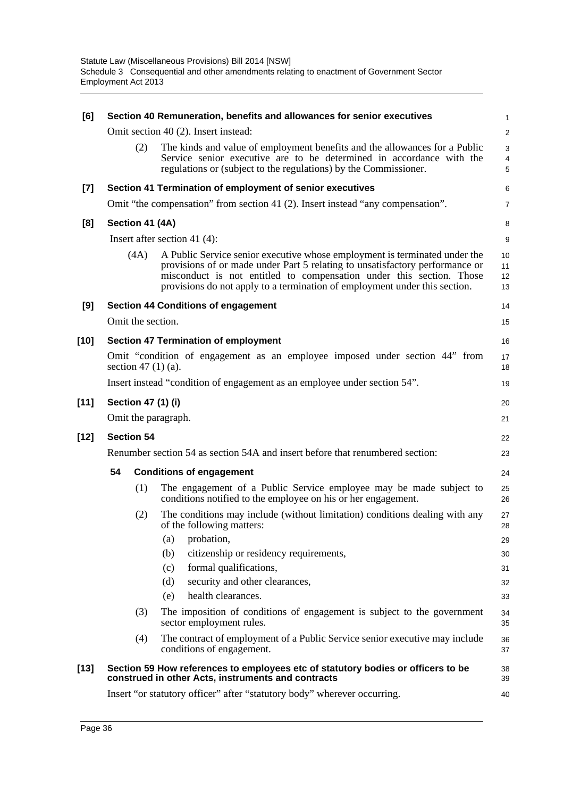| [6]    |                                                                               |      | Section 40 Remuneration, benefits and allowances for senior executives                                                                                                                                                                                                                                           | 1                       |  |
|--------|-------------------------------------------------------------------------------|------|------------------------------------------------------------------------------------------------------------------------------------------------------------------------------------------------------------------------------------------------------------------------------------------------------------------|-------------------------|--|
|        |                                                                               |      | Omit section 40 (2). Insert instead:                                                                                                                                                                                                                                                                             | $\overline{\mathbf{c}}$ |  |
|        |                                                                               | (2)  | The kinds and value of employment benefits and the allowances for a Public<br>Service senior executive are to be determined in accordance with the<br>regulations or (subject to the regulations) by the Commissioner.                                                                                           | 3<br>4<br>5             |  |
| $[7]$  |                                                                               |      | Section 41 Termination of employment of senior executives                                                                                                                                                                                                                                                        | 6                       |  |
|        |                                                                               |      | Omit "the compensation" from section 41 (2). Insert instead "any compensation".                                                                                                                                                                                                                                  | 7                       |  |
| [8]    | Section 41 (4A)                                                               |      |                                                                                                                                                                                                                                                                                                                  | 8                       |  |
|        |                                                                               |      | Insert after section 41 $(4)$ :                                                                                                                                                                                                                                                                                  | 9                       |  |
|        |                                                                               | (4A) | A Public Service senior executive whose employment is terminated under the<br>provisions of or made under Part 5 relating to unsatisfactory performance or<br>misconduct is not entitled to compensation under this section. Those<br>provisions do not apply to a termination of employment under this section. | 10<br>11<br>12<br>13    |  |
| [9]    |                                                                               |      | <b>Section 44 Conditions of engagement</b>                                                                                                                                                                                                                                                                       | 14                      |  |
|        |                                                                               |      | Omit the section.                                                                                                                                                                                                                                                                                                | 15                      |  |
| $[10]$ |                                                                               |      | <b>Section 47 Termination of employment</b>                                                                                                                                                                                                                                                                      | 16                      |  |
|        |                                                                               |      | Omit "condition of engagement as an employee imposed under section 44" from<br>section 47 $(1)(a)$ .                                                                                                                                                                                                             | 17<br>18                |  |
|        |                                                                               |      | Insert instead "condition of engagement as an employee under section 54".                                                                                                                                                                                                                                        | 19                      |  |
| $[11]$ |                                                                               |      | Section 47 (1) (i)                                                                                                                                                                                                                                                                                               | 20                      |  |
|        |                                                                               |      | Omit the paragraph.                                                                                                                                                                                                                                                                                              | 21                      |  |
| $[12]$ | <b>Section 54</b>                                                             |      |                                                                                                                                                                                                                                                                                                                  |                         |  |
|        | Renumber section 54 as section 54A and insert before that renumbered section: |      |                                                                                                                                                                                                                                                                                                                  |                         |  |
|        | 54                                                                            |      | <b>Conditions of engagement</b>                                                                                                                                                                                                                                                                                  | 24                      |  |
|        |                                                                               | (1)  | The engagement of a Public Service employee may be made subject to<br>conditions notified to the employee on his or her engagement.                                                                                                                                                                              | 25<br>26                |  |
|        |                                                                               | (2)  | The conditions may include (without limitation) conditions dealing with any<br>of the following matters:                                                                                                                                                                                                         | 27<br>28                |  |
|        |                                                                               |      | probation,<br>(a)                                                                                                                                                                                                                                                                                                | 29                      |  |
|        |                                                                               |      | citizenship or residency requirements,<br>(b)                                                                                                                                                                                                                                                                    | 30                      |  |
|        |                                                                               |      | formal qualifications,<br>(c)                                                                                                                                                                                                                                                                                    | 31                      |  |
|        |                                                                               |      | security and other clearances,<br>(d)                                                                                                                                                                                                                                                                            | 32                      |  |
|        |                                                                               |      | health clearances.<br>(e)                                                                                                                                                                                                                                                                                        | 33                      |  |
|        | (3)                                                                           |      | The imposition of conditions of engagement is subject to the government<br>sector employment rules.                                                                                                                                                                                                              | 34<br>35                |  |
|        |                                                                               | (4)  | The contract of employment of a Public Service senior executive may include<br>conditions of engagement.                                                                                                                                                                                                         | 36<br>37                |  |
| $[13]$ |                                                                               |      | Section 59 How references to employees etc of statutory bodies or officers to be<br>construed in other Acts, instruments and contracts                                                                                                                                                                           | 38<br>39                |  |
|        |                                                                               |      | Insert "or statutory officer" after "statutory body" wherever occurring.                                                                                                                                                                                                                                         | 40                      |  |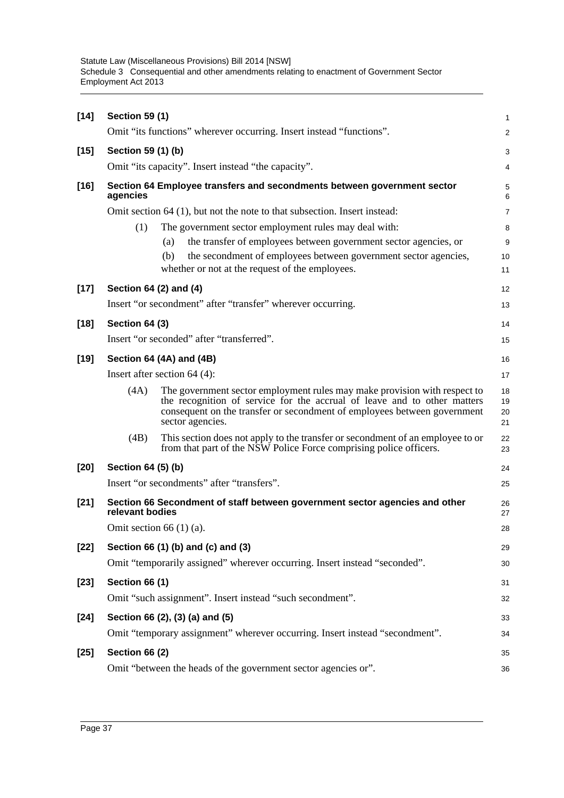| $[14]$ | <b>Section 59 (1)</b> |                                                                                                                                                                                                                                                               | 1                    |
|--------|-----------------------|---------------------------------------------------------------------------------------------------------------------------------------------------------------------------------------------------------------------------------------------------------------|----------------------|
|        |                       | Omit "its functions" wherever occurring. Insert instead "functions".                                                                                                                                                                                          | $\overline{a}$       |
| $[15]$ | Section 59 (1) (b)    |                                                                                                                                                                                                                                                               | 3                    |
|        |                       | Omit "its capacity". Insert instead "the capacity".                                                                                                                                                                                                           | 4                    |
| $[16]$ | agencies              | Section 64 Employee transfers and secondments between government sector                                                                                                                                                                                       | 5<br>6               |
|        |                       | Omit section 64 (1), but not the note to that subsection. Insert instead:                                                                                                                                                                                     | 7                    |
|        | (1)                   | The government sector employment rules may deal with:<br>the transfer of employees between government sector agencies, or<br>(a)<br>the secondment of employees between government sector agencies,<br>(b)<br>whether or not at the request of the employees. | 8<br>9<br>10<br>11   |
| $[17]$ |                       | Section 64 (2) and (4)                                                                                                                                                                                                                                        | 12                   |
|        |                       | Insert "or secondment" after "transfer" wherever occurring.                                                                                                                                                                                                   | 13                   |
| $[18]$ | Section 64 (3)        | Insert "or seconded" after "transferred".                                                                                                                                                                                                                     | 14<br>15             |
| $[19]$ |                       | Section 64 (4A) and (4B)                                                                                                                                                                                                                                      | 16                   |
|        |                       | Insert after section $64$ (4):                                                                                                                                                                                                                                | 17                   |
|        | (4A)                  | The government sector employment rules may make provision with respect to<br>the recognition of service for the accrual of leave and to other matters<br>consequent on the transfer or secondment of employees between government<br>sector agencies.         | 18<br>19<br>20<br>21 |
|        | (4B)                  | This section does not apply to the transfer or secondment of an employee to or<br>from that part of the NSW Police Force comprising police officers.                                                                                                          | 22<br>23             |
| $[20]$ | Section 64 (5) (b)    |                                                                                                                                                                                                                                                               | 24                   |
|        |                       | Insert "or secondments" after "transfers".                                                                                                                                                                                                                    | 25                   |
| $[21]$ | relevant bodies       | Section 66 Secondment of staff between government sector agencies and other                                                                                                                                                                                   | 26<br>27             |
|        |                       | Omit section 66 $(1)$ (a).                                                                                                                                                                                                                                    | 28                   |
| $[22]$ |                       | Section 66 (1) (b) and (c) and (3)                                                                                                                                                                                                                            | 29                   |
|        |                       | Omit "temporarily assigned" wherever occurring. Insert instead "seconded".                                                                                                                                                                                    | 30                   |
| $[23]$ | <b>Section 66 (1)</b> |                                                                                                                                                                                                                                                               | 31                   |
|        |                       | Omit "such assignment". Insert instead "such secondment".                                                                                                                                                                                                     | 32                   |
| $[24]$ |                       | Section 66 (2), (3) (a) and (5)                                                                                                                                                                                                                               | 33                   |
|        |                       | Omit "temporary assignment" wherever occurring. Insert instead "secondment".                                                                                                                                                                                  | 34                   |
| $[25]$ | <b>Section 66 (2)</b> |                                                                                                                                                                                                                                                               | 35                   |
|        |                       | Omit "between the heads of the government sector agencies or".                                                                                                                                                                                                | 36                   |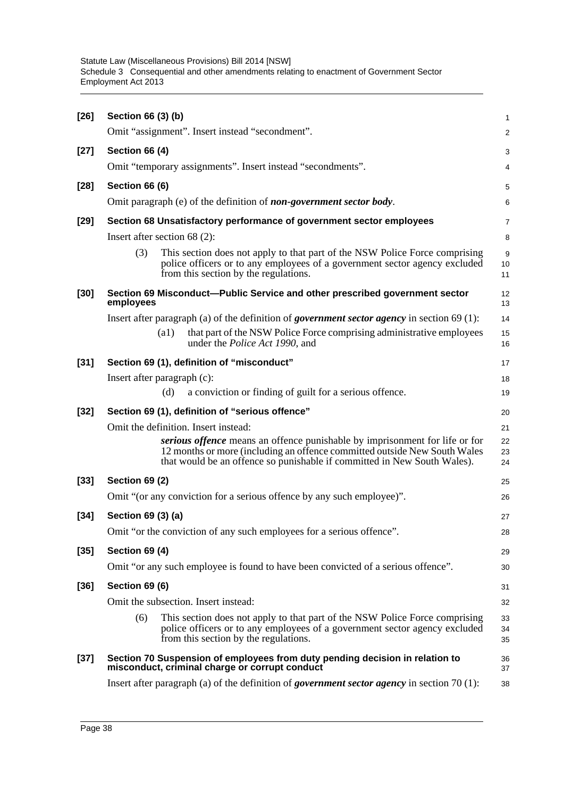| $[26]$ | Section 66 (3) (b)                                                                                                                                                                                                                   | 1              |
|--------|--------------------------------------------------------------------------------------------------------------------------------------------------------------------------------------------------------------------------------------|----------------|
|        | Omit "assignment". Insert instead "secondment".                                                                                                                                                                                      | $\overline{a}$ |
| $[27]$ | Section 66 (4)                                                                                                                                                                                                                       | 3              |
|        | Omit "temporary assignments". Insert instead "secondments".                                                                                                                                                                          | 4              |
| $[28]$ | Section 66 (6)                                                                                                                                                                                                                       | 5              |
|        | Omit paragraph (e) of the definition of <i>non-government sector body</i> .                                                                                                                                                          | 6              |
| $[29]$ | Section 68 Unsatisfactory performance of government sector employees                                                                                                                                                                 | 7              |
|        | Insert after section $68(2)$ :                                                                                                                                                                                                       | 8              |
|        | (3)<br>This section does not apply to that part of the NSW Police Force comprising<br>police officers or to any employees of a government sector agency excluded<br>from this section by the regulations.                            | 9<br>10<br>11  |
| $[30]$ | Section 69 Misconduct--Public Service and other prescribed government sector<br>employees                                                                                                                                            | 12<br>13       |
|        | Insert after paragraph (a) of the definition of <i>government sector agency</i> in section $69(1)$ :                                                                                                                                 | 14             |
|        | that part of the NSW Police Force comprising administrative employees<br>$\left( a1\right)$<br>under the <i>Police Act 1990</i> , and                                                                                                | 15<br>16       |
| $[31]$ | Section 69 (1), definition of "misconduct"                                                                                                                                                                                           | 17             |
|        | Insert after paragraph (c):                                                                                                                                                                                                          | 18             |
|        | a conviction or finding of guilt for a serious offence.<br>(d)                                                                                                                                                                       | 19             |
| $[32]$ | Section 69 (1), definition of "serious offence"                                                                                                                                                                                      | 20             |
|        | Omit the definition. Insert instead:                                                                                                                                                                                                 | 21             |
|        | serious offence means an offence punishable by imprisonment for life or for<br>12 months or more (including an offence committed outside New South Wales<br>that would be an offence so punishable if committed in New South Wales). | 22<br>23<br>24 |
| $[33]$ | <b>Section 69 (2)</b>                                                                                                                                                                                                                | 25             |
|        | Omit "(or any conviction for a serious offence by any such employee)".                                                                                                                                                               | 26             |
| $[34]$ | Section 69 (3) (a)                                                                                                                                                                                                                   | 27             |
|        | Omit "or the conviction of any such employees for a serious offence".                                                                                                                                                                | 28             |
| $[35]$ | Section 69 (4)                                                                                                                                                                                                                       | 29             |
|        | Omit "or any such employee is found to have been convicted of a serious offence".                                                                                                                                                    | 30             |
| $[36]$ | Section 69 (6)                                                                                                                                                                                                                       | 31             |
|        | Omit the subsection. Insert instead:                                                                                                                                                                                                 | 32             |
|        | This section does not apply to that part of the NSW Police Force comprising<br>(6)<br>police officers or to any employees of a government sector agency excluded<br>from this section by the regulations.                            | 33<br>34<br>35 |
| $[37]$ | Section 70 Suspension of employees from duty pending decision in relation to<br>misconduct, criminal charge or corrupt conduct                                                                                                       | 36<br>37       |
|        | Insert after paragraph (a) of the definition of <i>government sector agency</i> in section 70 $(1)$ :                                                                                                                                | 38             |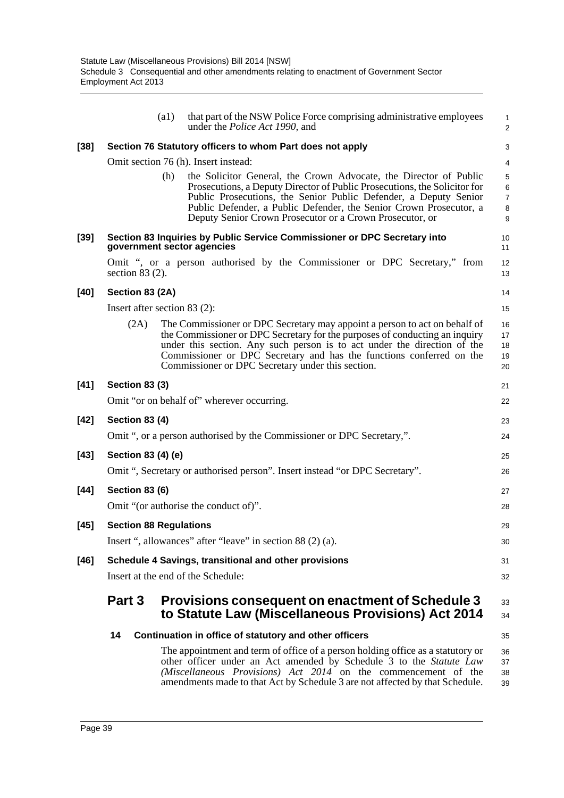|        |                                | (a1) | that part of the NSW Police Force comprising administrative employees<br>under the <i>Police Act 1990</i> , and                                                                                                                                                                                                                                                    | 1<br>$\overline{2}$                                                     |
|--------|--------------------------------|------|--------------------------------------------------------------------------------------------------------------------------------------------------------------------------------------------------------------------------------------------------------------------------------------------------------------------------------------------------------------------|-------------------------------------------------------------------------|
| $[38]$ |                                |      | Section 76 Statutory officers to whom Part does not apply                                                                                                                                                                                                                                                                                                          | 3                                                                       |
|        |                                |      | Omit section 76 (h). Insert instead:                                                                                                                                                                                                                                                                                                                               | 4                                                                       |
|        |                                | (h)  | the Solicitor General, the Crown Advocate, the Director of Public<br>Prosecutions, a Deputy Director of Public Prosecutions, the Solicitor for<br>Public Prosecutions, the Senior Public Defender, a Deputy Senior<br>Public Defender, a Public Defender, the Senior Crown Prosecutor, a<br>Deputy Senior Crown Prosecutor or a Crown Prosecutor, or               | $\mathbf 5$<br>$\,6\,$<br>$\overline{7}$<br>$\bf 8$<br>$\boldsymbol{9}$ |
| $[39]$ |                                |      | Section 83 Inquiries by Public Service Commissioner or DPC Secretary into<br>government sector agencies                                                                                                                                                                                                                                                            | 10<br>11                                                                |
|        | section $83(2)$ .              |      | Omit ", or a person authorised by the Commissioner or DPC Secretary," from                                                                                                                                                                                                                                                                                         | 12<br>13                                                                |
| $[40]$ | Section 83 (2A)                |      |                                                                                                                                                                                                                                                                                                                                                                    | 14                                                                      |
|        | Insert after section $83$ (2): |      |                                                                                                                                                                                                                                                                                                                                                                    | 15                                                                      |
|        | (2A)                           |      | The Commissioner or DPC Secretary may appoint a person to act on behalf of<br>the Commissioner or DPC Secretary for the purposes of conducting an inquiry<br>under this section. Any such person is to act under the direction of the<br>Commissioner or DPC Secretary and has the functions conferred on the<br>Commissioner or DPC Secretary under this section. | 16<br>17<br>18<br>19<br>20                                              |
| $[41]$ | <b>Section 83 (3)</b>          |      |                                                                                                                                                                                                                                                                                                                                                                    | 21                                                                      |
|        |                                |      | Omit "or on behalf of" wherever occurring.                                                                                                                                                                                                                                                                                                                         | 22                                                                      |
| $[42]$ | <b>Section 83 (4)</b>          |      |                                                                                                                                                                                                                                                                                                                                                                    | 23                                                                      |
|        |                                |      | Omit ", or a person authorised by the Commissioner or DPC Secretary,".                                                                                                                                                                                                                                                                                             | 24                                                                      |
| $[43]$ | Section 83 (4) (e)             |      |                                                                                                                                                                                                                                                                                                                                                                    | 25                                                                      |
|        |                                |      | Omit ", Secretary or authorised person". Insert instead "or DPC Secretary".                                                                                                                                                                                                                                                                                        | 26                                                                      |
| $[44]$ | <b>Section 83 (6)</b>          |      |                                                                                                                                                                                                                                                                                                                                                                    | 27                                                                      |
|        |                                |      | Omit "(or authorise the conduct of)".                                                                                                                                                                                                                                                                                                                              | 28                                                                      |
| $[45]$ | <b>Section 88 Regulations</b>  |      |                                                                                                                                                                                                                                                                                                                                                                    | 29                                                                      |
|        |                                |      | Insert ", allowances" after "leave" in section 88 (2) (a).                                                                                                                                                                                                                                                                                                         | 30                                                                      |
| [46]   |                                |      | Schedule 4 Savings, transitional and other provisions                                                                                                                                                                                                                                                                                                              | 31                                                                      |
|        |                                |      | Insert at the end of the Schedule:                                                                                                                                                                                                                                                                                                                                 | 32                                                                      |
|        | Part 3                         |      | Provisions consequent on enactment of Schedule 3<br>to Statute Law (Miscellaneous Provisions) Act 2014                                                                                                                                                                                                                                                             | 33<br>34                                                                |
|        | 14                             |      | Continuation in office of statutory and other officers                                                                                                                                                                                                                                                                                                             | 35                                                                      |
|        |                                |      | The appointment and term of office of a person holding office as a statutory or<br>other officer under an Act amended by Schedule 3 to the Statute Law<br>(Miscellaneous Provisions) Act 2014 on the commencement of the<br>amendments made to that Act by Schedule 3 are not affected by that Schedule.                                                           | 36<br>37<br>38<br>39                                                    |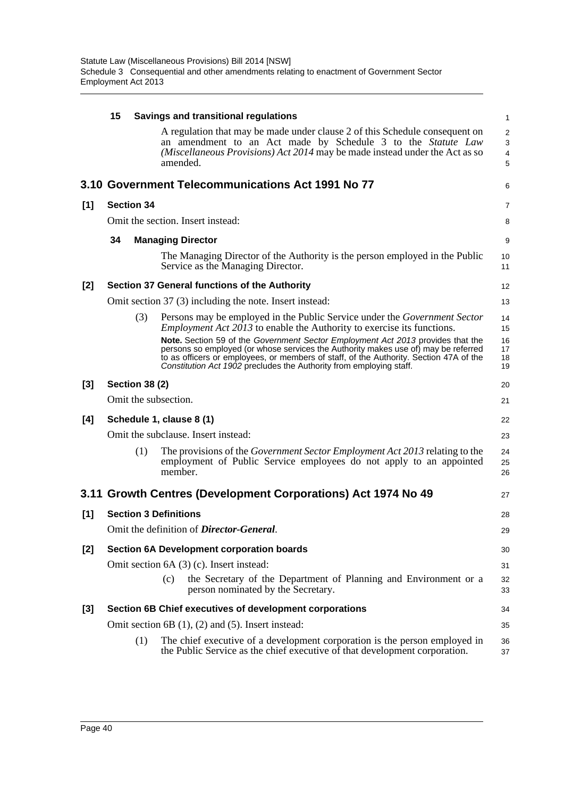|     | 15 |                       | Savings and transitional regulations                                                                                                                                                                                                                                                                                                   | $\mathbf 1$                   |
|-----|----|-----------------------|----------------------------------------------------------------------------------------------------------------------------------------------------------------------------------------------------------------------------------------------------------------------------------------------------------------------------------------|-------------------------------|
|     |    |                       | A regulation that may be made under clause 2 of this Schedule consequent on<br>an amendment to an Act made by Schedule 3 to the Statute Law<br>(Miscellaneous Provisions) Act 2014 may be made instead under the Act as so<br>amended.                                                                                                 | $\overline{a}$<br>3<br>4<br>5 |
|     |    |                       | 3.10 Government Telecommunications Act 1991 No 77                                                                                                                                                                                                                                                                                      | 6                             |
| [1] |    | <b>Section 34</b>     |                                                                                                                                                                                                                                                                                                                                        | 7                             |
|     |    |                       | Omit the section. Insert instead:                                                                                                                                                                                                                                                                                                      | 8                             |
|     | 34 |                       | <b>Managing Director</b>                                                                                                                                                                                                                                                                                                               | 9                             |
|     |    |                       | The Managing Director of the Authority is the person employed in the Public<br>Service as the Managing Director.                                                                                                                                                                                                                       | 10<br>11                      |
| [2] |    |                       | Section 37 General functions of the Authority                                                                                                                                                                                                                                                                                          | 12                            |
|     |    |                       | Omit section 37 (3) including the note. Insert instead:                                                                                                                                                                                                                                                                                | 13                            |
|     |    | (3)                   | Persons may be employed in the Public Service under the Government Sector<br><i>Employment Act 2013</i> to enable the Authority to exercise its functions.                                                                                                                                                                             | 14<br>15                      |
|     |    |                       | Note. Section 59 of the Government Sector Employment Act 2013 provides that the<br>persons so employed (or whose services the Authority makes use of) may be referred<br>to as officers or employees, or members of staff, of the Authority. Section 47A of the<br>Constitution Act 1902 precludes the Authority from employing staff. | 16<br>17<br>18<br>19          |
| [3] |    | <b>Section 38 (2)</b> |                                                                                                                                                                                                                                                                                                                                        | 20                            |
|     |    |                       | Omit the subsection.                                                                                                                                                                                                                                                                                                                   | 21                            |
| [4] |    |                       | Schedule 1, clause 8 (1)                                                                                                                                                                                                                                                                                                               | 22                            |
|     |    |                       | Omit the subclause. Insert instead:                                                                                                                                                                                                                                                                                                    | 23                            |
|     |    | (1)                   | The provisions of the <i>Government Sector Employment Act 2013</i> relating to the<br>employment of Public Service employees do not apply to an appointed<br>member.                                                                                                                                                                   | 24<br>25<br>26                |
|     |    |                       | 3.11 Growth Centres (Development Corporations) Act 1974 No 49                                                                                                                                                                                                                                                                          | 27                            |
| [1] |    |                       | <b>Section 3 Definitions</b>                                                                                                                                                                                                                                                                                                           | 28                            |
|     |    |                       | Omit the definition of <i>Director-General</i> .                                                                                                                                                                                                                                                                                       | 29                            |
| [2] |    |                       | <b>Section 6A Development corporation boards</b>                                                                                                                                                                                                                                                                                       | 30                            |
|     |    |                       | Omit section 6A (3) (c). Insert instead:                                                                                                                                                                                                                                                                                               | 31                            |
|     |    |                       | the Secretary of the Department of Planning and Environment or a<br>(c)<br>person nominated by the Secretary.                                                                                                                                                                                                                          | 32<br>33                      |
| [3] |    |                       | Section 6B Chief executives of development corporations                                                                                                                                                                                                                                                                                | 34                            |
|     |    |                       | Omit section $6B(1)$ , $(2)$ and $(5)$ . Insert instead:                                                                                                                                                                                                                                                                               | 35                            |
|     |    | (1)                   | The chief executive of a development corporation is the person employed in<br>the Public Service as the chief executive of that development corporation.                                                                                                                                                                               | 36<br>37                      |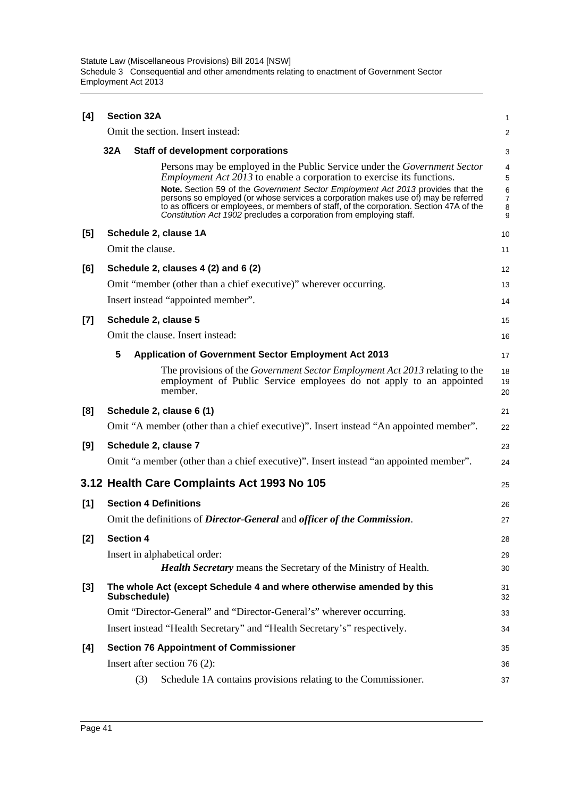| [4]   |     | <b>Section 32A</b>                                                                                                                                                                                                                                                                                                                       |                         |  |  |  |  |
|-------|-----|------------------------------------------------------------------------------------------------------------------------------------------------------------------------------------------------------------------------------------------------------------------------------------------------------------------------------------------|-------------------------|--|--|--|--|
|       |     | Omit the section. Insert instead:                                                                                                                                                                                                                                                                                                        | $\overline{\mathbf{c}}$ |  |  |  |  |
|       | 32A | <b>Staff of development corporations</b>                                                                                                                                                                                                                                                                                                 | 3                       |  |  |  |  |
|       |     | Persons may be employed in the Public Service under the <i>Government Sector</i><br><i>Employment Act 2013</i> to enable a corporation to exercise its functions.                                                                                                                                                                        | 4<br>5                  |  |  |  |  |
|       |     | Note. Section 59 of the Government Sector Employment Act 2013 provides that the<br>persons so employed (or whose services a corporation makes use of) may be referred<br>to as officers or employees, or members of staff, of the corporation. Section 47A of the<br>Constitution Act 1902 precludes a corporation from employing staff. | 6<br>7<br>8<br>9        |  |  |  |  |
| [5]   |     | Schedule 2, clause 1A                                                                                                                                                                                                                                                                                                                    | 10                      |  |  |  |  |
|       |     | Omit the clause.                                                                                                                                                                                                                                                                                                                         | 11                      |  |  |  |  |
| [6]   |     | Schedule 2, clauses 4 (2) and 6 (2)                                                                                                                                                                                                                                                                                                      | 12                      |  |  |  |  |
|       |     | Omit "member (other than a chief executive)" wherever occurring.                                                                                                                                                                                                                                                                         | 13                      |  |  |  |  |
|       |     | Insert instead "appointed member".                                                                                                                                                                                                                                                                                                       | 14                      |  |  |  |  |
| $[7]$ |     | Schedule 2, clause 5                                                                                                                                                                                                                                                                                                                     | 15                      |  |  |  |  |
|       |     | Omit the clause. Insert instead:                                                                                                                                                                                                                                                                                                         | 16                      |  |  |  |  |
|       | 5   | <b>Application of Government Sector Employment Act 2013</b>                                                                                                                                                                                                                                                                              | 17                      |  |  |  |  |
|       |     | The provisions of the <i>Government Sector Employment Act 2013</i> relating to the<br>employment of Public Service employees do not apply to an appointed<br>member.                                                                                                                                                                     | 18<br>19<br>20          |  |  |  |  |
| [8]   |     | Schedule 2, clause 6 (1)                                                                                                                                                                                                                                                                                                                 | 21                      |  |  |  |  |
|       |     | Omit "A member (other than a chief executive)". Insert instead "An appointed member".                                                                                                                                                                                                                                                    | 22                      |  |  |  |  |
| [9]   |     | Schedule 2, clause 7                                                                                                                                                                                                                                                                                                                     | 23                      |  |  |  |  |
|       |     | Omit "a member (other than a chief executive)". Insert instead "an appointed member".                                                                                                                                                                                                                                                    | 24                      |  |  |  |  |
|       |     | 3.12 Health Care Complaints Act 1993 No 105                                                                                                                                                                                                                                                                                              | 25                      |  |  |  |  |
| [1]   |     | <b>Section 4 Definitions</b>                                                                                                                                                                                                                                                                                                             | 26                      |  |  |  |  |
|       |     | Omit the definitions of <i>Director-General</i> and <i>officer of the Commission</i> .                                                                                                                                                                                                                                                   | 27                      |  |  |  |  |
| $[2]$ |     | <b>Section 4</b>                                                                                                                                                                                                                                                                                                                         | 28                      |  |  |  |  |
|       |     | Insert in alphabetical order:                                                                                                                                                                                                                                                                                                            | 29                      |  |  |  |  |
|       |     | <b>Health Secretary</b> means the Secretary of the Ministry of Health.                                                                                                                                                                                                                                                                   | 30                      |  |  |  |  |
| [3]   |     | The whole Act (except Schedule 4 and where otherwise amended by this<br>Subschedule)                                                                                                                                                                                                                                                     | 31<br>32                |  |  |  |  |
|       |     | Omit "Director-General" and "Director-General's" wherever occurring.                                                                                                                                                                                                                                                                     | 33                      |  |  |  |  |
|       |     | Insert instead "Health Secretary" and "Health Secretary's" respectively.                                                                                                                                                                                                                                                                 | 34                      |  |  |  |  |
| [4]   |     | <b>Section 76 Appointment of Commissioner</b>                                                                                                                                                                                                                                                                                            | 35                      |  |  |  |  |
|       |     | Insert after section $76(2)$ :                                                                                                                                                                                                                                                                                                           | 36                      |  |  |  |  |
|       |     | Schedule 1A contains provisions relating to the Commissioner.<br>(3)                                                                                                                                                                                                                                                                     | 37                      |  |  |  |  |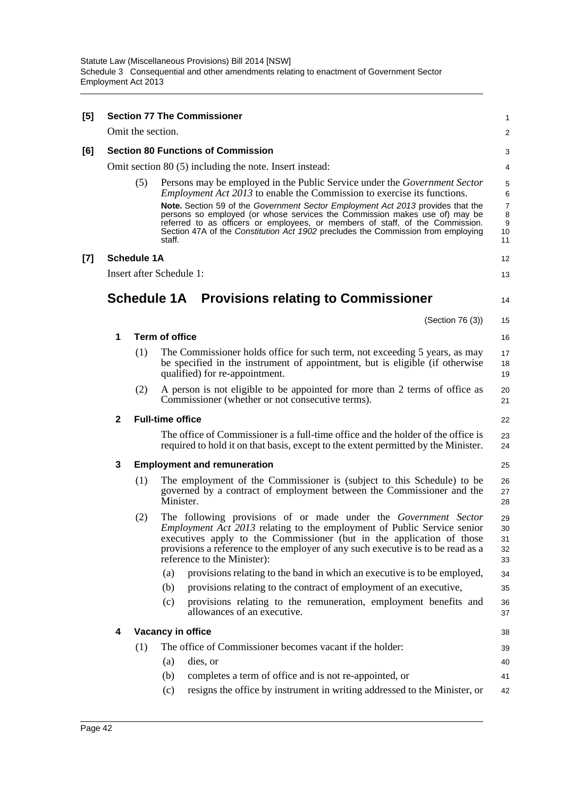| [5] |                                           |                    | <b>Section 77 The Commissioner</b>                                                                                                                                                                                                                                                                                                                                                                                                                                                                                 | 1                                 |  |  |
|-----|-------------------------------------------|--------------------|--------------------------------------------------------------------------------------------------------------------------------------------------------------------------------------------------------------------------------------------------------------------------------------------------------------------------------------------------------------------------------------------------------------------------------------------------------------------------------------------------------------------|-----------------------------------|--|--|
|     |                                           | Omit the section.  |                                                                                                                                                                                                                                                                                                                                                                                                                                                                                                                    | $\overline{c}$                    |  |  |
| [6] | <b>Section 80 Functions of Commission</b> |                    |                                                                                                                                                                                                                                                                                                                                                                                                                                                                                                                    |                                   |  |  |
|     |                                           |                    | Omit section 80 (5) including the note. Insert instead:                                                                                                                                                                                                                                                                                                                                                                                                                                                            | 4                                 |  |  |
|     |                                           | (5)                | Persons may be employed in the Public Service under the <i>Government Sector</i><br><i>Employment Act 2013</i> to enable the Commission to exercise its functions.<br>Note. Section 59 of the Government Sector Employment Act 2013 provides that the<br>persons so employed (or whose services the Commission makes use of) may be<br>referred to as officers or employees, or members of staff, of the Commission.<br>Section 47A of the Constitution Act 1902 precludes the Commission from employing<br>staff. | 5<br>6<br>7<br>8<br>9<br>10<br>11 |  |  |
| [7] |                                           | <b>Schedule 1A</b> |                                                                                                                                                                                                                                                                                                                                                                                                                                                                                                                    | 12                                |  |  |
|     |                                           |                    | Insert after Schedule 1:                                                                                                                                                                                                                                                                                                                                                                                                                                                                                           | 13                                |  |  |
|     |                                           |                    | <b>Schedule 1A</b> Provisions relating to Commissioner                                                                                                                                                                                                                                                                                                                                                                                                                                                             | 14                                |  |  |
|     |                                           |                    | (Section 76 (3))                                                                                                                                                                                                                                                                                                                                                                                                                                                                                                   | 15                                |  |  |
|     | 1                                         |                    | <b>Term of office</b>                                                                                                                                                                                                                                                                                                                                                                                                                                                                                              | 16                                |  |  |
|     |                                           | (1)                | The Commissioner holds office for such term, not exceeding 5 years, as may<br>be specified in the instrument of appointment, but is eligible (if otherwise<br>qualified) for re-appointment.                                                                                                                                                                                                                                                                                                                       | 17<br>18<br>19                    |  |  |
|     |                                           | (2)                | A person is not eligible to be appointed for more than 2 terms of office as<br>Commissioner (whether or not consecutive terms).                                                                                                                                                                                                                                                                                                                                                                                    | 20<br>21                          |  |  |
|     | $\mathbf{2}$                              |                    | <b>Full-time office</b>                                                                                                                                                                                                                                                                                                                                                                                                                                                                                            | 22                                |  |  |
|     |                                           |                    | The office of Commissioner is a full-time office and the holder of the office is<br>required to hold it on that basis, except to the extent permitted by the Minister.                                                                                                                                                                                                                                                                                                                                             | 23<br>24                          |  |  |
|     | 3                                         |                    | <b>Employment and remuneration</b>                                                                                                                                                                                                                                                                                                                                                                                                                                                                                 | 25                                |  |  |
|     |                                           | (1)                | The employment of the Commissioner is (subject to this Schedule) to be<br>governed by a contract of employment between the Commissioner and the<br>Minister.                                                                                                                                                                                                                                                                                                                                                       | 26<br>27<br>28                    |  |  |
|     |                                           | (2)                | The following provisions of or made under the Government Sector<br><i>Employment Act 2013</i> relating to the employment of Public Service senior<br>executives apply to the Commissioner (but in the application of those<br>provisions a reference to the employer of any such executive is to be read as a<br>reference to the Minister):                                                                                                                                                                       | 29<br>30<br>31<br>32<br>33        |  |  |
|     |                                           |                    | provisions relating to the band in which an executive is to be employed,<br>(a)                                                                                                                                                                                                                                                                                                                                                                                                                                    | 34                                |  |  |
|     |                                           |                    | provisions relating to the contract of employment of an executive,<br>(b)                                                                                                                                                                                                                                                                                                                                                                                                                                          | 35                                |  |  |
|     |                                           |                    | provisions relating to the remuneration, employment benefits and<br>(c)<br>allowances of an executive.                                                                                                                                                                                                                                                                                                                                                                                                             | 36<br>37                          |  |  |
|     | 4                                         |                    | Vacancy in office                                                                                                                                                                                                                                                                                                                                                                                                                                                                                                  | 38                                |  |  |
|     |                                           | (1)                | The office of Commissioner becomes vacant if the holder:                                                                                                                                                                                                                                                                                                                                                                                                                                                           | 39                                |  |  |
|     |                                           |                    | dies, or<br>(a)                                                                                                                                                                                                                                                                                                                                                                                                                                                                                                    | 40                                |  |  |
|     |                                           |                    | completes a term of office and is not re-appointed, or<br>(b)                                                                                                                                                                                                                                                                                                                                                                                                                                                      | 41                                |  |  |
|     |                                           |                    | resigns the office by instrument in writing addressed to the Minister, or<br>(c)                                                                                                                                                                                                                                                                                                                                                                                                                                   | 42                                |  |  |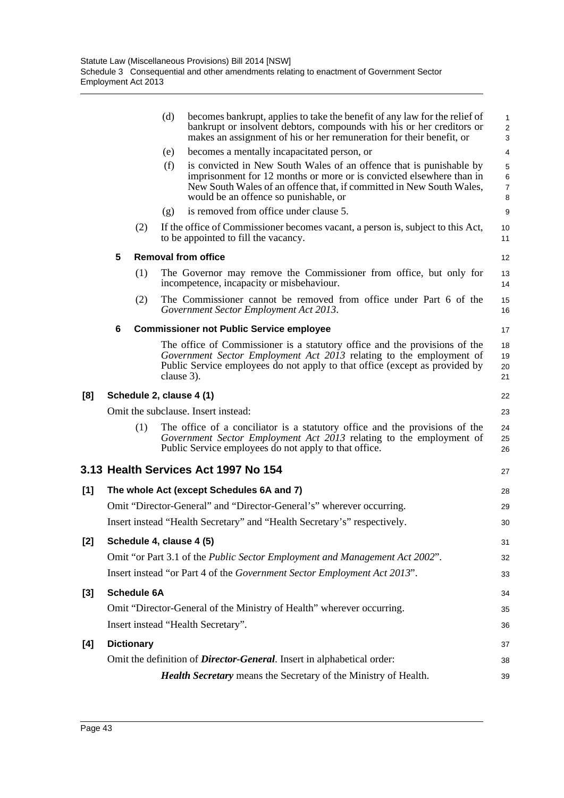|       |                                |                    | (d) | becomes bankrupt, applies to take the benefit of any law for the relief of<br>bankrupt or insolvent debtors, compounds with his or her creditors or<br>makes an assignment of his or her remuneration for their benefit, or                                  | 1<br>$\overline{\mathbf{c}}$<br>3 |  |  |  |
|-------|--------------------------------|--------------------|-----|--------------------------------------------------------------------------------------------------------------------------------------------------------------------------------------------------------------------------------------------------------------|-----------------------------------|--|--|--|
|       |                                |                    | (e) | becomes a mentally incapacitated person, or                                                                                                                                                                                                                  | 4                                 |  |  |  |
|       |                                |                    | (f) | is convicted in New South Wales of an offence that is punishable by<br>imprisonment for 12 months or more or is convicted elsewhere than in<br>New South Wales of an offence that, if committed in New South Wales,<br>would be an offence so punishable, or | 5<br>6<br>$\overline{7}$<br>8     |  |  |  |
|       |                                |                    | (g) | is removed from office under clause 5.                                                                                                                                                                                                                       | 9                                 |  |  |  |
|       |                                | (2)                |     | If the office of Commissioner becomes vacant, a person is, subject to this Act,<br>to be appointed to fill the vacancy.                                                                                                                                      | 10<br>11                          |  |  |  |
|       | 5                              |                    |     | <b>Removal from office</b>                                                                                                                                                                                                                                   | 12                                |  |  |  |
|       |                                | (1)                |     | The Governor may remove the Commissioner from office, but only for<br>incompetence, incapacity or misbehaviour.                                                                                                                                              | 13<br>14                          |  |  |  |
|       |                                | (2)                |     | The Commissioner cannot be removed from office under Part 6 of the<br>Government Sector Employment Act 2013.                                                                                                                                                 | 15<br>16                          |  |  |  |
|       | 6                              |                    |     | <b>Commissioner not Public Service employee</b>                                                                                                                                                                                                              | 17                                |  |  |  |
|       |                                |                    |     | The office of Commissioner is a statutory office and the provisions of the<br>Government Sector Employment Act 2013 relating to the employment of<br>Public Service employees do not apply to that office (except as provided by<br>clause 3).               | 18<br>19<br>20<br>21              |  |  |  |
| [8]   | Schedule 2, clause 4 (1)<br>22 |                    |     |                                                                                                                                                                                                                                                              |                                   |  |  |  |
|       |                                |                    |     | Omit the subclause. Insert instead:                                                                                                                                                                                                                          | 23                                |  |  |  |
|       |                                | (1)                |     | The office of a conciliator is a statutory office and the provisions of the<br>Government Sector Employment Act 2013 relating to the employment of<br>Public Service employees do not apply to that office.                                                  | 24<br>25<br>26                    |  |  |  |
|       |                                |                    |     | 3.13 Health Services Act 1997 No 154                                                                                                                                                                                                                         | 27                                |  |  |  |
| $[1]$ |                                |                    |     | The whole Act (except Schedules 6A and 7)                                                                                                                                                                                                                    | 28                                |  |  |  |
|       |                                |                    |     | Omit "Director-General" and "Director-General's" wherever occurring.                                                                                                                                                                                         | 29                                |  |  |  |
|       |                                |                    |     | Insert instead "Health Secretary" and "Health Secretary's" respectively.                                                                                                                                                                                     | 30                                |  |  |  |
| [2]   |                                |                    |     | Schedule 4, clause 4 (5)                                                                                                                                                                                                                                     | 31                                |  |  |  |
|       |                                |                    |     | Omit "or Part 3.1 of the Public Sector Employment and Management Act 2002".                                                                                                                                                                                  | 32                                |  |  |  |
|       |                                |                    |     | Insert instead "or Part 4 of the Government Sector Employment Act 2013".                                                                                                                                                                                     | 33                                |  |  |  |
| [3]   |                                | <b>Schedule 6A</b> |     |                                                                                                                                                                                                                                                              | 34                                |  |  |  |
|       |                                |                    |     | Omit "Director-General of the Ministry of Health" wherever occurring.                                                                                                                                                                                        | 35                                |  |  |  |
|       |                                |                    |     | Insert instead "Health Secretary".                                                                                                                                                                                                                           | 36                                |  |  |  |
| [4]   |                                | <b>Dictionary</b>  |     |                                                                                                                                                                                                                                                              | 37                                |  |  |  |
|       |                                |                    |     | Omit the definition of <i>Director-General</i> . Insert in alphabetical order:                                                                                                                                                                               | 38                                |  |  |  |
|       |                                |                    |     | Health Secretary means the Secretary of the Ministry of Health.                                                                                                                                                                                              | 39                                |  |  |  |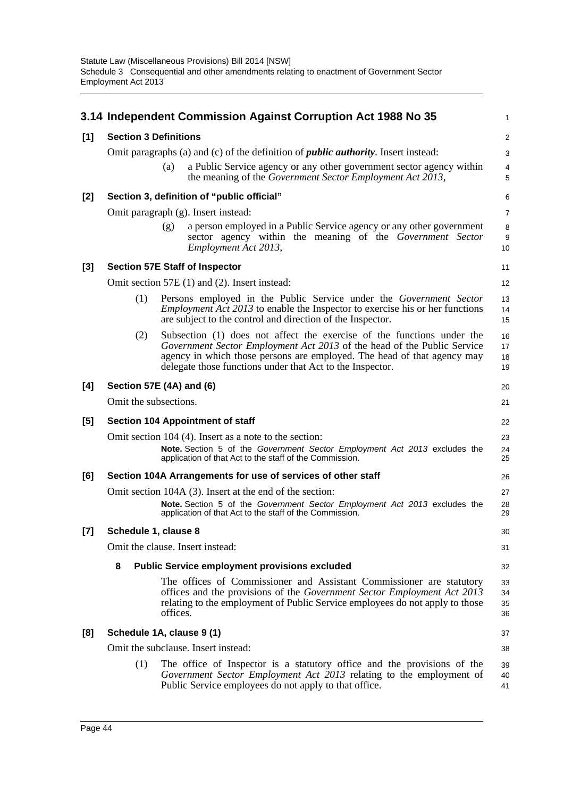|       |                                                                                            |          | 3.14 Independent Commission Against Corruption Act 1988 No 35                                                                                                                                                                                                                             | 1                    |  |  |  |  |
|-------|--------------------------------------------------------------------------------------------|----------|-------------------------------------------------------------------------------------------------------------------------------------------------------------------------------------------------------------------------------------------------------------------------------------------|----------------------|--|--|--|--|
| [1]   | <b>Section 3 Definitions</b>                                                               |          |                                                                                                                                                                                                                                                                                           |                      |  |  |  |  |
|       | Omit paragraphs (a) and (c) of the definition of <i>public authority</i> . Insert instead: |          |                                                                                                                                                                                                                                                                                           |                      |  |  |  |  |
|       |                                                                                            | (a)      | a Public Service agency or any other government sector agency within<br>the meaning of the Government Sector Employment Act 2013,                                                                                                                                                         | $\overline{4}$<br>5  |  |  |  |  |
| [2]   |                                                                                            |          | Section 3, definition of "public official"                                                                                                                                                                                                                                                | 6                    |  |  |  |  |
|       |                                                                                            |          | Omit paragraph (g). Insert instead:                                                                                                                                                                                                                                                       | $\overline{7}$       |  |  |  |  |
|       |                                                                                            | (g)      | a person employed in a Public Service agency or any other government<br>sector agency within the meaning of the Government Sector<br>Employment Act 2013,                                                                                                                                 | 8<br>9<br>10         |  |  |  |  |
| $[3]$ |                                                                                            |          | <b>Section 57E Staff of Inspector</b>                                                                                                                                                                                                                                                     | 11                   |  |  |  |  |
|       |                                                                                            |          | Omit section 57E (1) and (2). Insert instead:                                                                                                                                                                                                                                             | 12                   |  |  |  |  |
|       | (1)                                                                                        |          | Persons employed in the Public Service under the <i>Government Sector</i><br><i>Employment Act 2013</i> to enable the Inspector to exercise his or her functions<br>are subject to the control and direction of the Inspector.                                                            | 13<br>14<br>15       |  |  |  |  |
|       | (2)                                                                                        |          | Subsection (1) does not affect the exercise of the functions under the<br>Government Sector Employment Act 2013 of the head of the Public Service<br>agency in which those persons are employed. The head of that agency may<br>delegate those functions under that Act to the Inspector. | 16<br>17<br>18<br>19 |  |  |  |  |
| [4]   | Section 57E (4A) and (6)                                                                   |          |                                                                                                                                                                                                                                                                                           | 20                   |  |  |  |  |
|       | Omit the subsections.                                                                      |          |                                                                                                                                                                                                                                                                                           | 21                   |  |  |  |  |
| [5]   |                                                                                            |          | <b>Section 104 Appointment of staff</b>                                                                                                                                                                                                                                                   | 22                   |  |  |  |  |
|       |                                                                                            |          | Omit section 104 (4). Insert as a note to the section:                                                                                                                                                                                                                                    | 23                   |  |  |  |  |
|       |                                                                                            |          | Note. Section 5 of the Government Sector Employment Act 2013 excludes the<br>application of that Act to the staff of the Commission.                                                                                                                                                      | 24<br>25             |  |  |  |  |
| [6]   |                                                                                            |          | Section 104A Arrangements for use of services of other staff                                                                                                                                                                                                                              | 26                   |  |  |  |  |
|       |                                                                                            |          | Omit section 104A (3). Insert at the end of the section:<br>Note. Section 5 of the Government Sector Employment Act 2013 excludes the<br>application of that Act to the staff of the Commission.                                                                                          | 27<br>28<br>29       |  |  |  |  |
| [7]   | Schedule 1, clause 8                                                                       |          |                                                                                                                                                                                                                                                                                           | 30                   |  |  |  |  |
|       |                                                                                            |          | Omit the clause. Insert instead:                                                                                                                                                                                                                                                          | 31                   |  |  |  |  |
|       | 8                                                                                          |          | <b>Public Service employment provisions excluded</b>                                                                                                                                                                                                                                      | 32                   |  |  |  |  |
|       |                                                                                            | offices. | The offices of Commissioner and Assistant Commissioner are statutory<br>offices and the provisions of the Government Sector Employment Act 2013<br>relating to the employment of Public Service employees do not apply to those                                                           | 33<br>34<br>35<br>36 |  |  |  |  |
| [8]   | Schedule 1A, clause 9 (1)                                                                  |          |                                                                                                                                                                                                                                                                                           | 37                   |  |  |  |  |
|       |                                                                                            |          | Omit the subclause. Insert instead:                                                                                                                                                                                                                                                       | 38                   |  |  |  |  |
|       | (1)                                                                                        |          | The office of Inspector is a statutory office and the provisions of the<br>Government Sector Employment Act 2013 relating to the employment of<br>Public Service employees do not apply to that office.                                                                                   | 39<br>40<br>41       |  |  |  |  |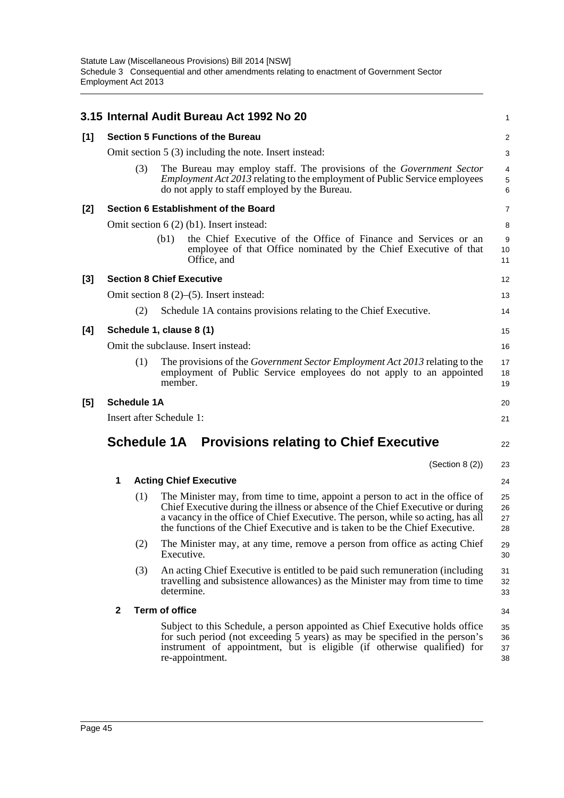|       |                                                         |                    | 3.15 Internal Audit Bureau Act 1992 No 20                                                                                                                                                                                                                                                                                           | 1                    |  |  |  |  |
|-------|---------------------------------------------------------|--------------------|-------------------------------------------------------------------------------------------------------------------------------------------------------------------------------------------------------------------------------------------------------------------------------------------------------------------------------------|----------------------|--|--|--|--|
| [1]   |                                                         |                    | <b>Section 5 Functions of the Bureau</b>                                                                                                                                                                                                                                                                                            | $\overline{a}$       |  |  |  |  |
|       | Omit section $5(3)$ including the note. Insert instead: |                    |                                                                                                                                                                                                                                                                                                                                     |                      |  |  |  |  |
|       |                                                         | (3)                | The Bureau may employ staff. The provisions of the Government Sector<br><i>Employment Act 2013</i> relating to the employment of Public Service employees<br>do not apply to staff employed by the Bureau.                                                                                                                          | 4<br>5<br>6          |  |  |  |  |
| $[2]$ |                                                         |                    | Section 6 Establishment of the Board                                                                                                                                                                                                                                                                                                | 7                    |  |  |  |  |
|       |                                                         |                    | Omit section $6(2)$ (b1). Insert instead:                                                                                                                                                                                                                                                                                           | 8                    |  |  |  |  |
|       |                                                         |                    | the Chief Executive of the Office of Finance and Services or an<br>(b1)<br>employee of that Office nominated by the Chief Executive of that<br>Office, and                                                                                                                                                                          | 9<br>10<br>11        |  |  |  |  |
| $[3]$ |                                                         |                    | <b>Section 8 Chief Executive</b>                                                                                                                                                                                                                                                                                                    | 12                   |  |  |  |  |
|       |                                                         |                    | Omit section $8(2)$ –(5). Insert instead:                                                                                                                                                                                                                                                                                           | 13                   |  |  |  |  |
|       |                                                         | (2)                | Schedule 1A contains provisions relating to the Chief Executive.                                                                                                                                                                                                                                                                    | 14                   |  |  |  |  |
| [4]   |                                                         |                    | Schedule 1, clause 8 (1)                                                                                                                                                                                                                                                                                                            | 15                   |  |  |  |  |
|       |                                                         |                    | Omit the subclause. Insert instead:                                                                                                                                                                                                                                                                                                 | 16                   |  |  |  |  |
|       |                                                         | (1)                | The provisions of the <i>Government Sector Employment Act 2013</i> relating to the<br>employment of Public Service employees do not apply to an appointed<br>member.                                                                                                                                                                | 17<br>18<br>19       |  |  |  |  |
| [5]   |                                                         | <b>Schedule 1A</b> |                                                                                                                                                                                                                                                                                                                                     | 20                   |  |  |  |  |
|       |                                                         |                    | Insert after Schedule 1:                                                                                                                                                                                                                                                                                                            | 21                   |  |  |  |  |
|       |                                                         |                    | <b>Schedule 1A</b> Provisions relating to Chief Executive                                                                                                                                                                                                                                                                           | 22                   |  |  |  |  |
|       |                                                         |                    | (Section 8 (2))                                                                                                                                                                                                                                                                                                                     | 23                   |  |  |  |  |
|       | 1                                                       |                    | <b>Acting Chief Executive</b>                                                                                                                                                                                                                                                                                                       | 24                   |  |  |  |  |
|       |                                                         | (1)                | The Minister may, from time to time, appoint a person to act in the office of<br>Chief Executive during the illness or absence of the Chief Executive or during<br>a vacancy in the office of Chief Executive. The person, while so acting, has all<br>the functions of the Chief Executive and is taken to be the Chief Executive. | 25<br>26<br>27<br>28 |  |  |  |  |
|       |                                                         | (2)                | The Minister may, at any time, remove a person from office as acting Chief<br>Executive.                                                                                                                                                                                                                                            | 29<br>30             |  |  |  |  |
|       |                                                         | (3)                | An acting Chief Executive is entitled to be paid such remuneration (including<br>travelling and subsistence allowances) as the Minister may from time to time<br>determine.                                                                                                                                                         | 31<br>32<br>33       |  |  |  |  |
|       | $\mathbf{2}$                                            |                    | <b>Term of office</b>                                                                                                                                                                                                                                                                                                               | 34                   |  |  |  |  |
|       |                                                         |                    | Subject to this Schedule, a person appointed as Chief Executive holds office<br>for such period (not exceeding 5 years) as may be specified in the person's<br>instrument of appointment, but is eligible (if otherwise qualified) for<br>re-appointment.                                                                           | 35<br>36<br>37<br>38 |  |  |  |  |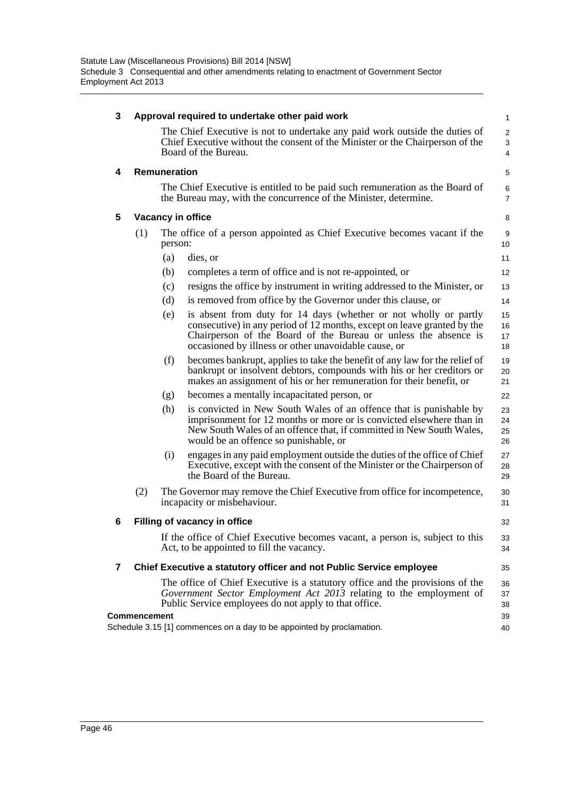| 3 | Approval required to undertake other paid work |              |                                                                                                                                                                                                                                                                        |                          |  |  |  |
|---|------------------------------------------------|--------------|------------------------------------------------------------------------------------------------------------------------------------------------------------------------------------------------------------------------------------------------------------------------|--------------------------|--|--|--|
|   |                                                |              | The Chief Executive is not to undertake any paid work outside the duties of<br>Chief Executive without the consent of the Minister or the Chairperson of the<br>Board of the Bureau.                                                                                   | $\overline{2}$<br>3<br>4 |  |  |  |
| 4 |                                                | Remuneration |                                                                                                                                                                                                                                                                        | 5                        |  |  |  |
|   |                                                |              | The Chief Executive is entitled to be paid such remuneration as the Board of<br>the Bureau may, with the concurrence of the Minister, determine.                                                                                                                       | 6<br>$\overline{7}$      |  |  |  |
| 5 |                                                |              | Vacancy in office                                                                                                                                                                                                                                                      | 8                        |  |  |  |
|   | (1)                                            | person:      | The office of a person appointed as Chief Executive becomes vacant if the                                                                                                                                                                                              | 9<br>10 <sup>10</sup>    |  |  |  |
|   |                                                | (a)          | dies, or                                                                                                                                                                                                                                                               | 11                       |  |  |  |
|   |                                                | (b)          | completes a term of office and is not re-appointed, or                                                                                                                                                                                                                 | 12                       |  |  |  |
|   |                                                | (c)          | resigns the office by instrument in writing addressed to the Minister, or                                                                                                                                                                                              | 13                       |  |  |  |
|   |                                                | (d)          | is removed from office by the Governor under this clause, or                                                                                                                                                                                                           | 14                       |  |  |  |
|   |                                                | (e)          | is absent from duty for 14 days (whether or not wholly or partly<br>consecutive) in any period of 12 months, except on leave granted by the<br>Chairperson of the Board of the Bureau or unless the absence is<br>occasioned by illness or other unavoidable cause, or | 15<br>16<br>17<br>18     |  |  |  |
|   |                                                | (f)          | becomes bankrupt, applies to take the benefit of any law for the relief of<br>bankrupt or insolvent debtors, compounds with his or her creditors or<br>makes an assignment of his or her remuneration for their benefit, or                                            | 19<br>20<br>21           |  |  |  |
|   |                                                | (g)          | becomes a mentally incapacitated person, or                                                                                                                                                                                                                            | 22                       |  |  |  |
|   |                                                | (h)          | is convicted in New South Wales of an offence that is punishable by<br>imprisonment for 12 months or more or is convicted elsewhere than in<br>New South Wales of an offence that, if committed in New South Wales,<br>would be an offence so punishable, or           | 23<br>24<br>25<br>26     |  |  |  |
|   |                                                | (i)          | engages in any paid employment outside the duties of the office of Chief<br>Executive, except with the consent of the Minister or the Chairperson of<br>the Board of the Bureau.                                                                                       | 27<br>28<br>29           |  |  |  |
|   | (2)                                            |              | The Governor may remove the Chief Executive from office for incompetence,<br>incapacity or misbehaviour.                                                                                                                                                               | 30<br>31                 |  |  |  |
| 6 |                                                |              | Filling of vacancy in office                                                                                                                                                                                                                                           | 32                       |  |  |  |
|   |                                                |              | If the office of Chief Executive becomes vacant, a person is, subject to this<br>Act, to be appointed to fill the vacancy.                                                                                                                                             | 33<br>34                 |  |  |  |
| 7 |                                                |              | Chief Executive a statutory officer and not Public Service employee                                                                                                                                                                                                    | 35                       |  |  |  |
|   |                                                |              | The office of Chief Executive is a statutory office and the provisions of the<br>Government Sector Employment Act 2013 relating to the employment of<br>Public Service employees do not apply to that office.                                                          | 36<br>37<br>38           |  |  |  |
|   | <b>Commencement</b>                            |              | Schedule 3.15 [1] commences on a day to be appointed by proclamation.                                                                                                                                                                                                  | 39<br>40                 |  |  |  |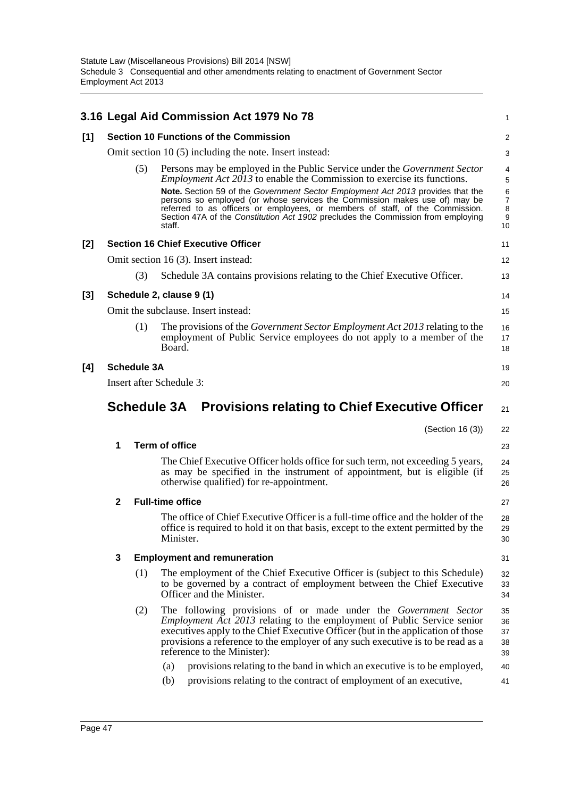|       |                                                            |                    | 3.16 Legal Aid Commission Act 1979 No 78                                                                                                                                                                                                                                                                                                                                                                                                                                                                           | 1                                                            |  |
|-------|------------------------------------------------------------|--------------------|--------------------------------------------------------------------------------------------------------------------------------------------------------------------------------------------------------------------------------------------------------------------------------------------------------------------------------------------------------------------------------------------------------------------------------------------------------------------------------------------------------------------|--------------------------------------------------------------|--|
| [1]   |                                                            |                    | <b>Section 10 Functions of the Commission</b>                                                                                                                                                                                                                                                                                                                                                                                                                                                                      | 2                                                            |  |
|       |                                                            |                    | Omit section $10(5)$ including the note. Insert instead:                                                                                                                                                                                                                                                                                                                                                                                                                                                           | 3                                                            |  |
|       |                                                            | (5)                | Persons may be employed in the Public Service under the <i>Government Sector</i><br><i>Employment Act 2013</i> to enable the Commission to exercise its functions.<br>Note. Section 59 of the Government Sector Employment Act 2013 provides that the<br>persons so employed (or whose services the Commission makes use of) may be<br>referred to as officers or employees, or members of staff, of the Commission.<br>Section 47A of the Constitution Act 1902 precludes the Commission from employing<br>staff. | 4<br>5<br>6<br>$\overline{7}$<br>8<br>$\boldsymbol{9}$<br>10 |  |
| $[2]$ |                                                            |                    | <b>Section 16 Chief Executive Officer</b>                                                                                                                                                                                                                                                                                                                                                                                                                                                                          | 11                                                           |  |
|       |                                                            |                    | Omit section 16 (3). Insert instead:                                                                                                                                                                                                                                                                                                                                                                                                                                                                               | 12                                                           |  |
|       |                                                            | (3)                | Schedule 3A contains provisions relating to the Chief Executive Officer.                                                                                                                                                                                                                                                                                                                                                                                                                                           | 13                                                           |  |
| $[3]$ |                                                            |                    | Schedule 2, clause 9 (1)                                                                                                                                                                                                                                                                                                                                                                                                                                                                                           | 14                                                           |  |
|       |                                                            |                    | Omit the subclause. Insert instead:                                                                                                                                                                                                                                                                                                                                                                                                                                                                                | 15                                                           |  |
|       |                                                            | (1)                | The provisions of the <i>Government Sector Employment Act 2013</i> relating to the<br>employment of Public Service employees do not apply to a member of the<br>Board.                                                                                                                                                                                                                                                                                                                                             | 16<br>17<br>18                                               |  |
| [4]   |                                                            | <b>Schedule 3A</b> |                                                                                                                                                                                                                                                                                                                                                                                                                                                                                                                    | 19                                                           |  |
|       |                                                            |                    | Insert after Schedule 3:                                                                                                                                                                                                                                                                                                                                                                                                                                                                                           | 20                                                           |  |
|       | Schedule 3A Provisions relating to Chief Executive Officer |                    |                                                                                                                                                                                                                                                                                                                                                                                                                                                                                                                    |                                                              |  |
|       |                                                            |                    |                                                                                                                                                                                                                                                                                                                                                                                                                                                                                                                    | 21                                                           |  |
|       |                                                            |                    | (Section 16 (3))                                                                                                                                                                                                                                                                                                                                                                                                                                                                                                   | 22                                                           |  |
|       | 1                                                          |                    | <b>Term of office</b>                                                                                                                                                                                                                                                                                                                                                                                                                                                                                              | 23                                                           |  |
|       |                                                            |                    | The Chief Executive Officer holds office for such term, not exceeding 5 years,<br>as may be specified in the instrument of appointment, but is eligible (if<br>otherwise qualified) for re-appointment.                                                                                                                                                                                                                                                                                                            | 24<br>25<br>26                                               |  |
|       | $\mathbf{2}$                                               |                    | <b>Full-time office</b>                                                                                                                                                                                                                                                                                                                                                                                                                                                                                            | 27                                                           |  |
|       |                                                            |                    | The office of Chief Executive Officer is a full-time office and the holder of the<br>office is required to hold it on that basis, except to the extent permitted by the<br>Minister.                                                                                                                                                                                                                                                                                                                               | 28<br>29<br>30                                               |  |
|       | 3                                                          |                    | <b>Employment and remuneration</b>                                                                                                                                                                                                                                                                                                                                                                                                                                                                                 | 31                                                           |  |
|       |                                                            | (1)                | The employment of the Chief Executive Officer is (subject to this Schedule)<br>to be governed by a contract of employment between the Chief Executive<br>Officer and the Minister.                                                                                                                                                                                                                                                                                                                                 | 32<br>33<br>34                                               |  |
|       |                                                            | (2)                | The following provisions of or made under the Government Sector<br><i>Employment Act 2013</i> relating to the employment of Public Service senior<br>executives apply to the Chief Executive Officer (but in the application of those<br>provisions a reference to the employer of any such executive is to be read as a<br>reference to the Minister):                                                                                                                                                            | 35<br>36<br>37<br>38<br>39                                   |  |
|       |                                                            |                    | provisions relating to the band in which an executive is to be employed,<br>(a)<br>provisions relating to the contract of employment of an executive,<br>(b)                                                                                                                                                                                                                                                                                                                                                       | 40<br>41                                                     |  |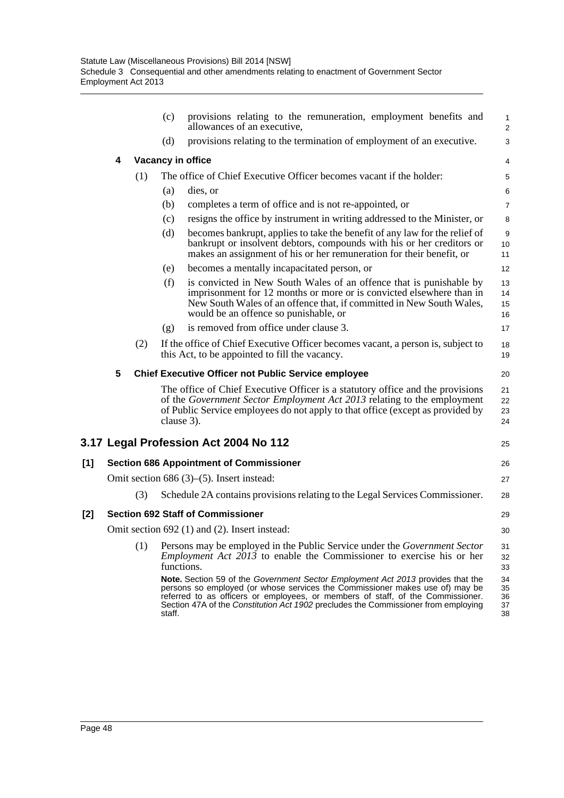|     |   |     | (c)        | provisions relating to the remuneration, employment benefits and<br>allowances of an executive,                                                                                                                                                                                                                                          | 1<br>$\overline{\mathbf{c}}$ |
|-----|---|-----|------------|------------------------------------------------------------------------------------------------------------------------------------------------------------------------------------------------------------------------------------------------------------------------------------------------------------------------------------------|------------------------------|
|     |   |     | (d)        | provisions relating to the termination of employment of an executive.                                                                                                                                                                                                                                                                    | 3                            |
|     | 4 |     |            | Vacancy in office                                                                                                                                                                                                                                                                                                                        | 4                            |
|     |   | (1) |            | The office of Chief Executive Officer becomes vacant if the holder:                                                                                                                                                                                                                                                                      | 5                            |
|     |   |     | (a)        | dies, or                                                                                                                                                                                                                                                                                                                                 | 6                            |
|     |   |     | (b)        | completes a term of office and is not re-appointed, or                                                                                                                                                                                                                                                                                   | 7                            |
|     |   |     | (c)        | resigns the office by instrument in writing addressed to the Minister, or                                                                                                                                                                                                                                                                | 8                            |
|     |   |     | (d)        | becomes bankrupt, applies to take the benefit of any law for the relief of<br>bankrupt or insolvent debtors, compounds with his or her creditors or<br>makes an assignment of his or her remuneration for their benefit, or                                                                                                              | 9<br>10<br>11                |
|     |   |     | (e)        | becomes a mentally incapacitated person, or                                                                                                                                                                                                                                                                                              | 12                           |
|     |   |     | (f)        | is convicted in New South Wales of an offence that is punishable by<br>imprisonment for 12 months or more or is convicted elsewhere than in<br>New South Wales of an offence that, if committed in New South Wales,<br>would be an offence so punishable, or                                                                             | 13<br>14<br>15<br>16         |
|     |   |     | (g)        | is removed from office under clause 3.                                                                                                                                                                                                                                                                                                   | 17                           |
|     |   | (2) |            | If the office of Chief Executive Officer becomes vacant, a person is, subject to<br>this Act, to be appointed to fill the vacancy.                                                                                                                                                                                                       | 18<br>19                     |
|     | 5 |     |            | <b>Chief Executive Officer not Public Service employee</b>                                                                                                                                                                                                                                                                               | 20                           |
|     |   |     | clause 3). | The office of Chief Executive Officer is a statutory office and the provisions<br>of the Government Sector Employment Act 2013 relating to the employment<br>of Public Service employees do not apply to that office (except as provided by                                                                                              | 21<br>22<br>23<br>24         |
|     |   |     |            | 3.17 Legal Profession Act 2004 No 112                                                                                                                                                                                                                                                                                                    | 25                           |
| [1] |   |     |            | <b>Section 686 Appointment of Commissioner</b>                                                                                                                                                                                                                                                                                           | 26                           |
|     |   |     |            | Omit section 686 $(3)$ – $(5)$ . Insert instead:                                                                                                                                                                                                                                                                                         | 27                           |
|     |   | (3) |            | Schedule 2A contains provisions relating to the Legal Services Commissioner.                                                                                                                                                                                                                                                             | 28                           |
| [2] |   |     |            | <b>Section 692 Staff of Commissioner</b>                                                                                                                                                                                                                                                                                                 | 29                           |
|     |   |     |            | Omit section 692 (1) and (2). Insert instead:                                                                                                                                                                                                                                                                                            | 30                           |
|     |   | (1) | functions. | Persons may be employed in the Public Service under the <i>Government Sector</i><br><i>Employment Act <math>2013</math> to enable the Commissioner to exercise his or her</i>                                                                                                                                                            | 31<br>32<br>33               |
|     |   |     | staff.     | Note. Section 59 of the Government Sector Employment Act 2013 provides that the<br>persons so employed (or whose services the Commissioner makes use of) may be<br>referred to as officers or employees, or members of staff, of the Commissioner.<br>Section 47A of the Constitution Act 1902 precludes the Commissioner from employing | 34<br>35<br>36<br>37<br>38   |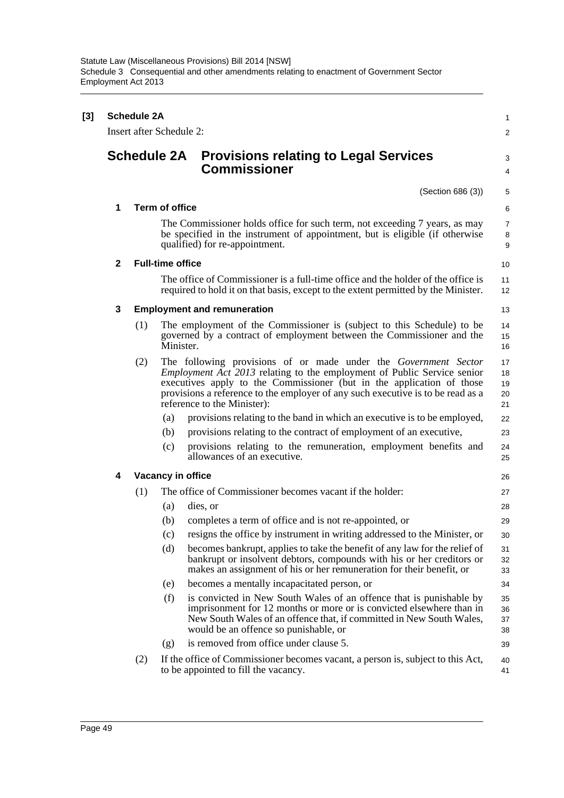| [3] | <b>Schedule 2A</b><br>Insert after Schedule 2: |                    |                         |                                                                                                                                                                                                                                                                                                                                              |                            |  |
|-----|------------------------------------------------|--------------------|-------------------------|----------------------------------------------------------------------------------------------------------------------------------------------------------------------------------------------------------------------------------------------------------------------------------------------------------------------------------------------|----------------------------|--|
|     |                                                | <b>Schedule 2A</b> |                         | <b>Provisions relating to Legal Services</b><br><b>Commissioner</b>                                                                                                                                                                                                                                                                          | 3<br>4                     |  |
|     |                                                |                    |                         | (Section 686 (3))                                                                                                                                                                                                                                                                                                                            | 5                          |  |
|     | 1                                              |                    | <b>Term of office</b>   |                                                                                                                                                                                                                                                                                                                                              | 6                          |  |
|     |                                                |                    |                         | The Commissioner holds office for such term, not exceeding 7 years, as may<br>be specified in the instrument of appointment, but is eligible (if otherwise<br>qualified) for re-appointment.                                                                                                                                                 | 7<br>8<br>9                |  |
|     | $\mathbf{2}$                                   |                    | <b>Full-time office</b> |                                                                                                                                                                                                                                                                                                                                              | 10                         |  |
|     |                                                |                    |                         | The office of Commissioner is a full-time office and the holder of the office is<br>required to hold it on that basis, except to the extent permitted by the Minister.                                                                                                                                                                       | 11<br>12                   |  |
|     | 3                                              |                    |                         | <b>Employment and remuneration</b>                                                                                                                                                                                                                                                                                                           | 13                         |  |
|     |                                                | (1)                | Minister.               | The employment of the Commissioner is (subject to this Schedule) to be<br>governed by a contract of employment between the Commissioner and the                                                                                                                                                                                              | 14<br>15<br>16             |  |
|     |                                                | (2)                |                         | The following provisions of or made under the Government Sector<br><i>Employment Act 2013</i> relating to the employment of Public Service senior<br>executives apply to the Commissioner (but in the application of those<br>provisions a reference to the employer of any such executive is to be read as a<br>reference to the Minister): | 17<br>18<br>19<br>20<br>21 |  |
|     |                                                |                    | (a)                     | provisions relating to the band in which an executive is to be employed,                                                                                                                                                                                                                                                                     | 22                         |  |
|     |                                                |                    | (b)                     | provisions relating to the contract of employment of an executive,                                                                                                                                                                                                                                                                           | 23                         |  |
|     |                                                |                    | (c)                     | provisions relating to the remuneration, employment benefits and<br>allowances of an executive.                                                                                                                                                                                                                                              | 24<br>25                   |  |
|     | 4                                              |                    |                         | Vacancy in office                                                                                                                                                                                                                                                                                                                            | 26                         |  |
|     |                                                | (1)                |                         | The office of Commissioner becomes vacant if the holder:                                                                                                                                                                                                                                                                                     | 27                         |  |
|     |                                                |                    | (a)                     | dies, or                                                                                                                                                                                                                                                                                                                                     | 28                         |  |
|     |                                                |                    | (b)                     | completes a term of office and is not re-appointed, or                                                                                                                                                                                                                                                                                       | 29                         |  |
|     |                                                |                    | (c)                     | resigns the office by instrument in writing addressed to the Minister, or                                                                                                                                                                                                                                                                    | 30                         |  |
|     |                                                |                    | (d)                     | becomes bankrupt, applies to take the benefit of any law for the relief of<br>bankrupt or insolvent debtors, compounds with his or her creditors or<br>makes an assignment of his or her remuneration for their benefit, or                                                                                                                  | 31<br>32<br>33             |  |
|     |                                                |                    | (e)                     | becomes a mentally incapacitated person, or                                                                                                                                                                                                                                                                                                  | 34                         |  |
|     |                                                |                    | (f)                     | is convicted in New South Wales of an offence that is punishable by<br>imprisonment for 12 months or more or is convicted elsewhere than in<br>New South Wales of an offence that, if committed in New South Wales,<br>would be an offence so punishable, or                                                                                 | 35<br>36<br>37<br>38       |  |
|     |                                                |                    | (g)                     | is removed from office under clause 5.                                                                                                                                                                                                                                                                                                       | 39                         |  |
|     |                                                | (2)                |                         | If the office of Commissioner becomes vacant, a person is, subject to this Act,<br>to be appointed to fill the vacancy.                                                                                                                                                                                                                      | 40<br>41                   |  |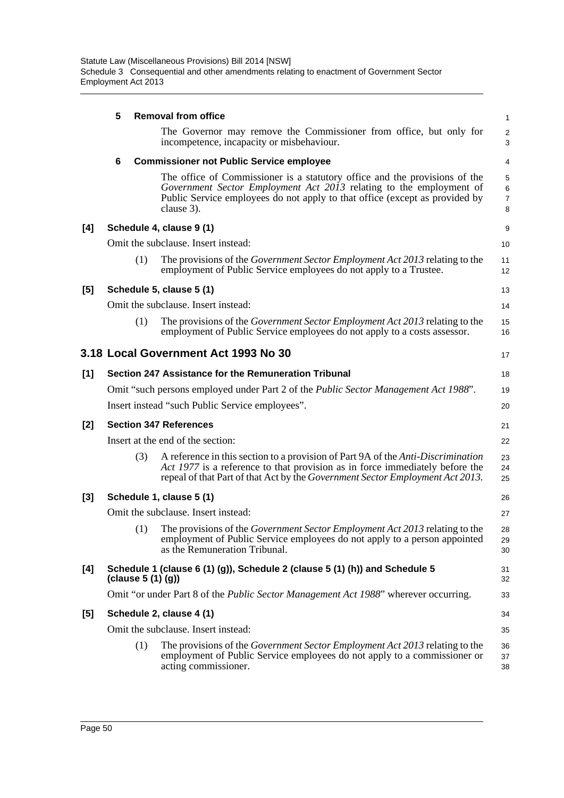|       | 5 |                     | <b>Removal from office</b>                                                                                                                                                                                                                        | 1                             |
|-------|---|---------------------|---------------------------------------------------------------------------------------------------------------------------------------------------------------------------------------------------------------------------------------------------|-------------------------------|
|       |   |                     | The Governor may remove the Commissioner from office, but only for<br>incompetence, incapacity or misbehaviour.                                                                                                                                   | $\overline{2}$<br>3           |
|       | 6 |                     | <b>Commissioner not Public Service employee</b>                                                                                                                                                                                                   | 4                             |
|       |   |                     | The office of Commissioner is a statutory office and the provisions of the<br>Government Sector Employment Act 2013 relating to the employment of<br>Public Service employees do not apply to that office (except as provided by<br>clause 3).    | 5<br>6<br>$\overline{7}$<br>8 |
| [4]   |   |                     | Schedule 4, clause 9 (1)                                                                                                                                                                                                                          | 9                             |
|       |   |                     | Omit the subclause. Insert instead:                                                                                                                                                                                                               | 10                            |
|       |   | (1)                 | The provisions of the <i>Government Sector Employment Act 2013</i> relating to the<br>employment of Public Service employees do not apply to a Trustee.                                                                                           | 11<br>12                      |
| [5]   |   |                     | Schedule 5, clause 5 (1)                                                                                                                                                                                                                          | 13                            |
|       |   |                     | Omit the subclause. Insert instead:                                                                                                                                                                                                               | 14                            |
|       |   | (1)                 | The provisions of the <i>Government Sector Employment Act 2013</i> relating to the<br>employment of Public Service employees do not apply to a costs assessor.                                                                                    | 15<br>16                      |
|       |   |                     | 3.18 Local Government Act 1993 No 30                                                                                                                                                                                                              | 17                            |
| [1]   |   |                     | Section 247 Assistance for the Remuneration Tribunal                                                                                                                                                                                              | 18                            |
|       |   |                     | Omit "such persons employed under Part 2 of the Public Sector Management Act 1988".                                                                                                                                                               | 19                            |
|       |   |                     | Insert instead "such Public Service employees".                                                                                                                                                                                                   | 20                            |
| [2]   |   |                     | <b>Section 347 References</b>                                                                                                                                                                                                                     | 21                            |
|       |   |                     | Insert at the end of the section:                                                                                                                                                                                                                 | 22                            |
|       |   | (3)                 | A reference in this section to a provision of Part 9A of the Anti-Discrimination<br>Act 1977 is a reference to that provision as in force immediately before the<br>repeal of that Part of that Act by the Government Sector Employment Act 2013. | 23<br>24<br>25                |
| $[3]$ |   |                     | Schedule 1, clause 5 (1)                                                                                                                                                                                                                          | 26                            |
|       |   |                     | Omit the subclause. Insert instead:                                                                                                                                                                                                               | 27                            |
|       |   | (1)                 | The provisions of the <i>Government Sector Employment Act 2013</i> relating to the<br>employment of Public Service employees do not apply to a person appointed<br>as the Remuneration Tribunal.                                                  | 28<br>29<br>30                |
| [4]   |   | (clause $5(1)(g)$ ) | Schedule 1 (clause 6 (1) (g)), Schedule 2 (clause 5 (1) (h)) and Schedule 5                                                                                                                                                                       | 31<br>32                      |
|       |   |                     | Omit "or under Part 8 of the <i>Public Sector Management Act 1988</i> " wherever occurring.                                                                                                                                                       | 33                            |
| $[5]$ |   |                     | Schedule 2, clause 4 (1)                                                                                                                                                                                                                          | 34                            |
|       |   |                     | Omit the subclause. Insert instead:                                                                                                                                                                                                               | 35                            |
|       |   | (1)                 | The provisions of the <i>Government Sector Employment Act 2013</i> relating to the<br>employment of Public Service employees do not apply to a commissioner or<br>acting commissioner.                                                            | 36<br>37<br>38                |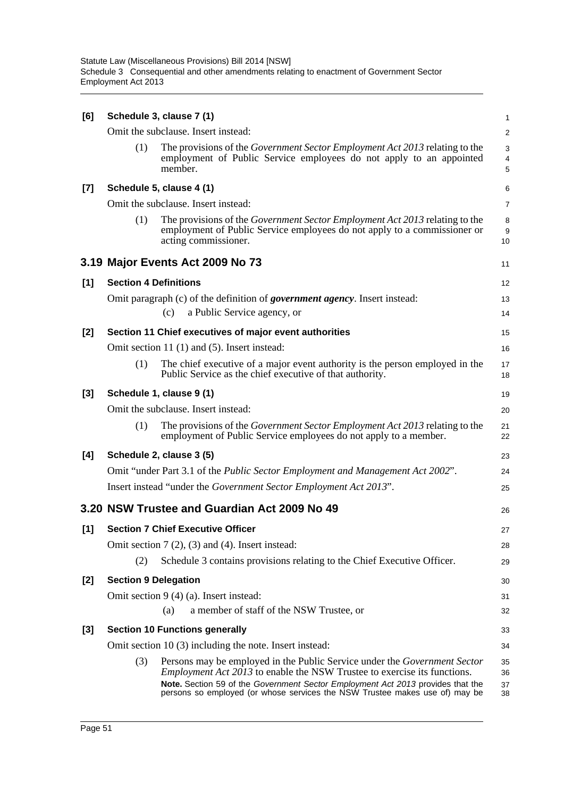| [6]   | Schedule 3, clause 7 (1)     |                                                                                                                                                                                        |                |  |  |  |
|-------|------------------------------|----------------------------------------------------------------------------------------------------------------------------------------------------------------------------------------|----------------|--|--|--|
|       |                              | Omit the subclause. Insert instead:                                                                                                                                                    | 2              |  |  |  |
|       | (1)                          | The provisions of the Government Sector Employment Act 2013 relating to the<br>employment of Public Service employees do not apply to an appointed<br>member.                          | 3<br>4<br>5    |  |  |  |
| $[7]$ |                              | Schedule 5, clause 4 (1)                                                                                                                                                               | 6              |  |  |  |
|       |                              | Omit the subclause. Insert instead:                                                                                                                                                    | $\overline{7}$ |  |  |  |
|       | (1)                          | The provisions of the <i>Government Sector Employment Act 2013</i> relating to the<br>employment of Public Service employees do not apply to a commissioner or<br>acting commissioner. | 8<br>9<br>10   |  |  |  |
|       |                              | 3.19 Major Events Act 2009 No 73                                                                                                                                                       | 11             |  |  |  |
| [1]   | <b>Section 4 Definitions</b> |                                                                                                                                                                                        | 12             |  |  |  |
|       |                              | Omit paragraph (c) of the definition of <i>government agency</i> . Insert instead:<br>a Public Service agency, or<br>(c)                                                               | 13<br>14       |  |  |  |
| $[2]$ |                              | Section 11 Chief executives of major event authorities                                                                                                                                 | 15             |  |  |  |
|       |                              | Omit section 11 (1) and (5). Insert instead:                                                                                                                                           | 16             |  |  |  |
|       | (1)                          | The chief executive of a major event authority is the person employed in the<br>Public Service as the chief executive of that authority.                                               | 17<br>18       |  |  |  |
| $[3]$ |                              | Schedule 1, clause 9 (1)                                                                                                                                                               | 19             |  |  |  |
|       |                              | Omit the subclause. Insert instead:                                                                                                                                                    | 20             |  |  |  |
|       | (1)                          | The provisions of the <i>Government Sector Employment Act 2013</i> relating to the<br>employment of Public Service employees do not apply to a member.                                 | 21<br>22       |  |  |  |
| [4]   |                              | Schedule 2, clause 3 (5)                                                                                                                                                               | 23             |  |  |  |
|       |                              | Omit "under Part 3.1 of the <i>Public Sector Employment and Management Act 2002"</i> .                                                                                                 | 24             |  |  |  |
|       |                              | Insert instead "under the Government Sector Employment Act 2013".                                                                                                                      | 25             |  |  |  |
|       |                              | 3.20 NSW Trustee and Guardian Act 2009 No 49                                                                                                                                           | 26             |  |  |  |
| [1]   |                              | <b>Section 7 Chief Executive Officer</b>                                                                                                                                               | 27             |  |  |  |
|       |                              | Omit section $7(2)$ , $(3)$ and $(4)$ . Insert instead:                                                                                                                                | 28             |  |  |  |
|       | (2)                          | Schedule 3 contains provisions relating to the Chief Executive Officer.                                                                                                                | 29             |  |  |  |
| $[2]$ | <b>Section 9 Delegation</b>  |                                                                                                                                                                                        | 30             |  |  |  |
|       |                              | Omit section 9 (4) (a). Insert instead:                                                                                                                                                | 31             |  |  |  |
|       |                              | a member of staff of the NSW Trustee, or<br>(a)                                                                                                                                        | 32             |  |  |  |
| $[3]$ |                              | <b>Section 10 Functions generally</b>                                                                                                                                                  | 33             |  |  |  |
|       |                              | Omit section $10(3)$ including the note. Insert instead:                                                                                                                               | 34             |  |  |  |
|       | (3)                          | Persons may be employed in the Public Service under the <i>Government Sector</i><br><i>Employment Act 2013</i> to enable the NSW Trustee to exercise its functions.                    | 35<br>36       |  |  |  |
|       |                              | Note. Section 59 of the Government Sector Employment Act 2013 provides that the<br>persons so employed (or whose services the NSW Trustee makes use of) may be                         | 37<br>38       |  |  |  |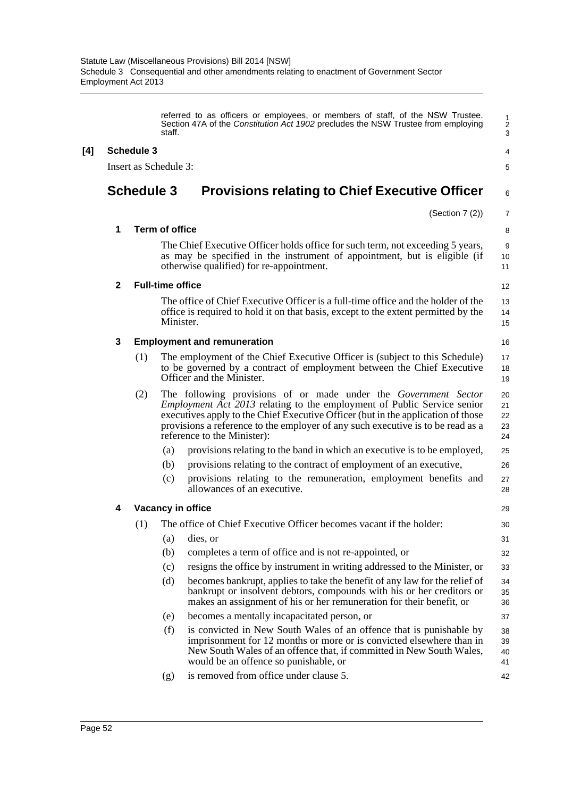referred to as officers or employees, or members of staff, of the NSW Trustee. Section 47A of the *Constitution Act 1902* precludes the NSW Trustee from employing staff.

7

# **[4] Schedule 3**

Insert as Schedule 3:

# **Schedule 3 Provisions relating to Chief Executive Officer**

#### (Section 7 (2)) **1 Term of office** The Chief Executive Officer holds office for such term, not exceeding 5 years, as may be specified in the instrument of appointment, but is eligible (if otherwise qualified) for re-appointment. **2 Full-time office** The office of Chief Executive Officer is a full-time office and the holder of the office is required to hold it on that basis, except to the extent permitted by the Minister. **3 Employment and remuneration** (1) The employment of the Chief Executive Officer is (subject to this Schedule) to be governed by a contract of employment between the Chief Executive Officer and the Minister. (2) The following provisions of or made under the *Government Sector Employment Act 2013* relating to the employment of Public Service senior executives apply to the Chief Executive Officer (but in the application of those provisions a reference to the employer of any such executive is to be read as a reference to the Minister): (a) provisions relating to the band in which an executive is to be employed, (b) provisions relating to the contract of employment of an executive, (c) provisions relating to the remuneration, employment benefits and allowances of an executive. **4 Vacancy in office** (1) The office of Chief Executive Officer becomes vacant if the holder: (a) dies, or (b) completes a term of office and is not re-appointed, or (c) resigns the office by instrument in writing addressed to the Minister, or (d) becomes bankrupt, applies to take the benefit of any law for the relief of bankrupt or insolvent debtors, compounds with his or her creditors or makes an assignment of his or her remuneration for their benefit, or (e) becomes a mentally incapacitated person, or (f) is convicted in New South Wales of an offence that is punishable by imprisonment for 12 months or more or is convicted elsewhere than in New South Wales of an offence that, if committed in New South Wales, would be an offence so punishable, or 6 8 **9** 10 11 12 13 14 15 16 17 18 19 20 21 22 23  $24$ 25 26 27 28 29 30 31 32 33  $24$ 35 36 37 38 39 40 41

(g) is removed from office under clause 5. 42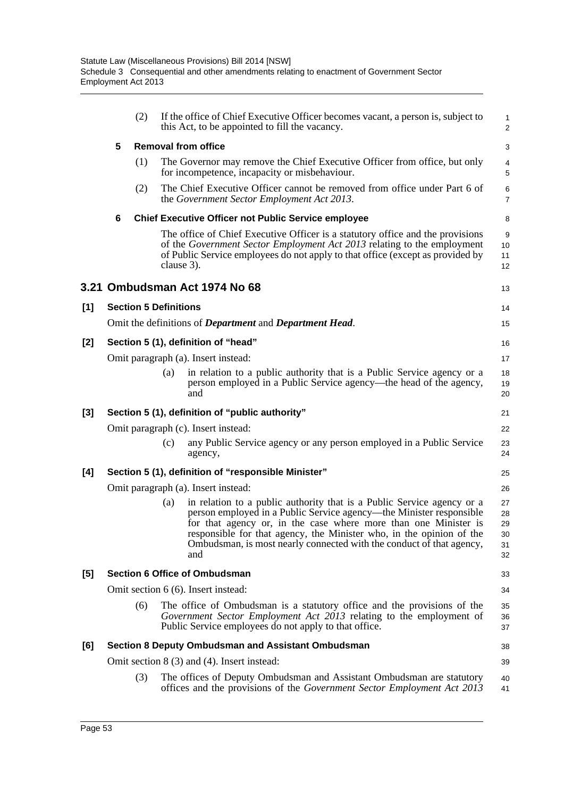|                                     | (2) |     | If the office of Chief Executive Officer becomes vacant, a person is, subject to                                                                                                                                                                                                                                                                                        | 1<br>$\overline{\mathbf{c}}$                                                                                                                                                                                                                                                                                                                                                                                                                                                                                                                                                                                                                                                                                                                                                                                                                                                                                                                                                                                                                                                                                                                                                                                                                                                                                                                                                                                                                                                                                                                                                                             |  |  |
|-------------------------------------|-----|-----|-------------------------------------------------------------------------------------------------------------------------------------------------------------------------------------------------------------------------------------------------------------------------------------------------------------------------------------------------------------------------|----------------------------------------------------------------------------------------------------------------------------------------------------------------------------------------------------------------------------------------------------------------------------------------------------------------------------------------------------------------------------------------------------------------------------------------------------------------------------------------------------------------------------------------------------------------------------------------------------------------------------------------------------------------------------------------------------------------------------------------------------------------------------------------------------------------------------------------------------------------------------------------------------------------------------------------------------------------------------------------------------------------------------------------------------------------------------------------------------------------------------------------------------------------------------------------------------------------------------------------------------------------------------------------------------------------------------------------------------------------------------------------------------------------------------------------------------------------------------------------------------------------------------------------------------------------------------------------------------------|--|--|
| 5                                   |     |     |                                                                                                                                                                                                                                                                                                                                                                         | 3                                                                                                                                                                                                                                                                                                                                                                                                                                                                                                                                                                                                                                                                                                                                                                                                                                                                                                                                                                                                                                                                                                                                                                                                                                                                                                                                                                                                                                                                                                                                                                                                        |  |  |
|                                     | (1) |     |                                                                                                                                                                                                                                                                                                                                                                         | 4<br>5                                                                                                                                                                                                                                                                                                                                                                                                                                                                                                                                                                                                                                                                                                                                                                                                                                                                                                                                                                                                                                                                                                                                                                                                                                                                                                                                                                                                                                                                                                                                                                                                   |  |  |
|                                     | (2) |     |                                                                                                                                                                                                                                                                                                                                                                         | 6<br>7                                                                                                                                                                                                                                                                                                                                                                                                                                                                                                                                                                                                                                                                                                                                                                                                                                                                                                                                                                                                                                                                                                                                                                                                                                                                                                                                                                                                                                                                                                                                                                                                   |  |  |
| 6                                   |     |     |                                                                                                                                                                                                                                                                                                                                                                         | 8                                                                                                                                                                                                                                                                                                                                                                                                                                                                                                                                                                                                                                                                                                                                                                                                                                                                                                                                                                                                                                                                                                                                                                                                                                                                                                                                                                                                                                                                                                                                                                                                        |  |  |
|                                     |     |     |                                                                                                                                                                                                                                                                                                                                                                         | 9<br>10<br>11<br>12                                                                                                                                                                                                                                                                                                                                                                                                                                                                                                                                                                                                                                                                                                                                                                                                                                                                                                                                                                                                                                                                                                                                                                                                                                                                                                                                                                                                                                                                                                                                                                                      |  |  |
|                                     |     |     |                                                                                                                                                                                                                                                                                                                                                                         | 13                                                                                                                                                                                                                                                                                                                                                                                                                                                                                                                                                                                                                                                                                                                                                                                                                                                                                                                                                                                                                                                                                                                                                                                                                                                                                                                                                                                                                                                                                                                                                                                                       |  |  |
|                                     |     |     |                                                                                                                                                                                                                                                                                                                                                                         | 14                                                                                                                                                                                                                                                                                                                                                                                                                                                                                                                                                                                                                                                                                                                                                                                                                                                                                                                                                                                                                                                                                                                                                                                                                                                                                                                                                                                                                                                                                                                                                                                                       |  |  |
|                                     |     |     |                                                                                                                                                                                                                                                                                                                                                                         | 15                                                                                                                                                                                                                                                                                                                                                                                                                                                                                                                                                                                                                                                                                                                                                                                                                                                                                                                                                                                                                                                                                                                                                                                                                                                                                                                                                                                                                                                                                                                                                                                                       |  |  |
|                                     |     |     |                                                                                                                                                                                                                                                                                                                                                                         | 16                                                                                                                                                                                                                                                                                                                                                                                                                                                                                                                                                                                                                                                                                                                                                                                                                                                                                                                                                                                                                                                                                                                                                                                                                                                                                                                                                                                                                                                                                                                                                                                                       |  |  |
|                                     |     |     |                                                                                                                                                                                                                                                                                                                                                                         | 17                                                                                                                                                                                                                                                                                                                                                                                                                                                                                                                                                                                                                                                                                                                                                                                                                                                                                                                                                                                                                                                                                                                                                                                                                                                                                                                                                                                                                                                                                                                                                                                                       |  |  |
|                                     |     | (a) | in relation to a public authority that is a Public Service agency or a<br>person employed in a Public Service agency—the head of the agency,<br>and                                                                                                                                                                                                                     | 18<br>19<br>20                                                                                                                                                                                                                                                                                                                                                                                                                                                                                                                                                                                                                                                                                                                                                                                                                                                                                                                                                                                                                                                                                                                                                                                                                                                                                                                                                                                                                                                                                                                                                                                           |  |  |
|                                     |     |     |                                                                                                                                                                                                                                                                                                                                                                         | 21                                                                                                                                                                                                                                                                                                                                                                                                                                                                                                                                                                                                                                                                                                                                                                                                                                                                                                                                                                                                                                                                                                                                                                                                                                                                                                                                                                                                                                                                                                                                                                                                       |  |  |
|                                     |     |     |                                                                                                                                                                                                                                                                                                                                                                         | 22                                                                                                                                                                                                                                                                                                                                                                                                                                                                                                                                                                                                                                                                                                                                                                                                                                                                                                                                                                                                                                                                                                                                                                                                                                                                                                                                                                                                                                                                                                                                                                                                       |  |  |
|                                     |     | (c) | any Public Service agency or any person employed in a Public Service<br>agency,                                                                                                                                                                                                                                                                                         | 23<br>24                                                                                                                                                                                                                                                                                                                                                                                                                                                                                                                                                                                                                                                                                                                                                                                                                                                                                                                                                                                                                                                                                                                                                                                                                                                                                                                                                                                                                                                                                                                                                                                                 |  |  |
|                                     |     |     |                                                                                                                                                                                                                                                                                                                                                                         | 25                                                                                                                                                                                                                                                                                                                                                                                                                                                                                                                                                                                                                                                                                                                                                                                                                                                                                                                                                                                                                                                                                                                                                                                                                                                                                                                                                                                                                                                                                                                                                                                                       |  |  |
|                                     |     |     |                                                                                                                                                                                                                                                                                                                                                                         | 26                                                                                                                                                                                                                                                                                                                                                                                                                                                                                                                                                                                                                                                                                                                                                                                                                                                                                                                                                                                                                                                                                                                                                                                                                                                                                                                                                                                                                                                                                                                                                                                                       |  |  |
|                                     |     | (a) | in relation to a public authority that is a Public Service agency or a<br>person employed in a Public Service agency—the Minister responsible<br>for that agency or, in the case where more than one Minister is<br>responsible for that agency, the Minister who, in the opinion of the<br>Ombudsman, is most nearly connected with the conduct of that agency,<br>and | 27<br>28<br>29<br>30<br>31<br>32                                                                                                                                                                                                                                                                                                                                                                                                                                                                                                                                                                                                                                                                                                                                                                                                                                                                                                                                                                                                                                                                                                                                                                                                                                                                                                                                                                                                                                                                                                                                                                         |  |  |
|                                     |     |     |                                                                                                                                                                                                                                                                                                                                                                         | 33                                                                                                                                                                                                                                                                                                                                                                                                                                                                                                                                                                                                                                                                                                                                                                                                                                                                                                                                                                                                                                                                                                                                                                                                                                                                                                                                                                                                                                                                                                                                                                                                       |  |  |
| Omit section 6 (6). Insert instead: |     |     |                                                                                                                                                                                                                                                                                                                                                                         |                                                                                                                                                                                                                                                                                                                                                                                                                                                                                                                                                                                                                                                                                                                                                                                                                                                                                                                                                                                                                                                                                                                                                                                                                                                                                                                                                                                                                                                                                                                                                                                                          |  |  |
|                                     | (6) |     |                                                                                                                                                                                                                                                                                                                                                                         | 35<br>36<br>37                                                                                                                                                                                                                                                                                                                                                                                                                                                                                                                                                                                                                                                                                                                                                                                                                                                                                                                                                                                                                                                                                                                                                                                                                                                                                                                                                                                                                                                                                                                                                                                           |  |  |
|                                     |     |     |                                                                                                                                                                                                                                                                                                                                                                         | 38                                                                                                                                                                                                                                                                                                                                                                                                                                                                                                                                                                                                                                                                                                                                                                                                                                                                                                                                                                                                                                                                                                                                                                                                                                                                                                                                                                                                                                                                                                                                                                                                       |  |  |
|                                     |     |     |                                                                                                                                                                                                                                                                                                                                                                         | 39                                                                                                                                                                                                                                                                                                                                                                                                                                                                                                                                                                                                                                                                                                                                                                                                                                                                                                                                                                                                                                                                                                                                                                                                                                                                                                                                                                                                                                                                                                                                                                                                       |  |  |
|                                     | (3) |     |                                                                                                                                                                                                                                                                                                                                                                         | 40<br>41                                                                                                                                                                                                                                                                                                                                                                                                                                                                                                                                                                                                                                                                                                                                                                                                                                                                                                                                                                                                                                                                                                                                                                                                                                                                                                                                                                                                                                                                                                                                                                                                 |  |  |
|                                     |     |     |                                                                                                                                                                                                                                                                                                                                                                         | this Act, to be appointed to fill the vacancy.<br><b>Removal from office</b><br>The Governor may remove the Chief Executive Officer from office, but only<br>for incompetence, incapacity or misbehaviour.<br>The Chief Executive Officer cannot be removed from office under Part 6 of<br>the Government Sector Employment Act 2013.<br><b>Chief Executive Officer not Public Service employee</b><br>The office of Chief Executive Officer is a statutory office and the provisions<br>of the Government Sector Employment Act 2013 relating to the employment<br>of Public Service employees do not apply to that office (except as provided by<br>clause 3).<br>3.21 Ombudsman Act 1974 No 68<br><b>Section 5 Definitions</b><br>Omit the definitions of <i>Department</i> and <i>Department Head</i> .<br>Section 5 (1), definition of "head"<br>Omit paragraph (a). Insert instead:<br>Section 5 (1), definition of "public authority"<br>Omit paragraph (c). Insert instead:<br>Section 5 (1), definition of "responsible Minister"<br>Omit paragraph (a). Insert instead:<br><b>Section 6 Office of Ombudsman</b><br>The office of Ombudsman is a statutory office and the provisions of the<br>Government Sector Employment Act 2013 relating to the employment of<br>Public Service employees do not apply to that office.<br><b>Section 8 Deputy Ombudsman and Assistant Ombudsman</b><br>Omit section $8(3)$ and $(4)$ . Insert instead:<br>The offices of Deputy Ombudsman and Assistant Ombudsman are statutory<br>offices and the provisions of the Government Sector Employment Act 2013 |  |  |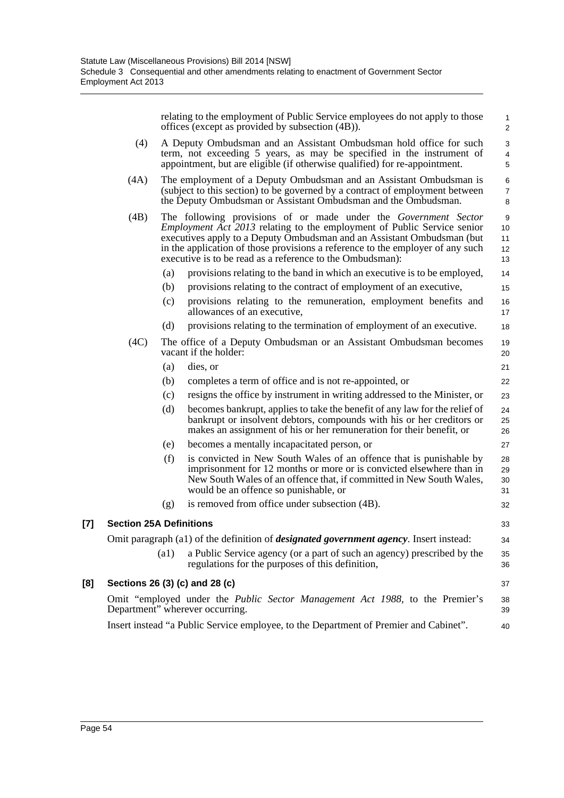relating to the employment of Public Service employees do not apply to those offices (except as provided by subsection (4B)).

14 15

32

37

40

- (4) A Deputy Ombudsman and an Assistant Ombudsman hold office for such term, not exceeding 5 years, as may be specified in the instrument of appointment, but are eligible (if otherwise qualified) for re-appointment.
- (4A) The employment of a Deputy Ombudsman and an Assistant Ombudsman is (subject to this section) to be governed by a contract of employment between the Deputy Ombudsman or Assistant Ombudsman and the Ombudsman.
- (4B) The following provisions of or made under the *Government Sector Employment Act 2013* relating to the employment of Public Service senior executives apply to a Deputy Ombudsman and an Assistant Ombudsman (but in the application of those provisions a reference to the employer of any such executive is to be read as a reference to the Ombudsman): 10 11 12 13
	- (a) provisions relating to the band in which an executive is to be employed,
	- (b) provisions relating to the contract of employment of an executive,
	- (c) provisions relating to the remuneration, employment benefits and allowances of an executive, 16 17
	- (d) provisions relating to the termination of employment of an executive.
- (4C) The office of a Deputy Ombudsman or an Assistant Ombudsman becomes vacant if the holder:
	- (a) dies, or
	- (b) completes a term of office and is not re-appointed, or
	- (c) resigns the office by instrument in writing addressed to the Minister, or
	- (d) becomes bankrupt, applies to take the benefit of any law for the relief of bankrupt or insolvent debtors, compounds with his or her creditors or makes an assignment of his or her remuneration for their benefit, or
	- (e) becomes a mentally incapacitated person, or
	- (f) is convicted in New South Wales of an offence that is punishable by imprisonment for 12 months or more or is convicted elsewhere than in New South Wales of an offence that, if committed in New South Wales, would be an offence so punishable, or 28 29 30 31

(g) is removed from office under subsection (4B).

### **[7] Section 25A Definitions**

Omit paragraph (a1) of the definition of *designated government agency*. Insert instead:

(a1) a Public Service agency (or a part of such an agency) prescribed by the regulations for the purposes of this definition,

# **[8] Sections 26 (3) (c) and 28 (c)**

Omit "employed under the *Public Sector Management Act 1988*, to the Premier's Department" wherever occurring. 38 39

Insert instead "a Public Service employee, to the Department of Premier and Cabinet".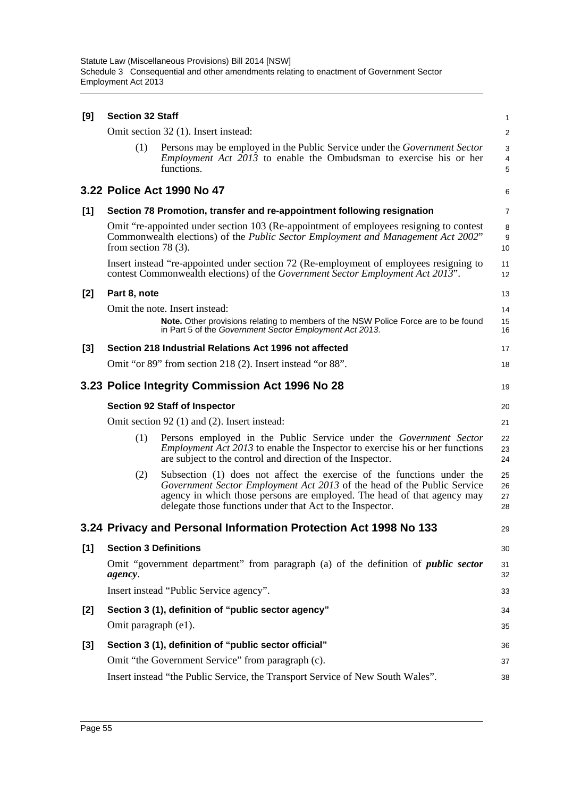| [9]   | <b>Section 32 Staff</b>                                                                              |                                                                                                                                                                                                                                                                                           |                          |  |  |  |  |  |
|-------|------------------------------------------------------------------------------------------------------|-------------------------------------------------------------------------------------------------------------------------------------------------------------------------------------------------------------------------------------------------------------------------------------------|--------------------------|--|--|--|--|--|
|       |                                                                                                      | Omit section 32 (1). Insert instead:                                                                                                                                                                                                                                                      | $\overline{c}$           |  |  |  |  |  |
|       | (1)                                                                                                  | Persons may be employed in the Public Service under the <i>Government Sector</i><br><i>Employment Act 2013</i> to enable the Ombudsman to exercise his or her<br>functions.                                                                                                               | 3<br>$\overline{4}$<br>5 |  |  |  |  |  |
|       |                                                                                                      | 3.22 Police Act 1990 No 47                                                                                                                                                                                                                                                                | 6                        |  |  |  |  |  |
| [1]   |                                                                                                      | Section 78 Promotion, transfer and re-appointment following resignation                                                                                                                                                                                                                   | $\overline{7}$           |  |  |  |  |  |
|       | from section 78 $(3)$ .                                                                              | Omit "re-appointed under section 103 (Re-appointment of employees resigning to contest<br>Commonwealth elections) of the <i>Public Sector Employment and Management Act 2002</i> "                                                                                                        | 8<br>9<br>10             |  |  |  |  |  |
|       |                                                                                                      | Insert instead "re-appointed under section 72 (Re-employment of employees resigning to<br>contest Commonwealth elections) of the <i>Government Sector Employment Act 2013</i> ".                                                                                                          | 11<br>12                 |  |  |  |  |  |
| [2]   | Part 8, note                                                                                         |                                                                                                                                                                                                                                                                                           | 13                       |  |  |  |  |  |
|       |                                                                                                      | Omit the note. Insert instead:                                                                                                                                                                                                                                                            | 14                       |  |  |  |  |  |
|       |                                                                                                      | Note. Other provisions relating to members of the NSW Police Force are to be found<br>in Part 5 of the Government Sector Employment Act 2013.                                                                                                                                             | 15<br>16                 |  |  |  |  |  |
| $[3]$ |                                                                                                      | Section 218 Industrial Relations Act 1996 not affected                                                                                                                                                                                                                                    | 17                       |  |  |  |  |  |
|       |                                                                                                      | Omit "or 89" from section 218 (2). Insert instead "or 88".                                                                                                                                                                                                                                | 18                       |  |  |  |  |  |
|       | 3.23 Police Integrity Commission Act 1996 No 28                                                      |                                                                                                                                                                                                                                                                                           |                          |  |  |  |  |  |
|       |                                                                                                      | <b>Section 92 Staff of Inspector</b>                                                                                                                                                                                                                                                      | 20                       |  |  |  |  |  |
|       |                                                                                                      | Omit section 92 (1) and (2). Insert instead:                                                                                                                                                                                                                                              | 21                       |  |  |  |  |  |
|       | (1)                                                                                                  | Persons employed in the Public Service under the Government Sector<br><i>Employment Act 2013</i> to enable the Inspector to exercise his or her functions<br>are subject to the control and direction of the Inspector.                                                                   | 22<br>23<br>24           |  |  |  |  |  |
|       | (2)                                                                                                  | Subsection (1) does not affect the exercise of the functions under the<br>Government Sector Employment Act 2013 of the head of the Public Service<br>agency in which those persons are employed. The head of that agency may<br>delegate those functions under that Act to the Inspector. | 25<br>26<br>27<br>28     |  |  |  |  |  |
|       |                                                                                                      | 3.24 Privacy and Personal Information Protection Act 1998 No 133                                                                                                                                                                                                                          | 29                       |  |  |  |  |  |
| [1]   | <b>Section 3 Definitions</b>                                                                         |                                                                                                                                                                                                                                                                                           | 30                       |  |  |  |  |  |
|       | Omit "government department" from paragraph (a) of the definition of <i>public sector</i><br>agency. |                                                                                                                                                                                                                                                                                           |                          |  |  |  |  |  |
|       | Insert instead "Public Service agency".                                                              |                                                                                                                                                                                                                                                                                           |                          |  |  |  |  |  |
| [2]   |                                                                                                      | Section 3 (1), definition of "public sector agency"                                                                                                                                                                                                                                       | 34                       |  |  |  |  |  |
|       | Omit paragraph (e1).                                                                                 |                                                                                                                                                                                                                                                                                           | 35                       |  |  |  |  |  |
| $[3]$ |                                                                                                      | Section 3 (1), definition of "public sector official"                                                                                                                                                                                                                                     | 36                       |  |  |  |  |  |
|       |                                                                                                      | Omit "the Government Service" from paragraph (c).                                                                                                                                                                                                                                         | 37                       |  |  |  |  |  |
|       | Insert instead "the Public Service, the Transport Service of New South Wales".<br>38                 |                                                                                                                                                                                                                                                                                           |                          |  |  |  |  |  |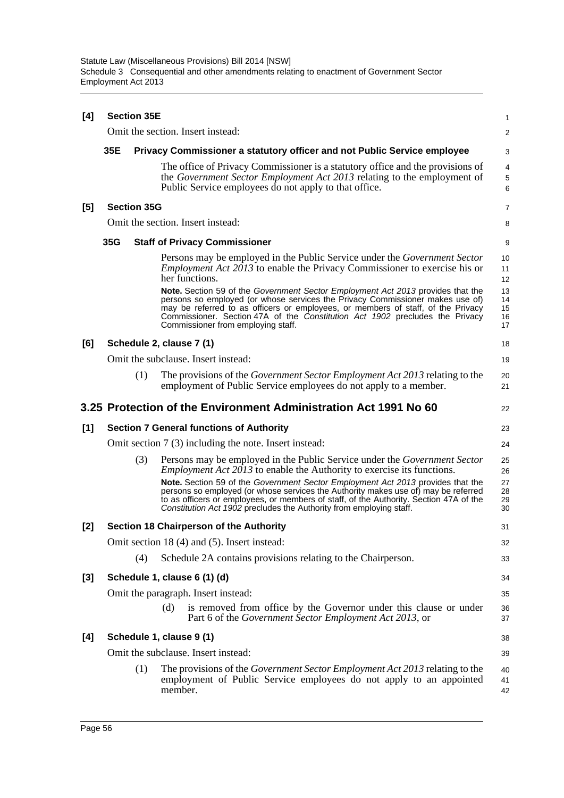| [4]   | <b>Section 35E</b> |                    |         |                                                                                                                                                                                                                                                                                                                                        |                      |  |
|-------|--------------------|--------------------|---------|----------------------------------------------------------------------------------------------------------------------------------------------------------------------------------------------------------------------------------------------------------------------------------------------------------------------------------------|----------------------|--|
|       |                    |                    |         | Omit the section. Insert instead:                                                                                                                                                                                                                                                                                                      | $\overline{c}$       |  |
|       | 35E                |                    |         | Privacy Commissioner a statutory officer and not Public Service employee                                                                                                                                                                                                                                                               | 3                    |  |
|       |                    |                    |         | The office of Privacy Commissioner is a statutory office and the provisions of<br>the Government Sector Employment Act 2013 relating to the employment of<br>Public Service employees do not apply to that office.                                                                                                                     | 4<br>5<br>6          |  |
| [5]   |                    | <b>Section 35G</b> |         |                                                                                                                                                                                                                                                                                                                                        | 7                    |  |
|       |                    |                    |         | Omit the section. Insert instead:                                                                                                                                                                                                                                                                                                      | 8                    |  |
|       | 35G                |                    |         | <b>Staff of Privacy Commissioner</b>                                                                                                                                                                                                                                                                                                   | 9                    |  |
|       |                    |                    |         | Persons may be employed in the Public Service under the <i>Government Sector</i><br><i>Employment Act 2013</i> to enable the Privacy Commissioner to exercise his or<br>her functions.<br>Note. Section 59 of the Government Sector Employment Act 2013 provides that the                                                              | 10<br>11<br>12<br>13 |  |
|       |                    |                    |         | persons so employed (or whose services the Privacy Commissioner makes use of)<br>may be referred to as officers or employees, or members of staff, of the Privacy<br>Commissioner. Section 47A of the Constitution Act 1902 precludes the Privacy<br>Commissioner from employing staff.                                                | 14<br>15<br>16<br>17 |  |
| [6]   |                    |                    |         | Schedule 2, clause 7 (1)                                                                                                                                                                                                                                                                                                               | 18                   |  |
|       |                    |                    |         | Omit the subclause. Insert instead:                                                                                                                                                                                                                                                                                                    | 19                   |  |
|       |                    | (1)                |         | The provisions of the <i>Government Sector Employment Act 2013</i> relating to the<br>employment of Public Service employees do not apply to a member.                                                                                                                                                                                 | 20<br>21             |  |
|       |                    |                    |         | 3.25 Protection of the Environment Administration Act 1991 No 60                                                                                                                                                                                                                                                                       | 22                   |  |
| $[1]$ |                    |                    |         | <b>Section 7 General functions of Authority</b>                                                                                                                                                                                                                                                                                        | 23                   |  |
|       |                    |                    |         | Omit section 7 (3) including the note. Insert instead:                                                                                                                                                                                                                                                                                 | 24                   |  |
|       |                    | (3)                |         | Persons may be employed in the Public Service under the Government Sector<br><i>Employment Act 2013</i> to enable the Authority to exercise its functions.                                                                                                                                                                             | 25<br>26             |  |
|       |                    |                    |         | Note. Section 59 of the Government Sector Employment Act 2013 provides that the<br>persons so employed (or whose services the Authority makes use of) may be referred<br>to as officers or employees, or members of staff, of the Authority. Section 47A of the<br>Constitution Act 1902 precludes the Authority from employing staff. | 27<br>28<br>29<br>30 |  |
| [2]   |                    |                    |         | <b>Section 18 Chairperson of the Authority</b>                                                                                                                                                                                                                                                                                         | 31                   |  |
|       |                    |                    |         | Omit section 18 (4) and (5). Insert instead:                                                                                                                                                                                                                                                                                           | 32                   |  |
|       |                    | (4)                |         | Schedule 2A contains provisions relating to the Chairperson.                                                                                                                                                                                                                                                                           | 33                   |  |
| [3]   |                    |                    |         | Schedule 1, clause 6 (1) (d)                                                                                                                                                                                                                                                                                                           | 34                   |  |
|       |                    |                    |         | Omit the paragraph. Insert instead:                                                                                                                                                                                                                                                                                                    | 35                   |  |
|       |                    |                    | (d)     | is removed from office by the Governor under this clause or under<br>Part 6 of the Government Sector Employment Act 2013, or                                                                                                                                                                                                           | 36<br>37             |  |
| [4]   |                    |                    |         | Schedule 1, clause 9 (1)                                                                                                                                                                                                                                                                                                               | 38                   |  |
|       |                    |                    |         | Omit the subclause. Insert instead:                                                                                                                                                                                                                                                                                                    | 39                   |  |
|       |                    | (1)                | member. | The provisions of the <i>Government Sector Employment Act 2013</i> relating to the<br>employment of Public Service employees do not apply to an appointed                                                                                                                                                                              | 40<br>41<br>42       |  |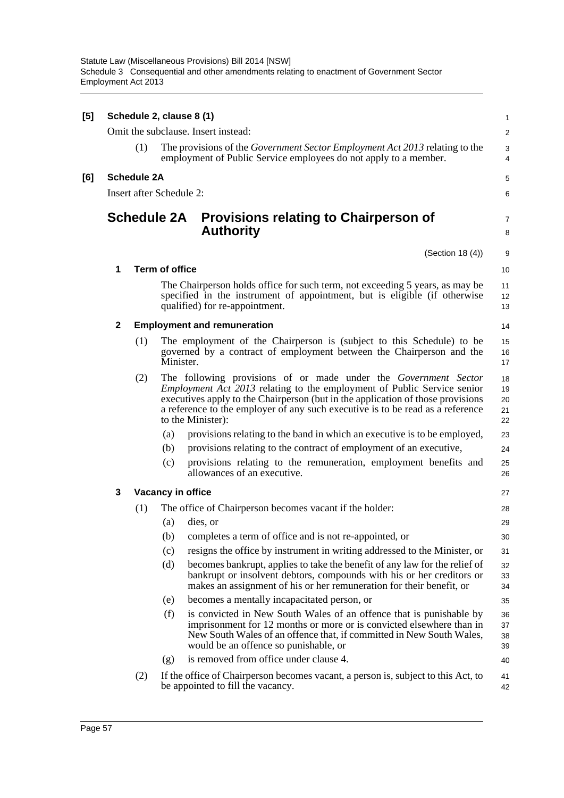| [5] | Schedule 2, clause 8 (1)<br>1 |                                                                |                       |                                                                                                                                                                                                                                                                                                                                                    |                            |  |  |  |
|-----|-------------------------------|----------------------------------------------------------------|-----------------------|----------------------------------------------------------------------------------------------------------------------------------------------------------------------------------------------------------------------------------------------------------------------------------------------------------------------------------------------------|----------------------------|--|--|--|
|     |                               | Omit the subclause. Insert instead:<br>$\overline{\mathbf{c}}$ |                       |                                                                                                                                                                                                                                                                                                                                                    |                            |  |  |  |
|     |                               | (1)                                                            |                       | The provisions of the <i>Government Sector Employment Act 2013</i> relating to the<br>employment of Public Service employees do not apply to a member.                                                                                                                                                                                             | 3<br>4                     |  |  |  |
| [6] |                               | <b>Schedule 2A</b>                                             |                       |                                                                                                                                                                                                                                                                                                                                                    | 5                          |  |  |  |
|     |                               | Insert after Schedule 2:                                       |                       |                                                                                                                                                                                                                                                                                                                                                    | 6                          |  |  |  |
|     |                               | <b>Schedule 2A</b>                                             |                       | <b>Provisions relating to Chairperson of</b><br><b>Authority</b>                                                                                                                                                                                                                                                                                   | 7<br>8                     |  |  |  |
|     |                               |                                                                |                       | (Section 18(4))                                                                                                                                                                                                                                                                                                                                    | 9                          |  |  |  |
|     | 1                             |                                                                | <b>Term of office</b> |                                                                                                                                                                                                                                                                                                                                                    | 10                         |  |  |  |
|     |                               |                                                                |                       | The Chairperson holds office for such term, not exceeding 5 years, as may be<br>specified in the instrument of appointment, but is eligible (if otherwise<br>qualified) for re-appointment.                                                                                                                                                        | 11<br>12<br>13             |  |  |  |
|     | $\mathbf{2}$                  |                                                                |                       | <b>Employment and remuneration</b>                                                                                                                                                                                                                                                                                                                 | 14                         |  |  |  |
|     |                               | (1)                                                            |                       | The employment of the Chairperson is (subject to this Schedule) to be<br>governed by a contract of employment between the Chairperson and the<br>Minister.                                                                                                                                                                                         | 15<br>16<br>17             |  |  |  |
|     |                               | (2)                                                            |                       | The following provisions of or made under the <i>Government Sector</i><br><i>Employment Act 2013</i> relating to the employment of Public Service senior<br>executives apply to the Chairperson (but in the application of those provisions<br>a reference to the employer of any such executive is to be read as a reference<br>to the Minister): | 18<br>19<br>20<br>21<br>22 |  |  |  |
|     |                               |                                                                | (a)                   | provisions relating to the band in which an executive is to be employed,                                                                                                                                                                                                                                                                           | 23                         |  |  |  |
|     |                               |                                                                | (b)                   | provisions relating to the contract of employment of an executive,                                                                                                                                                                                                                                                                                 | 24                         |  |  |  |
|     |                               |                                                                | (c)                   | provisions relating to the remuneration, employment benefits and<br>allowances of an executive.                                                                                                                                                                                                                                                    | 25<br>26                   |  |  |  |
|     | 3                             |                                                                |                       | Vacancy in office                                                                                                                                                                                                                                                                                                                                  | 27                         |  |  |  |
|     |                               | (1)                                                            |                       | The office of Chairperson becomes vacant if the holder:                                                                                                                                                                                                                                                                                            | 28                         |  |  |  |
|     |                               |                                                                | (a)                   | dies, or                                                                                                                                                                                                                                                                                                                                           | 29                         |  |  |  |
|     |                               |                                                                | (b)                   | completes a term of office and is not re-appointed, or                                                                                                                                                                                                                                                                                             | 30                         |  |  |  |
|     |                               |                                                                | (c)                   | resigns the office by instrument in writing addressed to the Minister, or                                                                                                                                                                                                                                                                          | 31                         |  |  |  |
|     |                               |                                                                | (d)                   | becomes bankrupt, applies to take the benefit of any law for the relief of<br>bankrupt or insolvent debtors, compounds with his or her creditors or<br>makes an assignment of his or her remuneration for their benefit, or                                                                                                                        | 32<br>33<br>34             |  |  |  |
|     |                               |                                                                | (e)                   | becomes a mentally incapacitated person, or                                                                                                                                                                                                                                                                                                        | 35                         |  |  |  |
|     |                               |                                                                | (f)                   | is convicted in New South Wales of an offence that is punishable by<br>imprisonment for 12 months or more or is convicted elsewhere than in<br>New South Wales of an offence that, if committed in New South Wales,<br>would be an offence so punishable, or                                                                                       | 36<br>37<br>38<br>39       |  |  |  |
|     |                               |                                                                | (g)                   | is removed from office under clause 4.                                                                                                                                                                                                                                                                                                             | 40                         |  |  |  |
|     |                               | (2)                                                            |                       | If the office of Chairperson becomes vacant, a person is, subject to this Act, to<br>be appointed to fill the vacancy.                                                                                                                                                                                                                             | 41<br>42                   |  |  |  |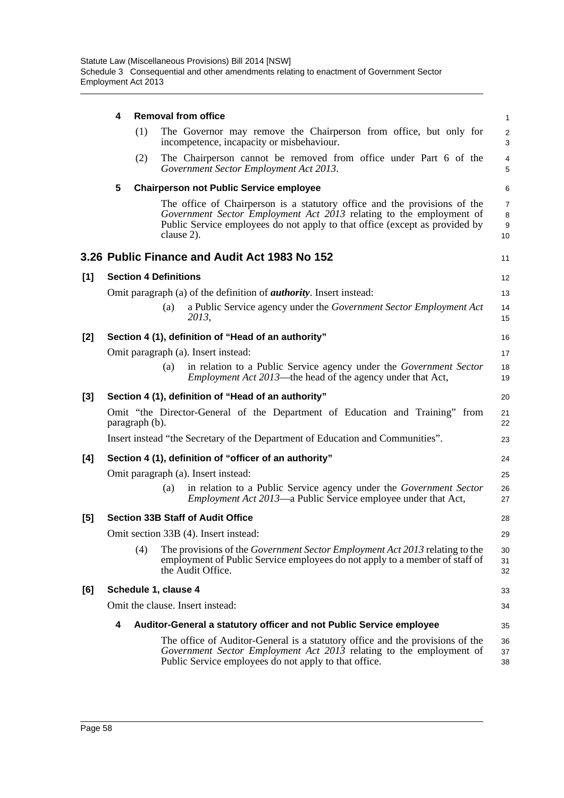|       | 4 |                              |            | <b>Removal from office</b>                                                                                                                                                                                                      | $\mathbf{1}$                   |
|-------|---|------------------------------|------------|---------------------------------------------------------------------------------------------------------------------------------------------------------------------------------------------------------------------------------|--------------------------------|
|       |   | (1)                          |            | The Governor may remove the Chairperson from office, but only for<br>incompetence, incapacity or misbehaviour.                                                                                                                  | $\sqrt{2}$<br>3                |
|       |   | (2)                          |            | The Chairperson cannot be removed from office under Part 6 of the<br>Government Sector Employment Act 2013.                                                                                                                     | $\overline{4}$<br>5            |
|       | 5 |                              |            | <b>Chairperson not Public Service employee</b>                                                                                                                                                                                  | 6                              |
|       |   |                              | clause 2). | The office of Chairperson is a statutory office and the provisions of the<br>Government Sector Employment Act 2013 relating to the employment of<br>Public Service employees do not apply to that office (except as provided by | $\overline{7}$<br>8<br>9<br>10 |
|       |   |                              |            | 3.26 Public Finance and Audit Act 1983 No 152                                                                                                                                                                                   | 11                             |
| [1]   |   | <b>Section 4 Definitions</b> |            |                                                                                                                                                                                                                                 | 12                             |
|       |   |                              |            | Omit paragraph (a) of the definition of <i>authority</i> . Insert instead:                                                                                                                                                      | 13                             |
|       |   |                              | (a)        | a Public Service agency under the Government Sector Employment Act<br>2013,                                                                                                                                                     | 14<br>15                       |
| [2]   |   |                              |            | Section 4 (1), definition of "Head of an authority"                                                                                                                                                                             | 16                             |
|       |   |                              |            | Omit paragraph (a). Insert instead:                                                                                                                                                                                             | 17                             |
|       |   |                              | (a)        | in relation to a Public Service agency under the Government Sector<br><i>Employment Act 2013</i> —the head of the agency under that Act,                                                                                        | 18<br>19                       |
| $[3]$ |   |                              |            | Section 4 (1), definition of "Head of an authority"                                                                                                                                                                             | 20                             |
|       |   | paragraph (b).               |            | Omit "the Director-General of the Department of Education and Training" from                                                                                                                                                    | 21<br>22                       |
|       |   |                              |            | Insert instead "the Secretary of the Department of Education and Communities".                                                                                                                                                  | 23                             |
| [4]   |   |                              |            | Section 4 (1), definition of "officer of an authority"                                                                                                                                                                          | 24                             |
|       |   |                              |            | Omit paragraph (a). Insert instead:                                                                                                                                                                                             | 25                             |
|       |   |                              | (a)        | in relation to a Public Service agency under the Government Sector<br><i>Employment Act 2013</i> —a Public Service employee under that Act,                                                                                     | 26<br>27                       |
| [5]   |   |                              |            | <b>Section 33B Staff of Audit Office</b>                                                                                                                                                                                        | 28                             |
|       |   |                              |            | Omit section 33B (4). Insert instead:                                                                                                                                                                                           | 29                             |
|       |   | (4)                          |            | The provisions of the <i>Government Sector Employment Act 2013</i> relating to the<br>employment of Public Service employees do not apply to a member of staff of<br>the Audit Office.                                          | 30<br>31<br>32                 |
| [6]   |   | Schedule 1, clause 4         |            |                                                                                                                                                                                                                                 | 33                             |
|       |   |                              |            | Omit the clause. Insert instead:                                                                                                                                                                                                | 34                             |
|       | 4 |                              |            | Auditor-General a statutory officer and not Public Service employee                                                                                                                                                             | 35                             |
|       |   |                              |            | The office of Auditor-General is a statutory office and the provisions of the<br>Government Sector Employment Act 2013 relating to the employment of<br>Public Service employees do not apply to that office.                   | 36<br>37<br>38                 |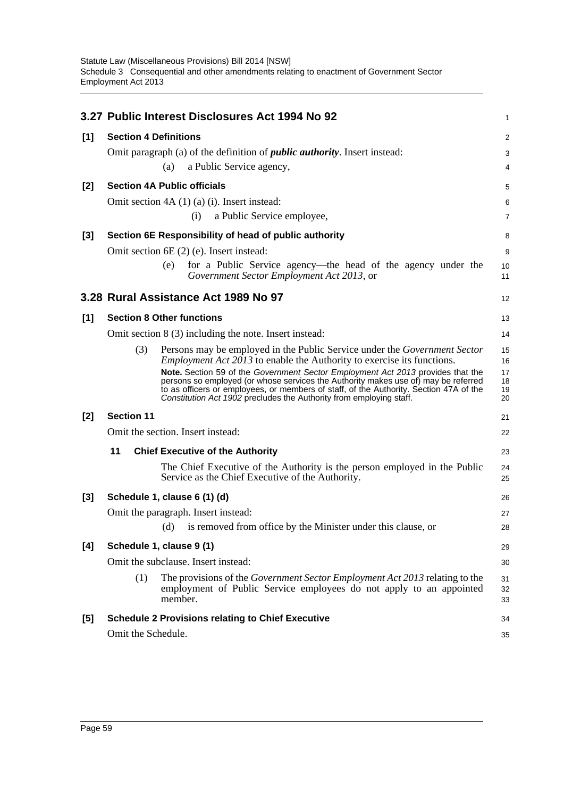|       |                   |     | 3.27 Public Interest Disclosures Act 1994 No 92                                                                                                                                                                                                     | 1              |
|-------|-------------------|-----|-----------------------------------------------------------------------------------------------------------------------------------------------------------------------------------------------------------------------------------------------------|----------------|
| [1]   |                   |     | <b>Section 4 Definitions</b>                                                                                                                                                                                                                        | 2              |
|       |                   |     | Omit paragraph (a) of the definition of <i>public authority</i> . Insert instead:                                                                                                                                                                   | 3              |
|       |                   |     | a Public Service agency,<br>(a)                                                                                                                                                                                                                     | 4              |
| [2]   |                   |     | <b>Section 4A Public officials</b>                                                                                                                                                                                                                  | 5              |
|       |                   |     | Omit section $4A(1)(a)(i)$ . Insert instead:                                                                                                                                                                                                        | 6              |
|       |                   |     | a Public Service employee,<br>(i)                                                                                                                                                                                                                   | 7              |
| [3]   |                   |     | Section 6E Responsibility of head of public authority                                                                                                                                                                                               | 8              |
|       |                   |     | Omit section 6E (2) (e). Insert instead:                                                                                                                                                                                                            | 9              |
|       |                   |     | for a Public Service agency—the head of the agency under the<br>(e)<br>Government Sector Employment Act 2013, or                                                                                                                                    | 10<br>11       |
|       |                   |     | 3.28 Rural Assistance Act 1989 No 97                                                                                                                                                                                                                | 12             |
| [1]   |                   |     | <b>Section 8 Other functions</b>                                                                                                                                                                                                                    | 13             |
|       |                   |     | Omit section $8(3)$ including the note. Insert instead:                                                                                                                                                                                             | 14             |
|       |                   | (3) | Persons may be employed in the Public Service under the <i>Government Sector</i>                                                                                                                                                                    | 15             |
|       |                   |     | <i>Employment Act 2013</i> to enable the Authority to exercise its functions.<br>Note. Section 59 of the Government Sector Employment Act 2013 provides that the                                                                                    | 16<br>17       |
|       |                   |     | persons so employed (or whose services the Authority makes use of) may be referred<br>to as officers or employees, or members of staff, of the Authority. Section 47A of the<br>Constitution Act 1902 precludes the Authority from employing staff. | 18<br>19<br>20 |
| [2]   | <b>Section 11</b> |     |                                                                                                                                                                                                                                                     | 21             |
|       |                   |     | Omit the section. Insert instead:                                                                                                                                                                                                                   | 22             |
|       | 11                |     | <b>Chief Executive of the Authority</b>                                                                                                                                                                                                             | 23             |
|       |                   |     | The Chief Executive of the Authority is the person employed in the Public<br>Service as the Chief Executive of the Authority.                                                                                                                       | 24<br>25       |
| $[3]$ |                   |     | Schedule 1, clause 6 (1) (d)                                                                                                                                                                                                                        | 26             |
|       |                   |     | Omit the paragraph. Insert instead:                                                                                                                                                                                                                 | 27             |
|       |                   |     | is removed from office by the Minister under this clause, or<br>(d)                                                                                                                                                                                 | 28             |
| [4]   |                   |     | Schedule 1, clause 9 (1)                                                                                                                                                                                                                            | 29             |
|       |                   |     | Omit the subclause. Insert instead:                                                                                                                                                                                                                 | 30             |
|       |                   | (1) | The provisions of the Government Sector Employment Act 2013 relating to the<br>employment of Public Service employees do not apply to an appointed<br>member.                                                                                       | 31<br>32<br>33 |
| [5]   |                   |     | <b>Schedule 2 Provisions relating to Chief Executive</b>                                                                                                                                                                                            | 34             |
|       |                   |     | Omit the Schedule.                                                                                                                                                                                                                                  | 35             |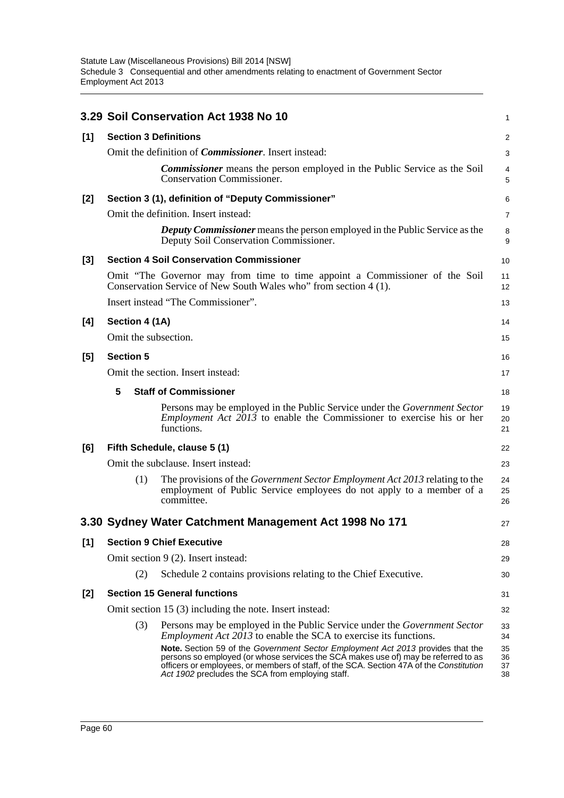|       |                                         | 3.29 Soil Conservation Act 1938 No 10                                                                                                                                                                                                                                                                                | 1                    |  |  |  |  |  |
|-------|-----------------------------------------|----------------------------------------------------------------------------------------------------------------------------------------------------------------------------------------------------------------------------------------------------------------------------------------------------------------------|----------------------|--|--|--|--|--|
| [1]   | <b>Section 3 Definitions</b>            |                                                                                                                                                                                                                                                                                                                      | 2                    |  |  |  |  |  |
|       |                                         | Omit the definition of <i>Commissioner</i> . Insert instead:                                                                                                                                                                                                                                                         | 3                    |  |  |  |  |  |
|       |                                         | <b>Commissioner</b> means the person employed in the Public Service as the Soil<br><b>Conservation Commissioner.</b>                                                                                                                                                                                                 | 4<br>5               |  |  |  |  |  |
| $[2]$ |                                         | Section 3 (1), definition of "Deputy Commissioner"                                                                                                                                                                                                                                                                   | 6                    |  |  |  |  |  |
|       |                                         | Omit the definition. Insert instead:                                                                                                                                                                                                                                                                                 | $\overline{7}$       |  |  |  |  |  |
|       |                                         | <b>Deputy Commissioner</b> means the person employed in the Public Service as the<br>Deputy Soil Conservation Commissioner.                                                                                                                                                                                          | 8<br>9               |  |  |  |  |  |
| $[3]$ |                                         | <b>Section 4 Soil Conservation Commissioner</b>                                                                                                                                                                                                                                                                      | 10                   |  |  |  |  |  |
|       |                                         | Omit "The Governor may from time to time appoint a Commissioner of the Soil<br>Conservation Service of New South Wales who" from section 4 (1).                                                                                                                                                                      | 11<br>12             |  |  |  |  |  |
|       |                                         | Insert instead "The Commissioner".                                                                                                                                                                                                                                                                                   | 13                   |  |  |  |  |  |
| [4]   | Section 4 (1A)                          |                                                                                                                                                                                                                                                                                                                      | 14                   |  |  |  |  |  |
|       | Omit the subsection.                    |                                                                                                                                                                                                                                                                                                                      | 15                   |  |  |  |  |  |
| [5]   | <b>Section 5</b>                        |                                                                                                                                                                                                                                                                                                                      | 16                   |  |  |  |  |  |
|       | Omit the section. Insert instead:<br>17 |                                                                                                                                                                                                                                                                                                                      |                      |  |  |  |  |  |
|       | 5                                       | <b>Staff of Commissioner</b>                                                                                                                                                                                                                                                                                         | 18                   |  |  |  |  |  |
|       |                                         | Persons may be employed in the Public Service under the Government Sector<br><i>Employment Act <math>2013</math> to enable the Commissioner to exercise his or her</i><br>functions.                                                                                                                                 | 19<br>20<br>21       |  |  |  |  |  |
| [6]   |                                         | Fifth Schedule, clause 5 (1)                                                                                                                                                                                                                                                                                         | 22                   |  |  |  |  |  |
|       |                                         | Omit the subclause. Insert instead:                                                                                                                                                                                                                                                                                  | 23                   |  |  |  |  |  |
|       | (1)                                     | The provisions of the <i>Government Sector Employment Act 2013</i> relating to the<br>employment of Public Service employees do not apply to a member of a<br>committee.                                                                                                                                             | 24<br>25<br>26       |  |  |  |  |  |
|       |                                         | 3.30 Sydney Water Catchment Management Act 1998 No 171                                                                                                                                                                                                                                                               | 27                   |  |  |  |  |  |
| [1]   |                                         | <b>Section 9 Chief Executive</b>                                                                                                                                                                                                                                                                                     | 28                   |  |  |  |  |  |
|       |                                         | Omit section 9 (2). Insert instead:                                                                                                                                                                                                                                                                                  | 29                   |  |  |  |  |  |
|       | (2)                                     | Schedule 2 contains provisions relating to the Chief Executive.                                                                                                                                                                                                                                                      | 30                   |  |  |  |  |  |
| [2]   |                                         | <b>Section 15 General functions</b>                                                                                                                                                                                                                                                                                  | 31                   |  |  |  |  |  |
|       |                                         | Omit section 15 (3) including the note. Insert instead:                                                                                                                                                                                                                                                              | 32                   |  |  |  |  |  |
|       | (3)                                     | Persons may be employed in the Public Service under the <i>Government Sector</i><br><i>Employment Act 2013</i> to enable the SCA to exercise its functions.                                                                                                                                                          | 33<br>34             |  |  |  |  |  |
|       |                                         | Note. Section 59 of the Government Sector Employment Act 2013 provides that the<br>persons so employed (or whose services the SCA makes use of) may be referred to as<br>officers or employees, or members of staff, of the SCA. Section 47A of the Constitution<br>Act 1902 precludes the SCA from employing staff. | 35<br>36<br>37<br>38 |  |  |  |  |  |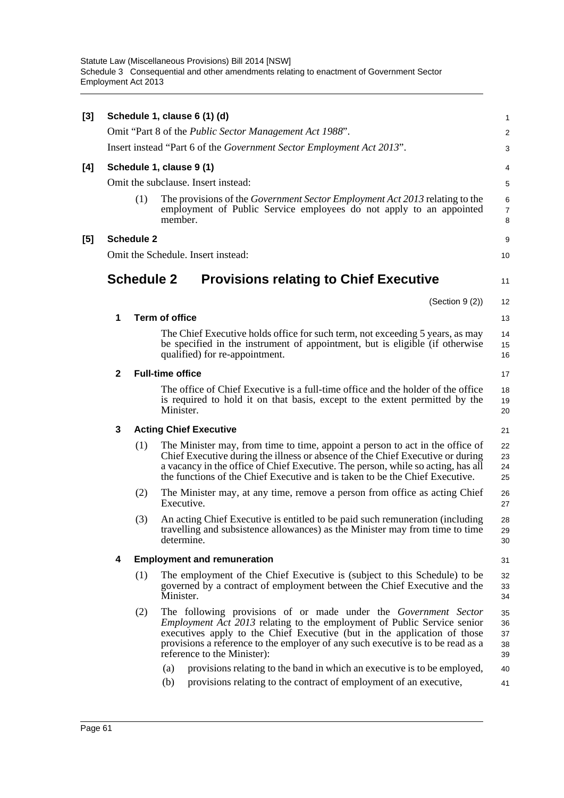|              |     |                                                                                                                                                                                                                                                                                                                                          | $\mathbf{1}$                                                                                                                                                                                                                                                                                                                                                                                                                                                                      |
|--------------|-----|------------------------------------------------------------------------------------------------------------------------------------------------------------------------------------------------------------------------------------------------------------------------------------------------------------------------------------------|-----------------------------------------------------------------------------------------------------------------------------------------------------------------------------------------------------------------------------------------------------------------------------------------------------------------------------------------------------------------------------------------------------------------------------------------------------------------------------------|
|              |     |                                                                                                                                                                                                                                                                                                                                          | $\overline{2}$                                                                                                                                                                                                                                                                                                                                                                                                                                                                    |
|              |     |                                                                                                                                                                                                                                                                                                                                          | 3                                                                                                                                                                                                                                                                                                                                                                                                                                                                                 |
|              |     |                                                                                                                                                                                                                                                                                                                                          | 4                                                                                                                                                                                                                                                                                                                                                                                                                                                                                 |
|              |     |                                                                                                                                                                                                                                                                                                                                          | 5                                                                                                                                                                                                                                                                                                                                                                                                                                                                                 |
|              | (1) | The provisions of the <i>Government Sector Employment Act 2013</i> relating to the<br>employment of Public Service employees do not apply to an appointed<br>member.                                                                                                                                                                     | 6<br>$\overline{7}$<br>8                                                                                                                                                                                                                                                                                                                                                                                                                                                          |
|              |     |                                                                                                                                                                                                                                                                                                                                          | 9                                                                                                                                                                                                                                                                                                                                                                                                                                                                                 |
|              |     |                                                                                                                                                                                                                                                                                                                                          | 10                                                                                                                                                                                                                                                                                                                                                                                                                                                                                |
|              |     | <b>Provisions relating to Chief Executive</b>                                                                                                                                                                                                                                                                                            | 11                                                                                                                                                                                                                                                                                                                                                                                                                                                                                |
|              |     |                                                                                                                                                                                                                                                                                                                                          | 12                                                                                                                                                                                                                                                                                                                                                                                                                                                                                |
| 1            |     |                                                                                                                                                                                                                                                                                                                                          | 13                                                                                                                                                                                                                                                                                                                                                                                                                                                                                |
|              |     | The Chief Executive holds office for such term, not exceeding 5 years, as may<br>be specified in the instrument of appointment, but is eligible (if otherwise<br>qualified) for re-appointment.                                                                                                                                          | 14<br>15<br>16                                                                                                                                                                                                                                                                                                                                                                                                                                                                    |
| $\mathbf{2}$ |     |                                                                                                                                                                                                                                                                                                                                          | 17                                                                                                                                                                                                                                                                                                                                                                                                                                                                                |
|              |     | The office of Chief Executive is a full-time office and the holder of the office<br>is required to hold it on that basis, except to the extent permitted by the<br>Minister.                                                                                                                                                             | 18<br>19<br>20                                                                                                                                                                                                                                                                                                                                                                                                                                                                    |
| 3            |     |                                                                                                                                                                                                                                                                                                                                          | 21                                                                                                                                                                                                                                                                                                                                                                                                                                                                                |
|              | (1) | The Minister may, from time to time, appoint a person to act in the office of<br>Chief Executive during the illness or absence of the Chief Executive or during<br>a vacancy in the office of Chief Executive. The person, while so acting, has all<br>the functions of the Chief Executive and is taken to be the Chief Executive.      | 22<br>23<br>24<br>25                                                                                                                                                                                                                                                                                                                                                                                                                                                              |
|              | (2) | The Minister may, at any time, remove a person from office as acting Chief<br>Executive.                                                                                                                                                                                                                                                 | 26<br>27                                                                                                                                                                                                                                                                                                                                                                                                                                                                          |
|              | (3) | An acting Chief Executive is entitled to be paid such remuneration (including<br>travelling and subsistence allowances) as the Minister may from time to time<br>determine.                                                                                                                                                              | 28<br>29<br>30                                                                                                                                                                                                                                                                                                                                                                                                                                                                    |
| 4            |     |                                                                                                                                                                                                                                                                                                                                          | 31                                                                                                                                                                                                                                                                                                                                                                                                                                                                                |
|              | (1) | The employment of the Chief Executive is (subject to this Schedule) to be<br>governed by a contract of employment between the Chief Executive and the<br>Minister.                                                                                                                                                                       | 32<br>33<br>34                                                                                                                                                                                                                                                                                                                                                                                                                                                                    |
|              | (2) | The following provisions of or made under the Government Sector<br>Employment Act 2013 relating to the employment of Public Service senior<br>executives apply to the Chief Executive (but in the application of those<br>provisions a reference to the employer of any such executive is to be read as a<br>reference to the Minister): | 35<br>36<br>37<br>38<br>39                                                                                                                                                                                                                                                                                                                                                                                                                                                        |
|              |     | provisions relating to the band in which an executive is to be employed,<br>(a)                                                                                                                                                                                                                                                          | 40                                                                                                                                                                                                                                                                                                                                                                                                                                                                                |
|              |     | provisions relating to the contract of employment of an executive,<br>(b)                                                                                                                                                                                                                                                                | 41                                                                                                                                                                                                                                                                                                                                                                                                                                                                                |
|              |     |                                                                                                                                                                                                                                                                                                                                          | Schedule 1, clause 6 (1) (d)<br>Omit "Part 8 of the <i>Public Sector Management Act 1988"</i> .<br>Insert instead "Part 6 of the <i>Government Sector Employment Act 2013</i> ".<br>Schedule 1, clause 9 (1)<br>Omit the subclause. Insert instead:<br><b>Schedule 2</b><br>Omit the Schedule. Insert instead:<br><b>Schedule 2</b><br>(Section 9 (2))<br><b>Term of office</b><br><b>Full-time office</b><br><b>Acting Chief Executive</b><br><b>Employment and remuneration</b> |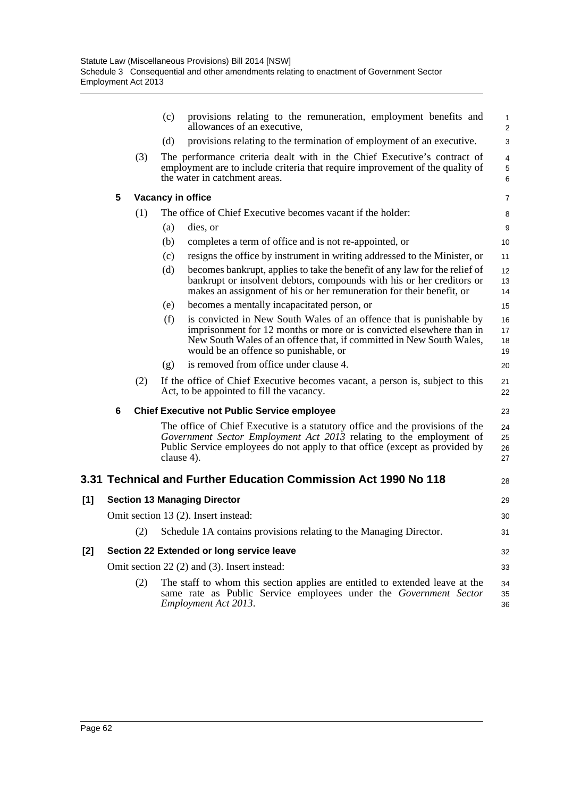|     |   |     | (c)<br>provisions relating to the remuneration, employment benefits and<br>allowances of an executive.                                                                                                                                                              | 1<br>$\overline{2}$                |
|-----|---|-----|---------------------------------------------------------------------------------------------------------------------------------------------------------------------------------------------------------------------------------------------------------------------|------------------------------------|
|     |   |     | provisions relating to the termination of employment of an executive.<br>(d)                                                                                                                                                                                        | 3                                  |
|     |   | (3) | The performance criteria dealt with in the Chief Executive's contract of<br>employment are to include criteria that require improvement of the quality of<br>the water in catchment areas.                                                                          | $\overline{4}$<br>$\mathbf 5$<br>6 |
|     | 5 |     | Vacancy in office                                                                                                                                                                                                                                                   | 7                                  |
|     |   | (1) | The office of Chief Executive becomes vacant if the holder:                                                                                                                                                                                                         | 8                                  |
|     |   |     | (a)<br>dies, or                                                                                                                                                                                                                                                     | $\boldsymbol{9}$                   |
|     |   |     | (b)<br>completes a term of office and is not re-appointed, or                                                                                                                                                                                                       | 10                                 |
|     |   |     | (c)<br>resigns the office by instrument in writing addressed to the Minister, or                                                                                                                                                                                    | 11                                 |
|     |   |     | becomes bankrupt, applies to take the benefit of any law for the relief of<br>(d)<br>bankrupt or insolvent debtors, compounds with his or her creditors or<br>makes an assignment of his or her remuneration for their benefit, or                                  | 12<br>13<br>14                     |
|     |   |     | becomes a mentally incapacitated person, or<br>(e)                                                                                                                                                                                                                  | 15                                 |
|     |   |     | (f)<br>is convicted in New South Wales of an offence that is punishable by<br>imprisonment for 12 months or more or is convicted elsewhere than in<br>New South Wales of an offence that, if committed in New South Wales,<br>would be an offence so punishable, or | 16<br>17<br>18<br>19               |
|     |   |     | is removed from office under clause 4.<br>(g)                                                                                                                                                                                                                       | 20                                 |
|     |   | (2) | If the office of Chief Executive becomes vacant, a person is, subject to this<br>Act, to be appointed to fill the vacancy.                                                                                                                                          | 21<br>22                           |
|     | 6 |     | <b>Chief Executive not Public Service employee</b>                                                                                                                                                                                                                  | 23                                 |
|     |   |     | The office of Chief Executive is a statutory office and the provisions of the<br>Government Sector Employment Act 2013 relating to the employment of<br>Public Service employees do not apply to that office (except as provided by<br>clause 4).                   | 24<br>25<br>26<br>27               |
|     |   |     | 3.31 Technical and Further Education Commission Act 1990 No 118                                                                                                                                                                                                     | 28                                 |
| [1] |   |     | <b>Section 13 Managing Director</b>                                                                                                                                                                                                                                 | 29                                 |
|     |   |     | Omit section 13 (2). Insert instead:                                                                                                                                                                                                                                | 30                                 |
|     |   |     | (2) Schedule 1A contains provisions relating to the Managing Director.                                                                                                                                                                                              | 31                                 |
| [2] |   |     | Section 22 Extended or long service leave                                                                                                                                                                                                                           | 32                                 |
|     |   |     | Omit section 22 (2) and (3). Insert instead:                                                                                                                                                                                                                        | 33                                 |
|     |   | (2) | The staff to whom this section applies are entitled to extended leave at the<br>same rate as Public Service employees under the Government Sector<br>Employment Act 2013.                                                                                           | 34<br>35<br>36                     |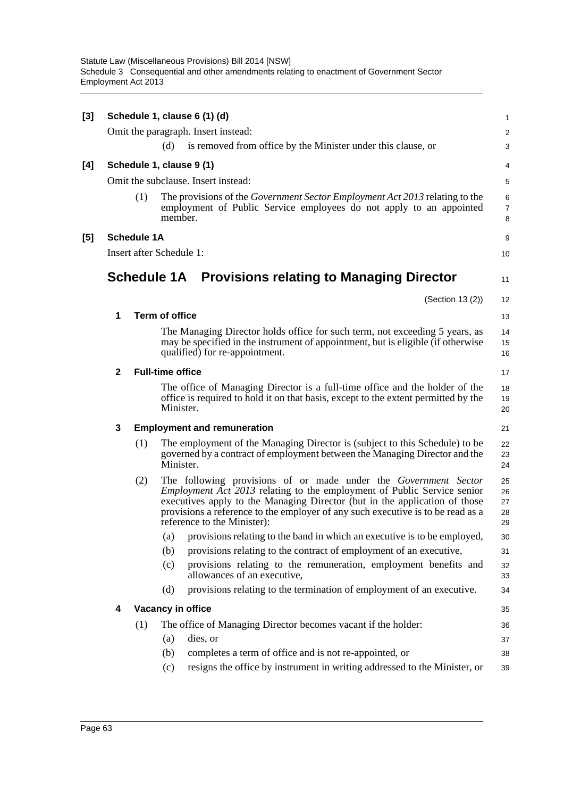| [3] |              |                    |                          | Schedule 1, clause 6 (1) (d)                                                                                                                                                                                                                                                                                                                      | 1                          |
|-----|--------------|--------------------|--------------------------|---------------------------------------------------------------------------------------------------------------------------------------------------------------------------------------------------------------------------------------------------------------------------------------------------------------------------------------------------|----------------------------|
|     |              |                    |                          | Omit the paragraph. Insert instead:                                                                                                                                                                                                                                                                                                               | $\overline{\mathbf{c}}$    |
|     |              |                    | (d)                      | is removed from office by the Minister under this clause, or                                                                                                                                                                                                                                                                                      | 3                          |
| [4] |              |                    |                          | Schedule 1, clause 9 (1)                                                                                                                                                                                                                                                                                                                          | 4                          |
|     |              |                    |                          | Omit the subclause. Insert instead:                                                                                                                                                                                                                                                                                                               | 5                          |
|     |              | (1)                | member.                  | The provisions of the <i>Government Sector Employment Act 2013</i> relating to the<br>employment of Public Service employees do not apply to an appointed                                                                                                                                                                                         | 6<br>$\overline{7}$<br>8   |
| [5] |              | <b>Schedule 1A</b> |                          |                                                                                                                                                                                                                                                                                                                                                   | 9                          |
|     |              |                    | Insert after Schedule 1: |                                                                                                                                                                                                                                                                                                                                                   | 10                         |
|     |              |                    |                          | Schedule 1A Provisions relating to Managing Director                                                                                                                                                                                                                                                                                              | 11                         |
|     |              |                    |                          | (Section 13 (2))                                                                                                                                                                                                                                                                                                                                  | 12                         |
|     | 1            |                    | <b>Term of office</b>    |                                                                                                                                                                                                                                                                                                                                                   | 13                         |
|     |              |                    |                          | The Managing Director holds office for such term, not exceeding 5 years, as<br>may be specified in the instrument of appointment, but is eligible (if otherwise<br>qualified) for re-appointment.                                                                                                                                                 | 14<br>15<br>16             |
|     | $\mathbf{2}$ |                    | <b>Full-time office</b>  |                                                                                                                                                                                                                                                                                                                                                   | 17                         |
|     |              |                    | Minister.                | The office of Managing Director is a full-time office and the holder of the<br>office is required to hold it on that basis, except to the extent permitted by the                                                                                                                                                                                 | 18<br>19<br>20             |
|     | 3            |                    |                          | <b>Employment and remuneration</b>                                                                                                                                                                                                                                                                                                                | 21                         |
|     |              | (1)                | Minister.                | The employment of the Managing Director is (subject to this Schedule) to be<br>governed by a contract of employment between the Managing Director and the                                                                                                                                                                                         | 22<br>23<br>24             |
|     |              | (2)                |                          | The following provisions of or made under the Government Sector<br><i>Employment Act 2013</i> relating to the employment of Public Service senior<br>executives apply to the Managing Director (but in the application of those<br>provisions a reference to the employer of any such executive is to be read as a<br>reference to the Minister): | 25<br>26<br>27<br>28<br>29 |
|     |              |                    | (a)                      | provisions relating to the band in which an executive is to be employed,                                                                                                                                                                                                                                                                          | 30                         |
|     |              |                    | (b)                      | provisions relating to the contract of employment of an executive,                                                                                                                                                                                                                                                                                | 31                         |
|     |              |                    | (c)                      | provisions relating to the remuneration, employment benefits and<br>allowances of an executive,                                                                                                                                                                                                                                                   | 32<br>33                   |
|     |              |                    | (d)                      | provisions relating to the termination of employment of an executive.                                                                                                                                                                                                                                                                             | 34                         |
|     | 4            |                    |                          | Vacancy in office                                                                                                                                                                                                                                                                                                                                 | 35                         |
|     |              | (1)                |                          | The office of Managing Director becomes vacant if the holder:                                                                                                                                                                                                                                                                                     | 36                         |
|     |              |                    | (a)                      | dies, or                                                                                                                                                                                                                                                                                                                                          | 37                         |
|     |              |                    | (b)                      | completes a term of office and is not re-appointed, or                                                                                                                                                                                                                                                                                            | 38                         |
|     |              |                    | (c)                      | resigns the office by instrument in writing addressed to the Minister, or                                                                                                                                                                                                                                                                         | 39                         |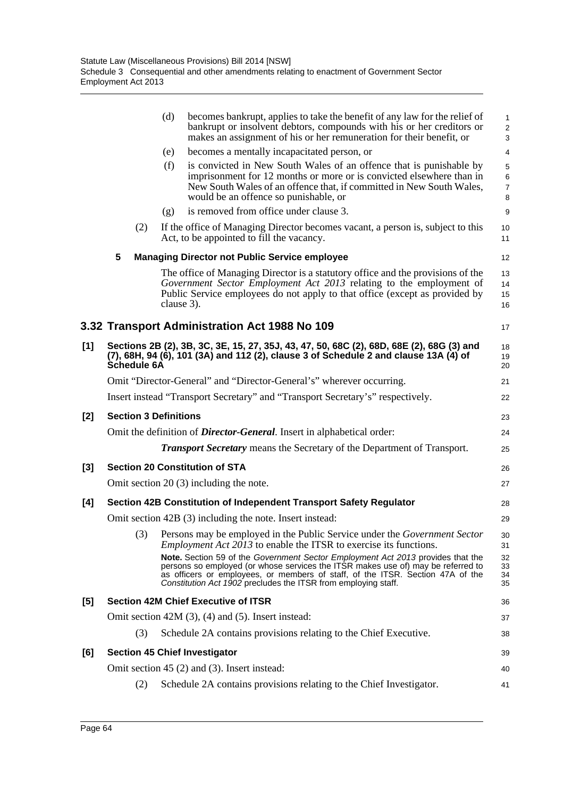|     |                                    |             | (d)        | becomes bankrupt, applies to take the benefit of any law for the relief of<br>bankrupt or insolvent debtors, compounds with his or her creditors or<br>makes an assignment of his or her remuneration for their benefit, or                                                                                             | 1<br>$\overline{\mathbf{c}}$<br>3 |  |  |  |
|-----|------------------------------------|-------------|------------|-------------------------------------------------------------------------------------------------------------------------------------------------------------------------------------------------------------------------------------------------------------------------------------------------------------------------|-----------------------------------|--|--|--|
|     |                                    |             | (e)        | becomes a mentally incapacitated person, or                                                                                                                                                                                                                                                                             | 4                                 |  |  |  |
|     |                                    |             | (f)        | is convicted in New South Wales of an offence that is punishable by<br>imprisonment for 12 months or more or is convicted elsewhere than in<br>New South Wales of an offence that, if committed in New South Wales,<br>would be an offence so punishable, or                                                            | 5<br>6<br>$\overline{7}$<br>8     |  |  |  |
|     |                                    |             | (g)        | is removed from office under clause 3.                                                                                                                                                                                                                                                                                  | 9                                 |  |  |  |
|     |                                    | (2)         |            | If the office of Managing Director becomes vacant, a person is, subject to this<br>Act, to be appointed to fill the vacancy.                                                                                                                                                                                            | 10<br>11                          |  |  |  |
|     | 5                                  |             |            | <b>Managing Director not Public Service employee</b>                                                                                                                                                                                                                                                                    | 12                                |  |  |  |
|     |                                    |             | clause 3). | The office of Managing Director is a statutory office and the provisions of the<br>Government Sector Employment Act 2013 relating to the employment of<br>Public Service employees do not apply to that office (except as provided by                                                                                   | 13<br>14<br>15<br>16              |  |  |  |
|     |                                    |             |            | 3.32 Transport Administration Act 1988 No 109                                                                                                                                                                                                                                                                           | 17                                |  |  |  |
| [1] |                                    | Schedule 6A |            | Sections 2B (2), 3B, 3C, 3E, 15, 27, 35J, 43, 47, 50, 68C (2), 68D, 68E (2), 68G (3) and<br>(7), 68H, 94 (6), 101 (3A) and 112 (2), clause 3 of Schedule 2 and clause 13A (4) of                                                                                                                                        | 18<br>19<br>20                    |  |  |  |
|     |                                    |             |            | Omit "Director-General" and "Director-General's" wherever occurring.                                                                                                                                                                                                                                                    | 21                                |  |  |  |
|     |                                    |             |            | Insert instead "Transport Secretary" and "Transport Secretary's" respectively.                                                                                                                                                                                                                                          | 22                                |  |  |  |
| [2] | <b>Section 3 Definitions</b><br>23 |             |            |                                                                                                                                                                                                                                                                                                                         |                                   |  |  |  |
|     |                                    |             |            | Omit the definition of <i>Director-General</i> . Insert in alphabetical order:                                                                                                                                                                                                                                          | 24                                |  |  |  |
|     |                                    |             |            | <b>Transport Secretary</b> means the Secretary of the Department of Transport.                                                                                                                                                                                                                                          | 25                                |  |  |  |
| [3] |                                    |             |            | <b>Section 20 Constitution of STA</b>                                                                                                                                                                                                                                                                                   | 26                                |  |  |  |
|     |                                    |             |            | Omit section $20(3)$ including the note.                                                                                                                                                                                                                                                                                | 27                                |  |  |  |
| [4] |                                    |             |            | Section 42B Constitution of Independent Transport Safety Regulator                                                                                                                                                                                                                                                      | 28                                |  |  |  |
|     |                                    |             |            | Omit section 42B (3) including the note. Insert instead:                                                                                                                                                                                                                                                                | 29                                |  |  |  |
|     |                                    | (3)         |            | Persons may be employed in the Public Service under the Government Sector<br><i>Employment Act 2013</i> to enable the ITSR to exercise its functions.                                                                                                                                                                   | 30<br>31                          |  |  |  |
|     |                                    |             |            | Note. Section 59 of the Government Sector Employment Act 2013 provides that the<br>persons so employed (or whose services the ITSR makes use of) may be referred to<br>as officers or employees, or members of staff, of the ITSR. Section 47A of the<br>Constitution Act 1902 precludes the ITSR from employing staff. | 32<br>33<br>34<br>35              |  |  |  |
| [5] |                                    |             |            | <b>Section 42M Chief Executive of ITSR</b>                                                                                                                                                                                                                                                                              | 36                                |  |  |  |
|     |                                    |             |            | Omit section $42M(3)$ , $(4)$ and $(5)$ . Insert instead:                                                                                                                                                                                                                                                               | 37                                |  |  |  |
|     |                                    | (3)         |            | Schedule 2A contains provisions relating to the Chief Executive.                                                                                                                                                                                                                                                        | 38                                |  |  |  |
| [6] |                                    |             |            | <b>Section 45 Chief Investigator</b>                                                                                                                                                                                                                                                                                    | 39                                |  |  |  |
|     |                                    |             |            | Omit section $45(2)$ and $(3)$ . Insert instead:                                                                                                                                                                                                                                                                        | 40                                |  |  |  |
|     |                                    | (2)         |            | Schedule 2A contains provisions relating to the Chief Investigator.                                                                                                                                                                                                                                                     | 41                                |  |  |  |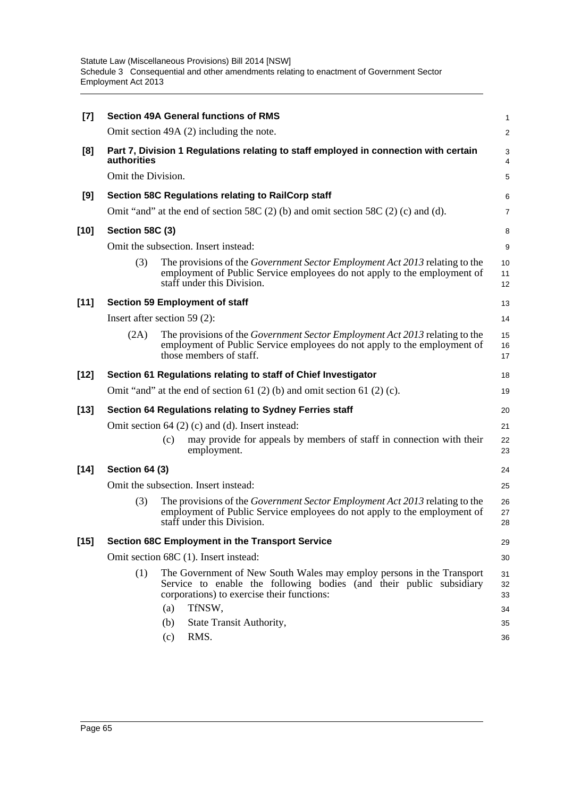| $[7]$  |                                                                                                     | <b>Section 49A General functions of RMS</b>                                                                                                                                                  | 1              |  |  |  |  |  |  |
|--------|-----------------------------------------------------------------------------------------------------|----------------------------------------------------------------------------------------------------------------------------------------------------------------------------------------------|----------------|--|--|--|--|--|--|
|        |                                                                                                     | Omit section 49A (2) including the note.                                                                                                                                                     |                |  |  |  |  |  |  |
| [8]    | Part 7, Division 1 Regulations relating to staff employed in connection with certain<br>authorities |                                                                                                                                                                                              |                |  |  |  |  |  |  |
|        | Omit the Division.                                                                                  |                                                                                                                                                                                              | 5              |  |  |  |  |  |  |
| [9]    |                                                                                                     | Section 58C Regulations relating to RailCorp staff                                                                                                                                           | 6              |  |  |  |  |  |  |
|        |                                                                                                     | Omit "and" at the end of section 58C $(2)$ (b) and omit section 58C $(2)$ (c) and (d).                                                                                                       | 7              |  |  |  |  |  |  |
| $[10]$ | Section 58C (3)                                                                                     |                                                                                                                                                                                              | 8              |  |  |  |  |  |  |
|        |                                                                                                     | Omit the subsection. Insert instead:                                                                                                                                                         | 9              |  |  |  |  |  |  |
|        | (3)                                                                                                 | The provisions of the Government Sector Employment Act 2013 relating to the<br>employment of Public Service employees do not apply to the employment of<br>staff under this Division.        | 10<br>11<br>12 |  |  |  |  |  |  |
| $[11]$ |                                                                                                     | <b>Section 59 Employment of staff</b>                                                                                                                                                        | 13             |  |  |  |  |  |  |
|        |                                                                                                     | Insert after section 59 $(2)$ :                                                                                                                                                              | 14             |  |  |  |  |  |  |
|        | (2A)                                                                                                | The provisions of the <i>Government Sector Employment Act 2013</i> relating to the<br>employment of Public Service employees do not apply to the employment of<br>those members of staff.    | 15<br>16<br>17 |  |  |  |  |  |  |
| $[12]$ |                                                                                                     | Section 61 Regulations relating to staff of Chief Investigator                                                                                                                               | 18             |  |  |  |  |  |  |
|        |                                                                                                     | Omit "and" at the end of section 61 $(2)$ (b) and omit section 61 $(2)$ (c).                                                                                                                 | 19             |  |  |  |  |  |  |
| $[13]$ |                                                                                                     | Section 64 Regulations relating to Sydney Ferries staff                                                                                                                                      | 20             |  |  |  |  |  |  |
|        |                                                                                                     | Omit section $64$ (2) (c) and (d). Insert instead:                                                                                                                                           | 21             |  |  |  |  |  |  |
|        |                                                                                                     | may provide for appeals by members of staff in connection with their<br>(c)<br>employment.                                                                                                   | 22<br>23       |  |  |  |  |  |  |
| $[14]$ | <b>Section 64 (3)</b>                                                                               |                                                                                                                                                                                              | 24             |  |  |  |  |  |  |
|        |                                                                                                     | Omit the subsection. Insert instead:                                                                                                                                                         | 25             |  |  |  |  |  |  |
|        | (3)                                                                                                 | The provisions of the <i>Government Sector Employment Act 2013</i> relating to the<br>employment of Public Service employees do not apply to the employment of<br>staff under this Division. | 26<br>27<br>28 |  |  |  |  |  |  |
| $[15]$ |                                                                                                     | <b>Section 68C Employment in the Transport Service</b>                                                                                                                                       | 29             |  |  |  |  |  |  |
|        |                                                                                                     | Omit section 68C (1). Insert instead:<br>30                                                                                                                                                  |                |  |  |  |  |  |  |
|        | (1)                                                                                                 | The Government of New South Wales may employ persons in the Transport<br>Service to enable the following bodies (and their public subsidiary<br>corporations) to exercise their functions:   | 31<br>32<br>33 |  |  |  |  |  |  |
|        |                                                                                                     | TfNSW,<br>(a)                                                                                                                                                                                | 34             |  |  |  |  |  |  |
|        |                                                                                                     | State Transit Authority,<br>(b)<br>RMS.<br>(c)                                                                                                                                               | 35<br>36       |  |  |  |  |  |  |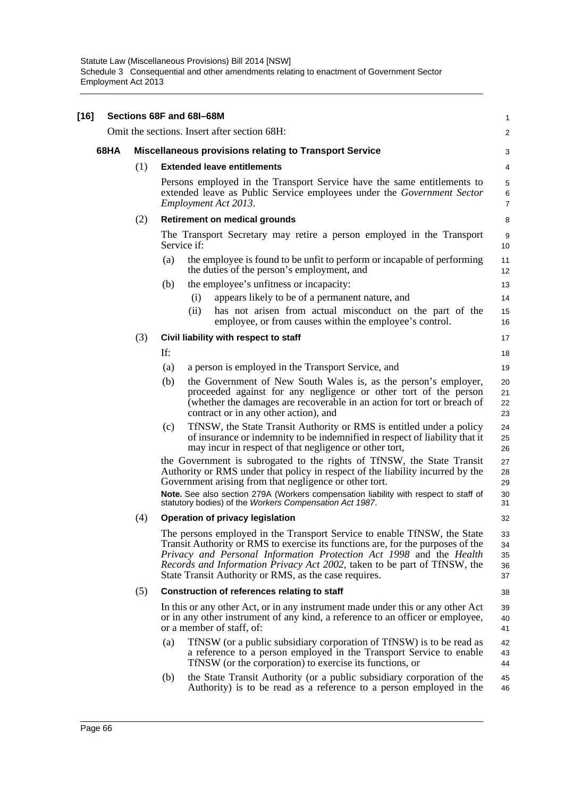| $[16]$ |      |     | Sections 68F and 68I-68M                                                                                                                                                                                                                                                                                                                                                | $\mathbf{1}$               |
|--------|------|-----|-------------------------------------------------------------------------------------------------------------------------------------------------------------------------------------------------------------------------------------------------------------------------------------------------------------------------------------------------------------------------|----------------------------|
|        |      |     | Omit the sections. Insert after section 68H:                                                                                                                                                                                                                                                                                                                            | $\overline{2}$             |
|        | 68HA |     | <b>Miscellaneous provisions relating to Transport Service</b>                                                                                                                                                                                                                                                                                                           | 3                          |
|        |      | (1) | <b>Extended leave entitlements</b>                                                                                                                                                                                                                                                                                                                                      | 4                          |
|        |      |     | Persons employed in the Transport Service have the same entitlements to<br>extended leave as Public Service employees under the Government Sector<br>Employment Act 2013.                                                                                                                                                                                               | 5<br>6<br>$\overline{7}$   |
|        |      | (2) | <b>Retirement on medical grounds</b>                                                                                                                                                                                                                                                                                                                                    | 8                          |
|        |      |     | The Transport Secretary may retire a person employed in the Transport<br>Service if:                                                                                                                                                                                                                                                                                    | 9<br>10                    |
|        |      |     | the employee is found to be unfit to perform or incapable of performing<br>(a)<br>the duties of the person's employment, and                                                                                                                                                                                                                                            | 11<br>12                   |
|        |      |     | the employee's unfitness or incapacity:<br>(b)                                                                                                                                                                                                                                                                                                                          | 13                         |
|        |      |     | appears likely to be of a permanent nature, and<br>(i)                                                                                                                                                                                                                                                                                                                  | 14                         |
|        |      |     | has not arisen from actual misconduct on the part of the<br>(ii)<br>employee, or from causes within the employee's control.                                                                                                                                                                                                                                             | 15<br>16                   |
|        |      | (3) | Civil liability with respect to staff                                                                                                                                                                                                                                                                                                                                   | 17                         |
|        |      |     | If:                                                                                                                                                                                                                                                                                                                                                                     | 18                         |
|        |      |     | a person is employed in the Transport Service, and<br>(a)                                                                                                                                                                                                                                                                                                               | 19                         |
|        |      |     | (b)<br>the Government of New South Wales is, as the person's employer,<br>proceeded against for any negligence or other tort of the person<br>(whether the damages are recoverable in an action for tort or breach of<br>contract or in any other action), and                                                                                                          | 20<br>21<br>22<br>23       |
|        |      |     | TfNSW, the State Transit Authority or RMS is entitled under a policy<br>(c)<br>of insurance or indemnity to be indemnified in respect of liability that it<br>may incur in respect of that negligence or other tort,                                                                                                                                                    | 24<br>25<br>26             |
|        |      |     | the Government is subrogated to the rights of TfNSW, the State Transit<br>Authority or RMS under that policy in respect of the liability incurred by the<br>Government arising from that negligence or other tort.<br>Note. See also section 279A (Workers compensation liability with respect to staff of<br>statutory bodies) of the Workers Compensation Act 1987.   | 27<br>28<br>29<br>30<br>31 |
|        |      | (4) | Operation of privacy legislation                                                                                                                                                                                                                                                                                                                                        | 32                         |
|        |      |     | The persons employed in the Transport Service to enable TfNSW, the State<br>Transit Authority or RMS to exercise its functions are, for the purposes of the<br>Privacy and Personal Information Protection Act 1998 and the Health<br>Records and Information Privacy Act 2002, taken to be part of TfNSW, the<br>State Transit Authority or RMS, as the case requires. | 33<br>34<br>35<br>36<br>37 |
|        |      | (5) | Construction of references relating to staff                                                                                                                                                                                                                                                                                                                            | 38                         |
|        |      |     | In this or any other Act, or in any instrument made under this or any other Act<br>or in any other instrument of any kind, a reference to an officer or employee,<br>or a member of staff, of:                                                                                                                                                                          | 39<br>40<br>41             |
|        |      |     | TfNSW (or a public subsidiary corporation of TfNSW) is to be read as<br>(a)<br>a reference to a person employed in the Transport Service to enable<br>TfNSW (or the corporation) to exercise its functions, or                                                                                                                                                          | 42<br>43<br>44             |
|        |      |     | the State Transit Authority (or a public subsidiary corporation of the<br>(b)<br>Authority) is to be read as a reference to a person employed in the                                                                                                                                                                                                                    | 45<br>46                   |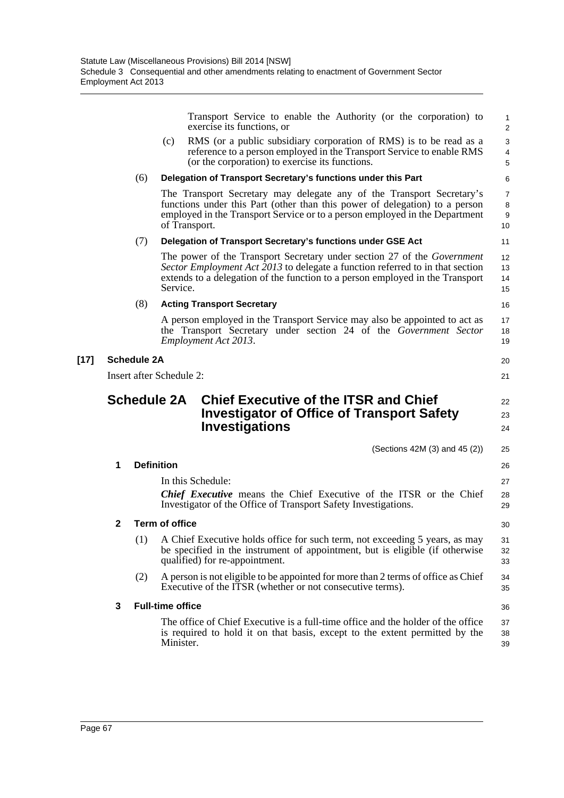|        |                          |     | Transport Service to enable the Authority (or the corporation) to<br>exercise its functions, or                                                                                                                                                              | 1<br>$\overline{2}$            |  |  |  |  |
|--------|--------------------------|-----|--------------------------------------------------------------------------------------------------------------------------------------------------------------------------------------------------------------------------------------------------------------|--------------------------------|--|--|--|--|
|        |                          |     | RMS (or a public subsidiary corporation of RMS) is to be read as a<br>(c)<br>reference to a person employed in the Transport Service to enable RMS<br>(or the corporation) to exercise its functions.                                                        | $\sqrt{3}$<br>4<br>5           |  |  |  |  |
|        |                          | (6) | Delegation of Transport Secretary's functions under this Part                                                                                                                                                                                                | 6                              |  |  |  |  |
|        |                          |     | The Transport Secretary may delegate any of the Transport Secretary's<br>functions under this Part (other than this power of delegation) to a person<br>employed in the Transport Service or to a person employed in the Department<br>of Transport.         | $\overline{7}$<br>8<br>9<br>10 |  |  |  |  |
|        |                          | (7) | Delegation of Transport Secretary's functions under GSE Act                                                                                                                                                                                                  | 11                             |  |  |  |  |
|        |                          |     | The power of the Transport Secretary under section 27 of the <i>Government</i><br>Sector Employment Act 2013 to delegate a function referred to in that section<br>extends to a delegation of the function to a person employed in the Transport<br>Service. | 12<br>13<br>14<br>15           |  |  |  |  |
|        |                          | (8) | <b>Acting Transport Secretary</b>                                                                                                                                                                                                                            | 16                             |  |  |  |  |
|        |                          |     | A person employed in the Transport Service may also be appointed to act as<br>the Transport Secretary under section 24 of the Government Sector<br>Employment Act 2013.                                                                                      | 17<br>18<br>19                 |  |  |  |  |
| $[17]$ | <b>Schedule 2A</b><br>20 |     |                                                                                                                                                                                                                                                              |                                |  |  |  |  |
|        |                          |     | Insert after Schedule 2:                                                                                                                                                                                                                                     | 21                             |  |  |  |  |
|        |                          |     | <b>Schedule 2A</b><br><b>Chief Executive of the ITSR and Chief</b><br><b>Investigator of Office of Transport Safety</b><br><b>Investigations</b>                                                                                                             | 22<br>23<br>24                 |  |  |  |  |
|        |                          |     | (Sections 42M $(3)$ and 45 $(2)$ )                                                                                                                                                                                                                           | 25                             |  |  |  |  |
|        | 1                        |     | <b>Definition</b>                                                                                                                                                                                                                                            | 26                             |  |  |  |  |
|        |                          |     | In this Schedule:<br><b>Chief Executive</b> means the Chief Executive of the ITSR or the Chief<br>Investigator of the Office of Transport Safety Investigations.                                                                                             | 27<br>28<br>29                 |  |  |  |  |
|        | 2                        |     | <b>Term of office</b>                                                                                                                                                                                                                                        | 30                             |  |  |  |  |
|        |                          | (1) | A Chief Executive holds office for such term, not exceeding 5 years, as may<br>be specified in the instrument of appointment, but is eligible (if otherwise<br>qualified) for re-appointment.                                                                | 31<br>32<br>33                 |  |  |  |  |
|        |                          | (2) | A person is not eligible to be appointed for more than 2 terms of office as Chief<br>Executive of the ITSR (whether or not consecutive terms).                                                                                                               | 34<br>35                       |  |  |  |  |
|        | 3                        |     | <b>Full-time office</b>                                                                                                                                                                                                                                      | 36                             |  |  |  |  |
|        |                          |     |                                                                                                                                                                                                                                                              |                                |  |  |  |  |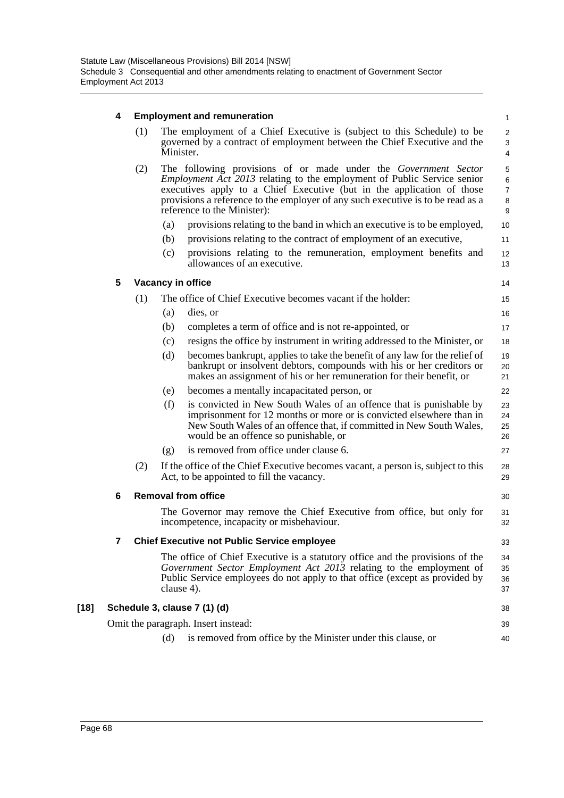# **4 Employment and remuneration**

|        | 4 | <b>Employment and remuneration</b> |     |                                                                                                                                                                                                                                                                                                                                                      |                                    |  |  |
|--------|---|------------------------------------|-----|------------------------------------------------------------------------------------------------------------------------------------------------------------------------------------------------------------------------------------------------------------------------------------------------------------------------------------------------------|------------------------------------|--|--|
|        |   | (1)                                |     | The employment of a Chief Executive is (subject to this Schedule) to be<br>governed by a contract of employment between the Chief Executive and the<br>Minister.                                                                                                                                                                                     | $\overline{c}$<br>3<br>4           |  |  |
|        |   | (2)                                |     | The following provisions of or made under the <i>Government Sector</i><br><i>Employment Act 2013</i> relating to the employment of Public Service senior<br>executives apply to a Chief Executive (but in the application of those<br>provisions a reference to the employer of any such executive is to be read as a<br>reference to the Minister): | 5<br>6<br>$\overline{7}$<br>8<br>9 |  |  |
|        |   |                                    | (a) | provisions relating to the band in which an executive is to be employed,                                                                                                                                                                                                                                                                             | 10                                 |  |  |
|        |   |                                    | (b) | provisions relating to the contract of employment of an executive,                                                                                                                                                                                                                                                                                   | 11                                 |  |  |
|        |   |                                    | (c) | provisions relating to the remuneration, employment benefits and<br>allowances of an executive.                                                                                                                                                                                                                                                      | 12<br>13                           |  |  |
|        | 5 |                                    |     | Vacancy in office                                                                                                                                                                                                                                                                                                                                    | 14                                 |  |  |
|        |   | (1)                                |     | The office of Chief Executive becomes vacant if the holder:                                                                                                                                                                                                                                                                                          | 15                                 |  |  |
|        |   |                                    | (a) | dies, or                                                                                                                                                                                                                                                                                                                                             | 16                                 |  |  |
|        |   |                                    | (b) | completes a term of office and is not re-appointed, or                                                                                                                                                                                                                                                                                               | 17                                 |  |  |
|        |   |                                    | (c) | resigns the office by instrument in writing addressed to the Minister, or                                                                                                                                                                                                                                                                            | 18                                 |  |  |
|        |   |                                    | (d) | becomes bankrupt, applies to take the benefit of any law for the relief of<br>bankrupt or insolvent debtors, compounds with his or her creditors or<br>makes an assignment of his or her remuneration for their benefit, or                                                                                                                          | 19<br>20<br>21                     |  |  |
|        |   |                                    | (e) | becomes a mentally incapacitated person, or                                                                                                                                                                                                                                                                                                          | 22                                 |  |  |
|        |   |                                    | (f) | is convicted in New South Wales of an offence that is punishable by<br>imprisonment for 12 months or more or is convicted elsewhere than in<br>New South Wales of an offence that, if committed in New South Wales,<br>would be an offence so punishable, or                                                                                         | 23<br>24<br>25<br>26               |  |  |
|        |   |                                    | (g) | is removed from office under clause 6.                                                                                                                                                                                                                                                                                                               | 27                                 |  |  |
|        |   | (2)                                |     | If the office of the Chief Executive becomes vacant, a person is, subject to this<br>Act, to be appointed to fill the vacancy.                                                                                                                                                                                                                       | 28<br>29                           |  |  |
|        | 6 |                                    |     | <b>Removal from office</b>                                                                                                                                                                                                                                                                                                                           | 30                                 |  |  |
|        |   |                                    |     | The Governor may remove the Chief Executive from office, but only for<br>incompetence, incapacity or misbehaviour.                                                                                                                                                                                                                                   | 31<br>32                           |  |  |
|        | 7 |                                    |     | <b>Chief Executive not Public Service employee</b>                                                                                                                                                                                                                                                                                                   | 33                                 |  |  |
|        |   |                                    |     | The office of Chief Executive is a statutory office and the provisions of the<br>Government Sector Employment Act 2013 relating to the employment of<br>Public Service employees do not apply to that office (except as provided by<br>clause 4).                                                                                                    | 34<br>35<br>36<br>37               |  |  |
| $[18]$ |   |                                    |     | Schedule 3, clause 7 (1) (d)                                                                                                                                                                                                                                                                                                                         | 38                                 |  |  |
|        |   |                                    |     | Omit the paragraph. Insert instead:                                                                                                                                                                                                                                                                                                                  | 39                                 |  |  |
|        |   |                                    | (d) | is removed from office by the Minister under this clause, or                                                                                                                                                                                                                                                                                         | 40                                 |  |  |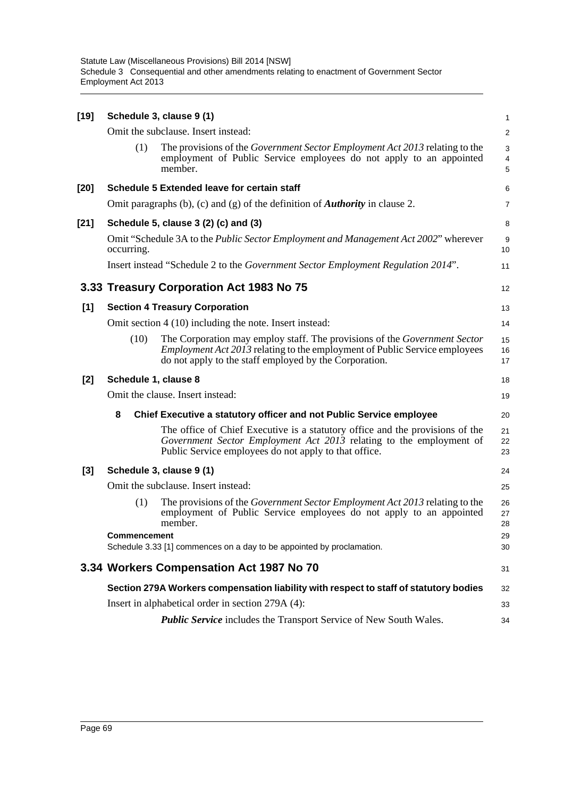| $[19]$ |                                                                                                           |      | Schedule 3, clause 9 (1)                                                                                                                                                                                                 | 1                       |  |
|--------|-----------------------------------------------------------------------------------------------------------|------|--------------------------------------------------------------------------------------------------------------------------------------------------------------------------------------------------------------------------|-------------------------|--|
|        |                                                                                                           |      | Omit the subclause. Insert instead:                                                                                                                                                                                      | $\overline{\mathbf{c}}$ |  |
|        |                                                                                                           | (1)  | The provisions of the <i>Government Sector Employment Act 2013</i> relating to the<br>employment of Public Service employees do not apply to an appointed<br>member.                                                     | 3<br>4<br>5             |  |
| [20]   |                                                                                                           |      | <b>Schedule 5 Extended leave for certain staff</b>                                                                                                                                                                       | 6                       |  |
|        |                                                                                                           |      | Omit paragraphs (b), (c) and (g) of the definition of <b>Authority</b> in clause 2.                                                                                                                                      | 7                       |  |
| [21]   |                                                                                                           |      | Schedule 5, clause 3 (2) (c) and (3)                                                                                                                                                                                     | 8                       |  |
|        | Omit "Schedule 3A to the <i>Public Sector Employment and Management Act 2002</i> " wherever<br>occurring. |      |                                                                                                                                                                                                                          |                         |  |
|        |                                                                                                           |      | Insert instead "Schedule 2 to the <i>Government Sector Employment Regulation 2014</i> ".                                                                                                                                 | 11                      |  |
|        |                                                                                                           |      | 3.33 Treasury Corporation Act 1983 No 75                                                                                                                                                                                 | 12                      |  |
| [1]    | <b>Section 4 Treasury Corporation</b>                                                                     |      |                                                                                                                                                                                                                          |                         |  |
|        |                                                                                                           |      | Omit section 4 (10) including the note. Insert instead:                                                                                                                                                                  | 14                      |  |
|        |                                                                                                           | (10) | The Corporation may employ staff. The provisions of the Government Sector<br><i>Employment Act 2013</i> relating to the employment of Public Service employees<br>do not apply to the staff employed by the Corporation. | 15<br>16<br>17          |  |
| [2]    | Schedule 1, clause 8                                                                                      |      |                                                                                                                                                                                                                          |                         |  |
|        |                                                                                                           |      | Omit the clause. Insert instead:                                                                                                                                                                                         | 19                      |  |
|        | 8                                                                                                         |      | Chief Executive a statutory officer and not Public Service employee                                                                                                                                                      | 20                      |  |
|        |                                                                                                           |      | The office of Chief Executive is a statutory office and the provisions of the<br>Government Sector Employment Act 2013 relating to the employment of<br>Public Service employees do not apply to that office.            | 21<br>22<br>23          |  |
| $[3]$  |                                                                                                           |      | Schedule 3, clause 9 (1)                                                                                                                                                                                                 | 24                      |  |
|        |                                                                                                           |      | Omit the subclause. Insert instead:                                                                                                                                                                                      | 25                      |  |
|        |                                                                                                           | (1)  | The provisions of the <i>Government Sector Employment Act 2013</i> relating to the<br>employment of Public Service employees do not apply to an appointed<br>member.                                                     | 26<br>27<br>28          |  |
|        | <b>Commencement</b>                                                                                       |      |                                                                                                                                                                                                                          |                         |  |
|        | Schedule 3.33 [1] commences on a day to be appointed by proclamation.                                     |      |                                                                                                                                                                                                                          |                         |  |
|        |                                                                                                           |      | 3.34 Workers Compensation Act 1987 No 70                                                                                                                                                                                 | 31                      |  |
|        |                                                                                                           |      | Section 279A Workers compensation liability with respect to staff of statutory bodies                                                                                                                                    | 32                      |  |
|        |                                                                                                           |      | Insert in alphabetical order in section 279A (4):                                                                                                                                                                        | 33                      |  |
|        |                                                                                                           |      | <b>Public Service</b> includes the Transport Service of New South Wales.                                                                                                                                                 | 34                      |  |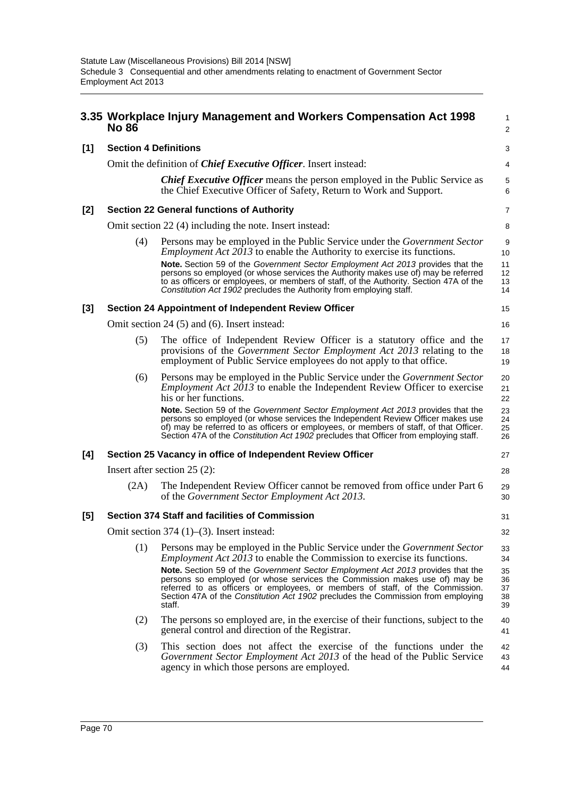|     | 3.35 Workplace Injury Management and Workers Compensation Act 1998      | 1<br>$\overline{2}$                                                                                                                                                                                                                                                                                                                                          |                            |  |  |  |
|-----|-------------------------------------------------------------------------|--------------------------------------------------------------------------------------------------------------------------------------------------------------------------------------------------------------------------------------------------------------------------------------------------------------------------------------------------------------|----------------------------|--|--|--|
| [1] | <b>Section 4 Definitions</b>                                            |                                                                                                                                                                                                                                                                                                                                                              |                            |  |  |  |
|     | Omit the definition of <i>Chief Executive Officer</i> . Insert instead: |                                                                                                                                                                                                                                                                                                                                                              |                            |  |  |  |
|     |                                                                         | <b>Chief Executive Officer</b> means the person employed in the Public Service as<br>the Chief Executive Officer of Safety, Return to Work and Support.                                                                                                                                                                                                      | 5<br>6                     |  |  |  |
| [2] | <b>Section 22 General functions of Authority</b>                        |                                                                                                                                                                                                                                                                                                                                                              |                            |  |  |  |
|     | Omit section 22 (4) including the note. Insert instead:                 |                                                                                                                                                                                                                                                                                                                                                              |                            |  |  |  |
|     | (4)                                                                     | Persons may be employed in the Public Service under the <i>Government Sector</i><br><i>Employment Act 2013</i> to enable the Authority to exercise its functions.<br>Note. Section 59 of the Government Sector Employment Act 2013 provides that the<br>persons so employed (or whose services the Authority makes use of) may be referred                   | 9<br>10<br>11<br>12        |  |  |  |
|     |                                                                         | to as officers or employees, or members of staff, of the Authority. Section 47A of the<br>Constitution Act 1902 precludes the Authority from employing staff.                                                                                                                                                                                                | 13<br>14                   |  |  |  |
| [3] |                                                                         | <b>Section 24 Appointment of Independent Review Officer</b>                                                                                                                                                                                                                                                                                                  | 15                         |  |  |  |
|     |                                                                         | Omit section 24 (5) and (6). Insert instead:                                                                                                                                                                                                                                                                                                                 | 16                         |  |  |  |
|     | (5)                                                                     | The office of Independent Review Officer is a statutory office and the<br>provisions of the Government Sector Employment Act 2013 relating to the<br>employment of Public Service employees do not apply to that office.                                                                                                                                     | 17<br>18<br>19             |  |  |  |
|     | (6)                                                                     | Persons may be employed in the Public Service under the <i>Government Sector</i><br><i>Employment Act 2013</i> to enable the Independent Review Officer to exercise<br>his or her functions.                                                                                                                                                                 | 20<br>21<br>22             |  |  |  |
|     |                                                                         | <b>Note.</b> Section 59 of the Government Sector Employment Act 2013 provides that the<br>persons so employed (or whose services the Independent Review Officer makes use<br>of) may be referred to as officers or employees, or members of staff, of that Officer.<br>Section 47A of the Constitution Act 1902 precludes that Officer from employing staff. | 23<br>24<br>25<br>26       |  |  |  |
| [4] | Section 25 Vacancy in office of Independent Review Officer              |                                                                                                                                                                                                                                                                                                                                                              |                            |  |  |  |
|     |                                                                         | Insert after section $25(2)$ :                                                                                                                                                                                                                                                                                                                               | 28                         |  |  |  |
|     | (2A)                                                                    | The Independent Review Officer cannot be removed from office under Part 6<br>of the Government Sector Employment Act 2013.                                                                                                                                                                                                                                   | 29<br>30                   |  |  |  |
| [5] |                                                                         | <b>Section 374 Staff and facilities of Commission</b>                                                                                                                                                                                                                                                                                                        | 31                         |  |  |  |
|     | Omit section $374$ (1)–(3). Insert instead:                             |                                                                                                                                                                                                                                                                                                                                                              |                            |  |  |  |
|     | (1)                                                                     | Persons may be employed in the Public Service under the <i>Government Sector</i><br><i>Employment Act 2013</i> to enable the Commission to exercise its functions.                                                                                                                                                                                           | 33<br>34                   |  |  |  |
|     |                                                                         | Note. Section 59 of the Government Sector Employment Act 2013 provides that the<br>persons so employed (or whose services the Commission makes use of) may be<br>referred to as officers or employees, or members of staff, of the Commission.<br>Section 47A of the Constitution Act 1902 precludes the Commission from employing<br>staff.                 | 35<br>36<br>37<br>38<br>39 |  |  |  |
|     | (2)                                                                     | The persons so employed are, in the exercise of their functions, subject to the<br>general control and direction of the Registrar.                                                                                                                                                                                                                           | 40<br>41                   |  |  |  |
|     | (3)                                                                     | This section does not affect the exercise of the functions under the<br>Government Sector Employment Act 2013 of the head of the Public Service<br>agency in which those persons are employed.                                                                                                                                                               | 42<br>43<br>44             |  |  |  |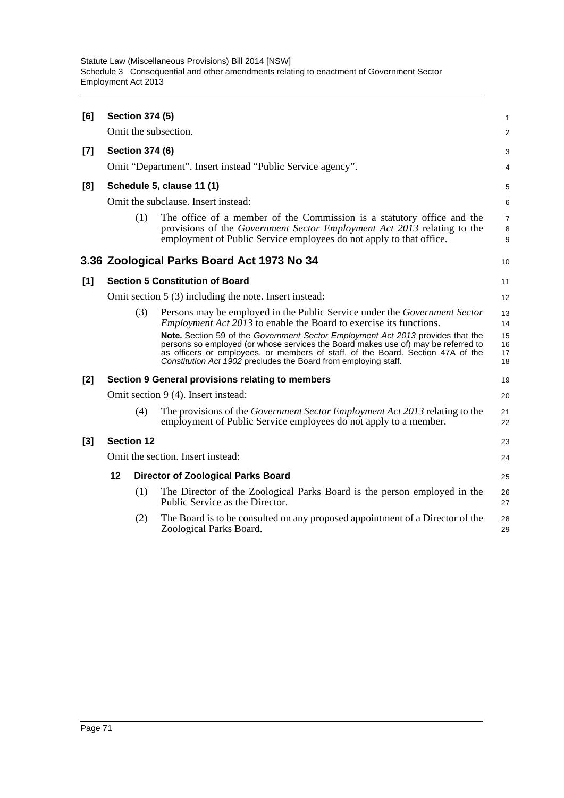| [6]   | <b>Section 374 (5)</b>                                     |     |                                                                                                                                                                                                                                                                                                                            |                          |  |
|-------|------------------------------------------------------------|-----|----------------------------------------------------------------------------------------------------------------------------------------------------------------------------------------------------------------------------------------------------------------------------------------------------------------------------|--------------------------|--|
|       |                                                            |     | Omit the subsection.                                                                                                                                                                                                                                                                                                       | 2                        |  |
| $[7]$ | <b>Section 374 (6)</b>                                     |     |                                                                                                                                                                                                                                                                                                                            |                          |  |
|       | Omit "Department". Insert instead "Public Service agency". |     |                                                                                                                                                                                                                                                                                                                            |                          |  |
| [8]   | Schedule 5, clause 11 (1)                                  |     |                                                                                                                                                                                                                                                                                                                            |                          |  |
|       | Omit the subclause. Insert instead:                        |     |                                                                                                                                                                                                                                                                                                                            |                          |  |
|       |                                                            | (1) | The office of a member of the Commission is a statutory office and the<br>provisions of the Government Sector Employment Act 2013 relating to the<br>employment of Public Service employees do not apply to that office.                                                                                                   | $\overline{7}$<br>8<br>9 |  |
|       |                                                            |     | 3.36 Zoological Parks Board Act 1973 No 34                                                                                                                                                                                                                                                                                 | 10                       |  |
| [1]   | <b>Section 5 Constitution of Board</b>                     |     |                                                                                                                                                                                                                                                                                                                            |                          |  |
|       |                                                            |     | Omit section 5 (3) including the note. Insert instead:                                                                                                                                                                                                                                                                     | 12                       |  |
|       |                                                            | (3) | Persons may be employed in the Public Service under the <i>Government Sector</i><br><i>Employment Act 2013</i> to enable the Board to exercise its functions.                                                                                                                                                              | 13<br>14                 |  |
|       |                                                            |     | Note. Section 59 of the Government Sector Employment Act 2013 provides that the<br>persons so employed (or whose services the Board makes use of) may be referred to<br>as officers or employees, or members of staff, of the Board. Section 47A of the<br>Constitution Act 1902 precludes the Board from employing staff. | 15<br>16<br>17<br>18     |  |
| $[2]$ |                                                            |     | Section 9 General provisions relating to members                                                                                                                                                                                                                                                                           | 19                       |  |
|       | Omit section 9 (4). Insert instead:<br>20                  |     |                                                                                                                                                                                                                                                                                                                            |                          |  |
|       |                                                            | (4) | The provisions of the <i>Government Sector Employment Act 2013</i> relating to the<br>employment of Public Service employees do not apply to a member.                                                                                                                                                                     | 21<br>22                 |  |
| $[3]$ | <b>Section 12</b>                                          |     |                                                                                                                                                                                                                                                                                                                            |                          |  |
|       | Omit the section. Insert instead:                          |     |                                                                                                                                                                                                                                                                                                                            |                          |  |
|       | 12                                                         |     | <b>Director of Zoological Parks Board</b>                                                                                                                                                                                                                                                                                  | 25                       |  |
|       |                                                            | (1) | The Director of the Zoological Parks Board is the person employed in the<br>Public Service as the Director.                                                                                                                                                                                                                | 26<br>27                 |  |
|       |                                                            | (2) | The Board is to be consulted on any proposed appointment of a Director of the<br>Zoological Parks Board.                                                                                                                                                                                                                   | 28<br>29                 |  |
|       |                                                            |     |                                                                                                                                                                                                                                                                                                                            |                          |  |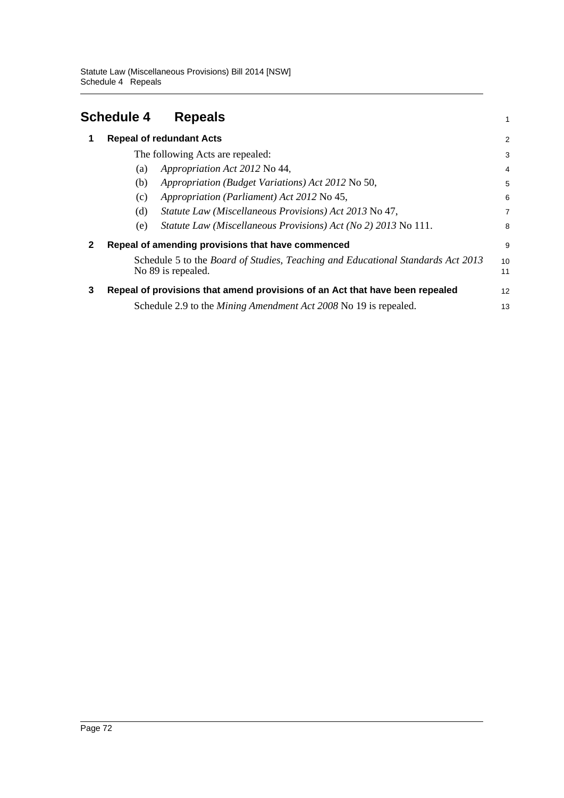|   | <b>Schedule 4</b>                                                                                     | <b>Repeals</b>                                                          | 1              |  |  |
|---|-------------------------------------------------------------------------------------------------------|-------------------------------------------------------------------------|----------------|--|--|
| 1 |                                                                                                       | <b>Repeal of redundant Acts</b>                                         | $\overline{c}$ |  |  |
|   |                                                                                                       | The following Acts are repealed:                                        | 3              |  |  |
|   | (a)                                                                                                   | Appropriation Act 2012 No 44,                                           | 4              |  |  |
|   | (b)                                                                                                   | Appropriation (Budget Variations) Act 2012 No 50,                       | 5              |  |  |
|   | (c)                                                                                                   | Appropriation (Parliament) Act 2012 No 45,                              | 6              |  |  |
|   | (d)                                                                                                   | Statute Law (Miscellaneous Provisions) Act 2013 No 47,                  | 7              |  |  |
|   | (e)                                                                                                   | Statute Law (Miscellaneous Provisions) Act (No 2) 2013 No 111.          | 8              |  |  |
| 2 | Repeal of amending provisions that have commenced                                                     |                                                                         |                |  |  |
|   | Schedule 5 to the Board of Studies, Teaching and Educational Standards Act 2013<br>No 89 is repealed. |                                                                         |                |  |  |
| 3 | Repeal of provisions that amend provisions of an Act that have been repealed                          |                                                                         |                |  |  |
|   |                                                                                                       | Schedule 2.9 to the <i>Mining Amendment Act</i> 2008 No 19 is repealed. | 13             |  |  |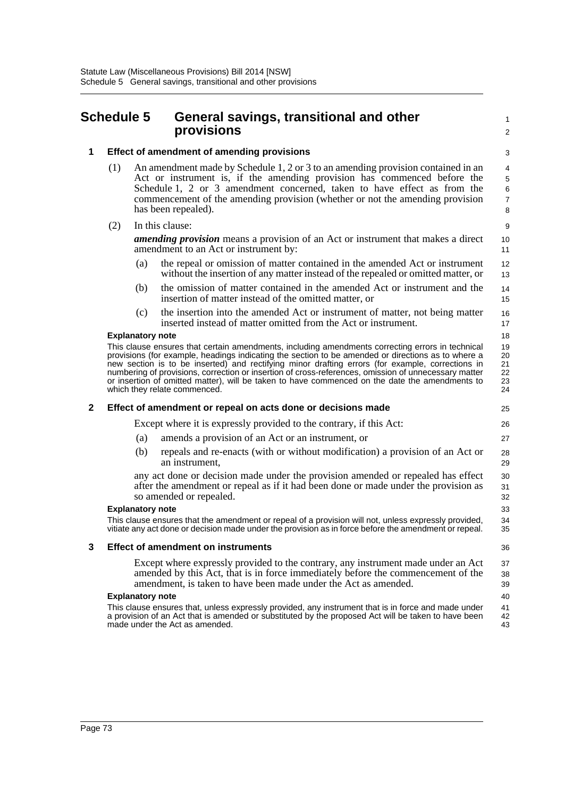# **Schedule 5 General savings, transitional and other provisions**

1  $\mathcal{L}$ 3

# **1 Effect of amendment of amending provisions**

- (1) An amendment made by Schedule 1, 2 or 3 to an amending provision contained in an Act or instrument is, if the amending provision has commenced before the Schedule 1, 2 or 3 amendment concerned, taken to have effect as from the commencement of the amending provision (whether or not the amending provision has been repealed).
- (2) In this clause:

*amending provision* means a provision of an Act or instrument that makes a direct amendment to an Act or instrument by:

- (a) the repeal or omission of matter contained in the amended Act or instrument without the insertion of any matter instead of the repealed or omitted matter, or
- (b) the omission of matter contained in the amended Act or instrument and the insertion of matter instead of the omitted matter, or
- (c) the insertion into the amended Act or instrument of matter, not being matter inserted instead of matter omitted from the Act or instrument.

## **Explanatory note**

This clause ensures that certain amendments, including amendments correcting errors in technical provisions (for example, headings indicating the section to be amended or directions as to where a new section is to be inserted) and rectifying minor drafting errors (for example, corrections in numbering of provisions, correction or insertion of cross-references, omission of unnecessary matter or insertion of omitted matter), will be taken to have commenced on the date the amendments to which they relate commenced.

## **2 Effect of amendment or repeal on acts done or decisions made**

Except where it is expressly provided to the contrary, if this Act:

- (a) amends a provision of an Act or an instrument, or
- (b) repeals and re-enacts (with or without modification) a provision of an Act or an instrument,

any act done or decision made under the provision amended or repealed has effect after the amendment or repeal as if it had been done or made under the provision as so amended or repealed.

#### **Explanatory note**

This clause ensures that the amendment or repeal of a provision will not, unless expressly provided, vitiate any act done or decision made under the provision as in force before the amendment or repeal.

## **3 Effect of amendment on instruments**

Except where expressly provided to the contrary, any instrument made under an Act amended by this Act, that is in force immediately before the commencement of the amendment, is taken to have been made under the Act as amended.

#### **Explanatory note**

This clause ensures that, unless expressly provided, any instrument that is in force and made under a provision of an Act that is amended or substituted by the proposed Act will be taken to have been made under the Act as amended.